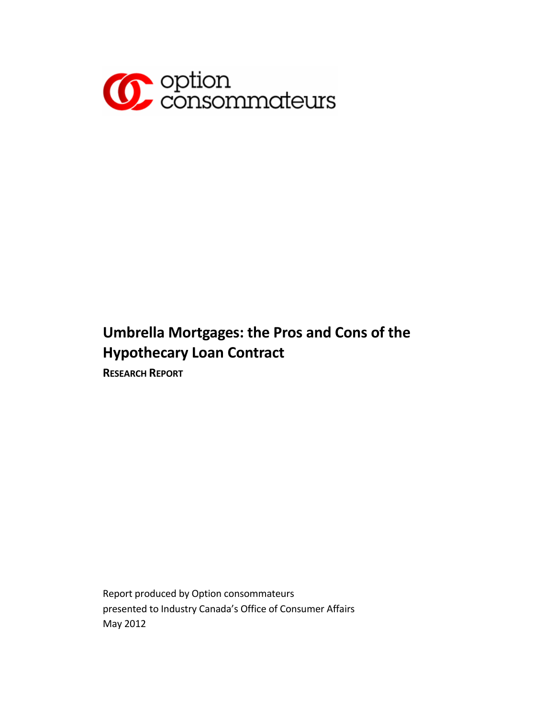

# **Umbrella Mortgages: the Pros and Cons of the Hypothecary Loan Contract**

**RESEARCH REPORT**

Report produced by Option consommateurs presented to Industry Canada's Office of Consumer Affairs May 2012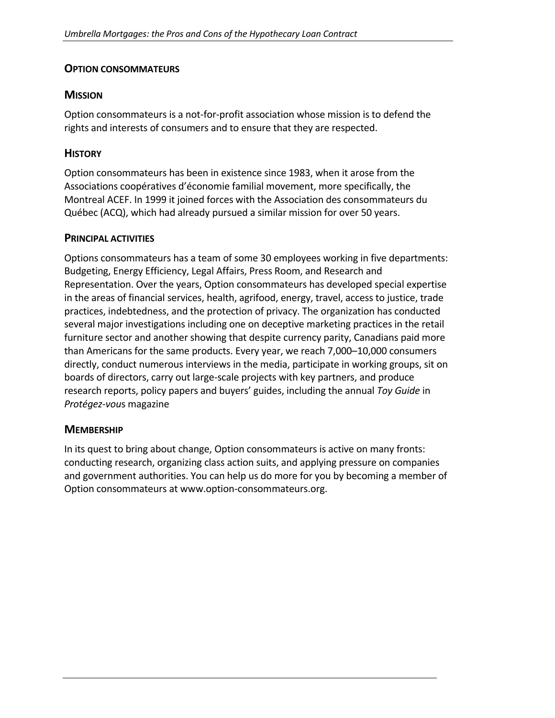#### **OPTION CONSOMMATEURS**

#### **MISSION**

Option consommateurs is a not‐for‐profit association whose mission is to defend the rights and interests of consumers and to ensure that they are respected.

#### **HISTORY**

Option consommateurs has been in existence since 1983, when it arose from the Associations coopératives d'économie familial movement, more specifically, the Montreal ACEF. In 1999 it joined forces with the Association des consommateurs du Québec (ACQ), which had already pursued a similar mission for over 50 years.

#### **PRINCIPAL ACTIVITIES**

Options consommateurs has a team of some 30 employees working in five departments: Budgeting, Energy Efficiency, Legal Affairs, Press Room, and Research and Representation. Over the years, Option consommateurs has developed special expertise in the areas of financial services, health, agrifood, energy, travel, access to justice, trade practices, indebtedness, and the protection of privacy. The organization has conducted several major investigations including one on deceptive marketing practices in the retail furniture sector and another showing that despite currency parity, Canadians paid more than Americans for the same products. Every year, we reach 7,000–10,000 consumers directly, conduct numerous interviews in the media, participate in working groups, sit on boards of directors, carry out large‐scale projects with key partners, and produce research reports, policy papers and buyers' guides, including the annual *Toy Guide* in *Protégez‐vou*s magazine

#### **MEMBERSHIP**

In its quest to bring about change, Option consommateurs is active on many fronts: conducting research, organizing class action suits, and applying pressure on companies and government authorities. You can help us do more for you by becoming a member of Option consommateurs at www.option‐consommateurs.org.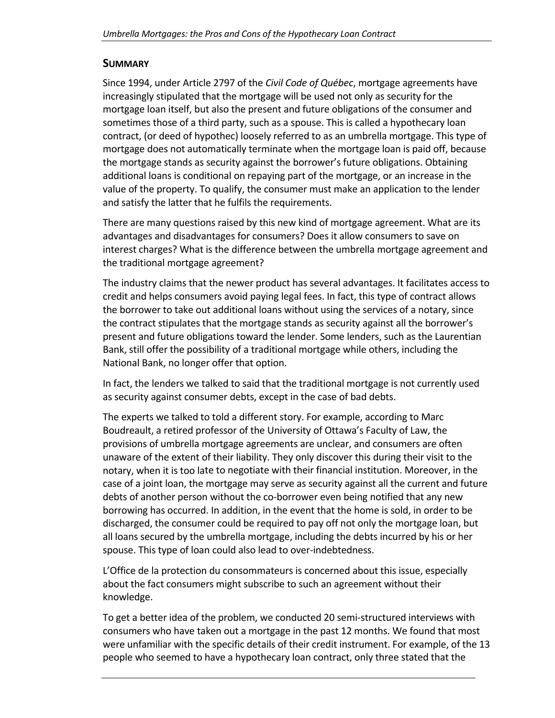#### **SUMMARY**

Since 1994, under Article 2797 of the *Civil Code of Québec*, mortgage agreements have increasingly stipulated that the mortgage will be used not only as security for the mortgage loan itself, but also the present and future obligations of the consumer and sometimes those of a third party, such as a spouse. This is called a hypothecary loan contract, (or deed of hypothec) loosely referred to as an umbrella mortgage. This type of mortgage does not automatically terminate when the mortgage loan is paid off, because the mortgage stands as security against the borrower's future obligations. Obtaining additional loans is conditional on repaying part of the mortgage, or an increase in the value of the property. To qualify, the consumer must make an application to the lender and satisfy the latter that he fulfils the requirements.

There are many questions raised by this new kind of mortgage agreement. What are its advantages and disadvantages for consumers? Does it allow consumers to save on interest charges? What is the difference between the umbrella mortgage agreement and the traditional mortgage agreement?

The industry claims that the newer product has several advantages. It facilitates access to credit and helps consumers avoid paying legal fees. In fact, this type of contract allows the borrower to take out additional loans without using the services of a notary, since the contract stipulates that the mortgage stands as security against all the borrower's present and future obligations toward the lender. Some lenders, such as the Laurentian Bank, still offer the possibility of a traditional mortgage while others, including the National Bank, no longer offer that option.

In fact, the lenders we talked to said that the traditional mortgage is not currently used as security against consumer debts, except in the case of bad debts.

The experts we talked to told a different story. For example, according to Marc Boudreault, a retired professor of the University of Ottawa's Faculty of Law, the provisions of umbrella mortgage agreements are unclear, and consumers are often unaware of the extent of their liability. They only discover this during their visit to the notary, when it is too late to negotiate with their financial institution. Moreover, in the case of a joint loan, the mortgage may serve as security against all the current and future debts of another person without the co-borrower even being notified that any new borrowing has occurred. In addition, in the event that the home is sold, in order to be discharged, the consumer could be required to pay off not only the mortgage loan, but all loans secured by the umbrella mortgage, including the debts incurred by his or her spouse. This type of loan could also lead to over-indebtedness.

L'Office de la protection du consommateurs is concerned about this issue, especially about the fact consumers might subscribe to such an agreement without their knowledge.

To get a better idea of the problem, we conducted 20 semi‐structured interviews with consumers who have taken out a mortgage in the past 12 months. We found that most were unfamiliar with the specific details of their credit instrument. For example, of the 13 people who seemed to have a hypothecary loan contract, only three stated that the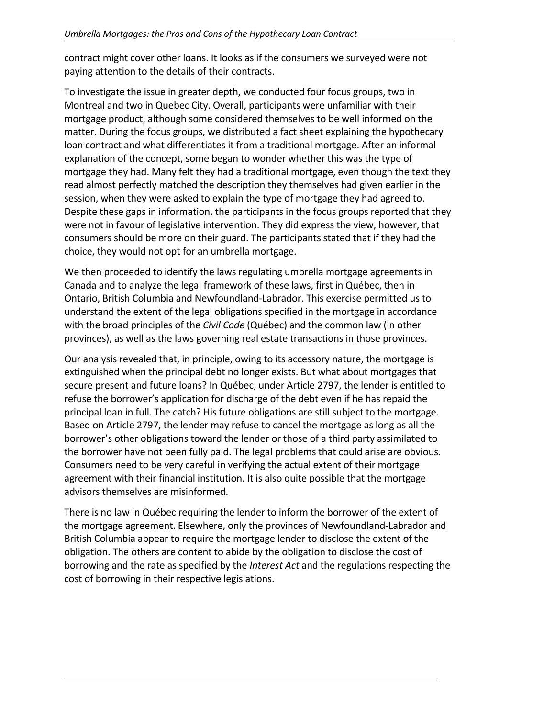contract might cover other loans. It looks as if the consumers we surveyed were not paying attention to the details of their contracts.

To investigate the issue in greater depth, we conducted four focus groups, two in Montreal and two in Quebec City. Overall, participants were unfamiliar with their mortgage product, although some considered themselves to be well informed on the matter. During the focus groups, we distributed a fact sheet explaining the hypothecary loan contract and what differentiates it from a traditional mortgage. After an informal explanation of the concept, some began to wonder whether this was the type of mortgage they had. Many felt they had a traditional mortgage, even though the text they read almost perfectly matched the description they themselves had given earlier in the session, when they were asked to explain the type of mortgage they had agreed to. Despite these gaps in information, the participants in the focus groups reported that they were not in favour of legislative intervention. They did express the view, however, that consumers should be more on their guard. The participants stated that if they had the choice, they would not opt for an umbrella mortgage.

We then proceeded to identify the laws regulating umbrella mortgage agreements in Canada and to analyze the legal framework of these laws, first in Québec, then in Ontario, British Columbia and Newfoundland‐Labrador. This exercise permitted us to understand the extent of the legal obligations specified in the mortgage in accordance with the broad principles of the *Civil Code* (Québec) and the common law (in other provinces), as well as the laws governing real estate transactions in those provinces.

Our analysis revealed that, in principle, owing to its accessory nature, the mortgage is extinguished when the principal debt no longer exists. But what about mortgages that secure present and future loans? In Québec, under Article 2797, the lender is entitled to refuse the borrower's application for discharge of the debt even if he has repaid the principal loan in full. The catch? His future obligations are still subject to the mortgage. Based on Article 2797, the lender may refuse to cancel the mortgage as long as all the borrower's other obligations toward the lender or those of a third party assimilated to the borrower have not been fully paid. The legal problems that could arise are obvious. Consumers need to be very careful in verifying the actual extent of their mortgage agreement with their financial institution. It is also quite possible that the mortgage advisors themselves are misinformed.

There is no law in Québec requiring the lender to inform the borrower of the extent of the mortgage agreement. Elsewhere, only the provinces of Newfoundland‐Labrador and British Columbia appear to require the mortgage lender to disclose the extent of the obligation. The others are content to abide by the obligation to disclose the cost of borrowing and the rate as specified by the *Interest Act* and the regulations respecting the cost of borrowing in their respective legislations.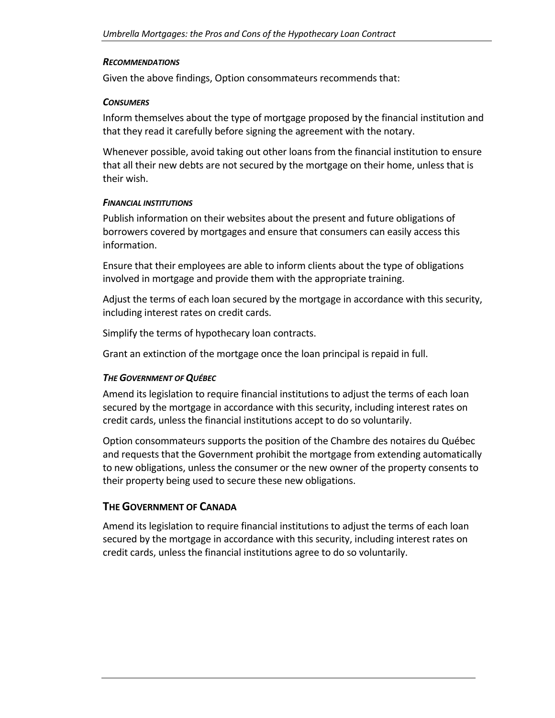#### *RECOMMENDATIONS*

Given the above findings, Option consommateurs recommends that:

#### *CONSUMERS*

Inform themselves about the type of mortgage proposed by the financial institution and that they read it carefully before signing the agreement with the notary.

Whenever possible, avoid taking out other loans from the financial institution to ensure that all their new debts are not secured by the mortgage on their home, unless that is their wish.

#### *FINANCIAL INSTITUTIONS*

Publish information on their websites about the present and future obligations of borrowers covered by mortgages and ensure that consumers can easily access this information.

Ensure that their employees are able to inform clients about the type of obligations involved in mortgage and provide them with the appropriate training.

Adjust the terms of each loan secured by the mortgage in accordance with this security, including interest rates on credit cards.

Simplify the terms of hypothecary loan contracts.

Grant an extinction of the mortgage once the loan principal is repaid in full.

#### **THE GOVERNMENT OF QUÉBEC**

Amend its legislation to require financial institutions to adjust the terms of each loan secured by the mortgage in accordance with this security, including interest rates on credit cards, unless the financial institutions accept to do so voluntarily.

Option consommateurs supports the position of the Chambre des notaires du Québec and requests that the Government prohibit the mortgage from extending automatically to new obligations, unless the consumer or the new owner of the property consents to their property being used to secure these new obligations.

#### **THE GOVERNMENT OF CANADA**

Amend its legislation to require financial institutions to adjust the terms of each loan secured by the mortgage in accordance with this security, including interest rates on credit cards, unless the financial institutions agree to do so voluntarily.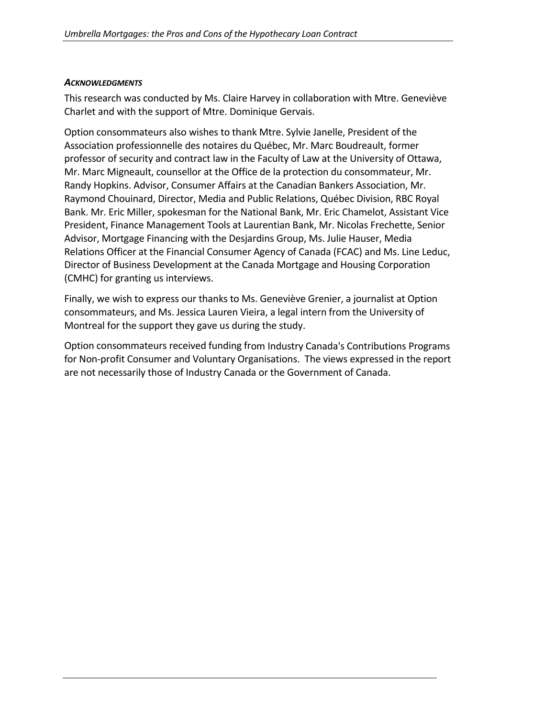#### *ACKNOWLEDGMENTS*

This research was conducted by Ms. Claire Harvey in collaboration with Mtre. Geneviève Charlet and with the support of Mtre. Dominique Gervais.

Option consommateurs also wishes to thank Mtre. Sylvie Janelle, President of the Association professionnelle des notaires du Québec, Mr. Marc Boudreault, former professor of security and contract law in the Faculty of Law at the University of Ottawa, Mr. Marc Migneault, counsellor at the Office de la protection du consommateur, Mr. Randy Hopkins. Advisor, Consumer Affairs at the Canadian Bankers Association, Mr. Raymond Chouinard, Director, Media and Public Relations, Québec Division, RBC Royal Bank. Mr. Eric Miller, spokesman for the National Bank, Mr. Eric Chamelot, Assistant Vice President, Finance Management Tools at Laurentian Bank, Mr. Nicolas Frechette, Senior Advisor, Mortgage Financing with the Desjardins Group, Ms. Julie Hauser, Media Relations Officer at the Financial Consumer Agency of Canada (FCAC) and Ms. Line Leduc, Director of Business Development at the Canada Mortgage and Housing Corporation (CMHC) for granting us interviews.

Finally, we wish to express our thanks to Ms. Geneviève Grenier, a journalist at Option consommateurs, and Ms. Jessica Lauren Vieira, a legal intern from the University of Montreal for the support they gave us during the study.

Option consommateurs received funding from Industry Canada's Contributions Programs for Non‐profit Consumer and Voluntary Organisations. The views expressed in the report are not necessarily those of Industry Canada or the Government of Canada.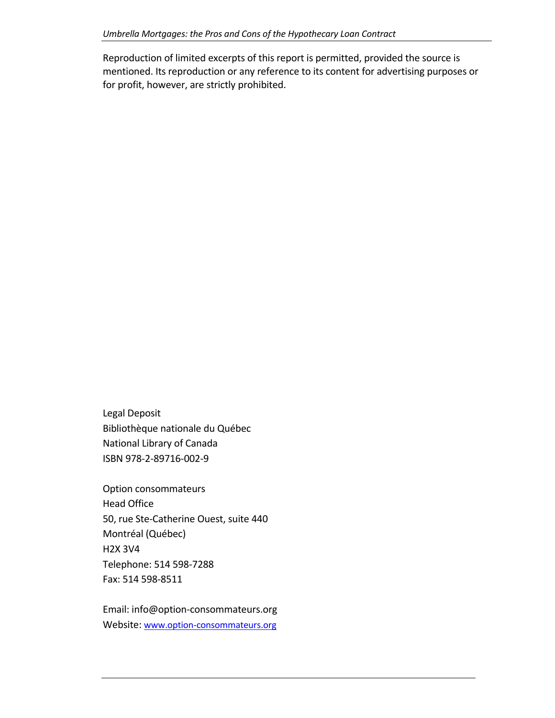Reproduction of limited excerpts of this report is permitted, provided the source is mentioned. Its reproduction or any reference to its content for advertising purposes or for profit, however, are strictly prohibited.

Legal Deposit Bibliothèque nationale du Québec National Library of Canada ISBN 978‐2‐89716‐002‐9

Option consommateurs Head Office 50, rue Ste‐Catherine Ouest, suite 440 Montréal (Québec) H2X 3V4 Telephone: 514 598‐7288 Fax: 514 598‐8511

Email: info@option‐consommateurs.org Website: www.option-[consommateurs.org](http://www.option-consommateurs.org/)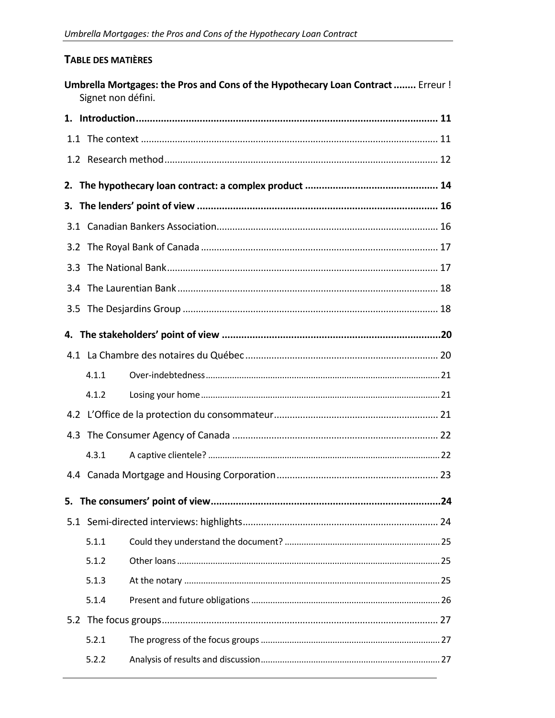### TABLE DES MATIÈRES

| Umbrella Mortgages: the Pros and Cons of the Hypothecary Loan Contract  Erreur !<br>Signet non défini. |       |  |  |  |  |
|--------------------------------------------------------------------------------------------------------|-------|--|--|--|--|
|                                                                                                        |       |  |  |  |  |
|                                                                                                        |       |  |  |  |  |
|                                                                                                        |       |  |  |  |  |
| 2.                                                                                                     |       |  |  |  |  |
|                                                                                                        |       |  |  |  |  |
|                                                                                                        |       |  |  |  |  |
|                                                                                                        |       |  |  |  |  |
|                                                                                                        |       |  |  |  |  |
|                                                                                                        |       |  |  |  |  |
|                                                                                                        |       |  |  |  |  |
|                                                                                                        |       |  |  |  |  |
|                                                                                                        |       |  |  |  |  |
|                                                                                                        | 4.1.1 |  |  |  |  |
|                                                                                                        | 4.1.2 |  |  |  |  |
|                                                                                                        |       |  |  |  |  |
|                                                                                                        |       |  |  |  |  |
|                                                                                                        | 4.3.1 |  |  |  |  |
|                                                                                                        |       |  |  |  |  |
| 5.                                                                                                     |       |  |  |  |  |
|                                                                                                        |       |  |  |  |  |
|                                                                                                        | 5.1.1 |  |  |  |  |
|                                                                                                        | 5.1.2 |  |  |  |  |
|                                                                                                        | 5.1.3 |  |  |  |  |
|                                                                                                        | 5.1.4 |  |  |  |  |
|                                                                                                        |       |  |  |  |  |
|                                                                                                        | 5.2.1 |  |  |  |  |
|                                                                                                        | 5.2.2 |  |  |  |  |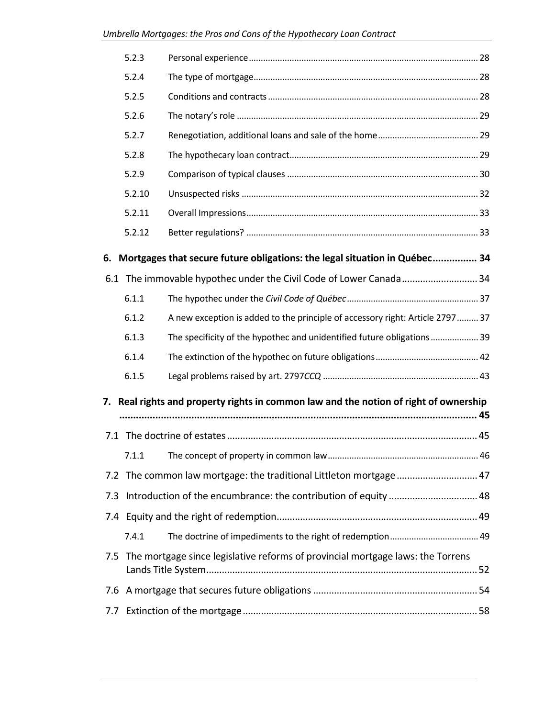|                                                                                       | 5.2.3  |                                                                                     |  |  |  |  |  |
|---------------------------------------------------------------------------------------|--------|-------------------------------------------------------------------------------------|--|--|--|--|--|
|                                                                                       | 5.2.4  |                                                                                     |  |  |  |  |  |
|                                                                                       | 5.2.5  |                                                                                     |  |  |  |  |  |
|                                                                                       | 5.2.6  |                                                                                     |  |  |  |  |  |
|                                                                                       | 5.2.7  |                                                                                     |  |  |  |  |  |
|                                                                                       | 5.2.8  |                                                                                     |  |  |  |  |  |
|                                                                                       | 5.2.9  |                                                                                     |  |  |  |  |  |
|                                                                                       | 5.2.10 |                                                                                     |  |  |  |  |  |
|                                                                                       | 5.2.11 |                                                                                     |  |  |  |  |  |
|                                                                                       | 5.2.12 |                                                                                     |  |  |  |  |  |
| Mortgages that secure future obligations: the legal situation in Québec 34<br>6.      |        |                                                                                     |  |  |  |  |  |
|                                                                                       |        | 6.1 The immovable hypothec under the Civil Code of Lower Canada 34                  |  |  |  |  |  |
|                                                                                       | 6.1.1  |                                                                                     |  |  |  |  |  |
|                                                                                       | 6.1.2  | A new exception is added to the principle of accessory right: Article 2797  37      |  |  |  |  |  |
|                                                                                       | 6.1.3  | The specificity of the hypothec and unidentified future obligations 39              |  |  |  |  |  |
|                                                                                       | 6.1.4  |                                                                                     |  |  |  |  |  |
|                                                                                       | 6.1.5  |                                                                                     |  |  |  |  |  |
| 7. Real rights and property rights in common law and the notion of right of ownership |        |                                                                                     |  |  |  |  |  |
|                                                                                       |        |                                                                                     |  |  |  |  |  |
|                                                                                       |        |                                                                                     |  |  |  |  |  |
|                                                                                       |        |                                                                                     |  |  |  |  |  |
| 7.2                                                                                   |        | The common law mortgage: the traditional Littleton mortgage 47                      |  |  |  |  |  |
| 7.3                                                                                   |        |                                                                                     |  |  |  |  |  |
|                                                                                       |        |                                                                                     |  |  |  |  |  |
|                                                                                       | 7.4.1  |                                                                                     |  |  |  |  |  |
|                                                                                       |        | 7.5 The mortgage since legislative reforms of provincial mortgage laws: the Torrens |  |  |  |  |  |
| 7.6                                                                                   |        |                                                                                     |  |  |  |  |  |
|                                                                                       |        |                                                                                     |  |  |  |  |  |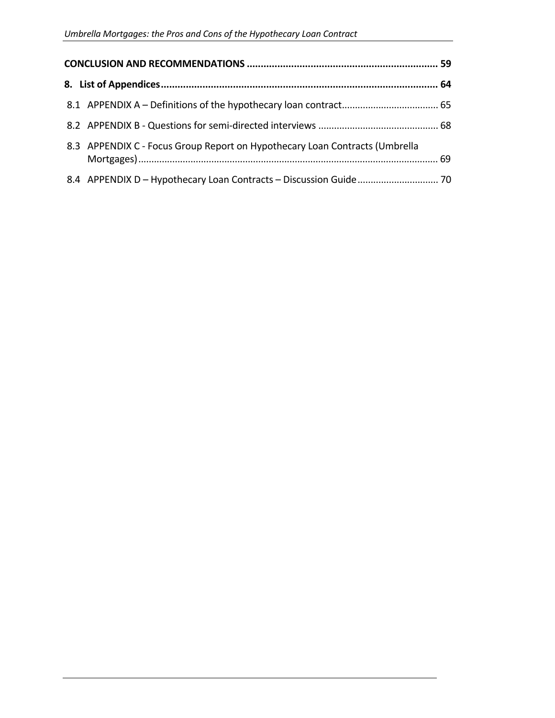| 8.3 APPENDIX C - Focus Group Report on Hypothecary Loan Contracts (Umbrella |  |  |  |
|-----------------------------------------------------------------------------|--|--|--|
|                                                                             |  |  |  |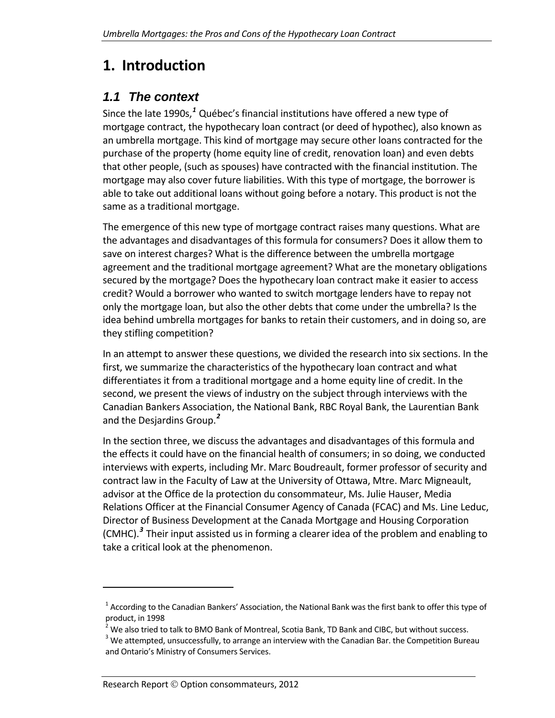# <span id="page-10-0"></span>**1. Introduction**

## *1.1 The context*

<span id="page-10-1"></span>Since the late 1990s,*[1](#page-10-2)* Québec's financial institutions have offered a new type of mortgage contract, the hypothecary loan contract (or deed of hypothec), also known as an umbrella mortgage. This kind of mortgage may secure other loans contracted for the purchase of the property (home equity line of credit, renovation loan) and even debts that other people, (such as spouses) have contracted with the financial institution. The mortgage may also cover future liabilities. With this type of mortgage, the borrower is able to take out additional loans without going before a notary. This product is not the same as a traditional mortgage.

The emergence of this new type of mortgage contract raises many questions. What are the advantages and disadvantages of this formula for consumers? Does it allow them to save on interest charges? What is the difference between the umbrella mortgage agreement and the traditional mortgage agreement? What are the monetary obligations secured by the mortgage? Does the hypothecary loan contract make it easier to access credit? Would a borrower who wanted to switch mortgage lenders have to repay not only the mortgage loan, but also the other debts that come under the umbrella? Is the idea behind umbrella mortgages for banks to retain their customers, and in doing so, are they stifling competition?

In an attempt to answer these questions, we divided the research into six sections. In the first, we summarize the characteristics of the hypothecary loan contract and what differentiates it from a traditional mortgage and a home equity line of credit. In the second, we present the views of industry on the subject through interviews with the Canadian Bankers Association, the National Bank, RBC Royal Bank, the Laurentian Bank and the Desjardins Group.*[2](#page-10-3)*

In the section three, we discuss the advantages and disadvantages of this formula and the effects it could have on the financial health of consumers; in so doing, we conducted interviews with experts, including Mr. Marc Boudreault, former professor of security and contract law in the Faculty of Law at the University of Ottawa, Mtre. Marc Migneault, advisor at the Office de la protection du consommateur, Ms. Julie Hauser, Media Relations Officer at the Financial Consumer Agency of Canada (FCAC) and Ms. Line Leduc, Director of Business Development at the Canada Mortgage and Housing Corporation (CMHC).*[3](#page-10-4)* Their input assisted us in forming a clearer idea of the problem and enabling to take a critical look at the phenomenon.

<span id="page-10-2"></span> $<sup>1</sup>$  According to the Canadian Bankers' Association, the National Bank was the first bank to offer this type of</sup> product, in 1998<br><sup>2</sup> We also tried to talk to BMO Bank of Montreal, Scotia Bank, TD Bank and CIBC, but without success.<br><sup>3</sup> We attempted, unsuccessfully, to arrange an interview with the Canadian Bar. the Competition Bure

<span id="page-10-4"></span><span id="page-10-3"></span>and Ontario's Ministry of Consumers Services.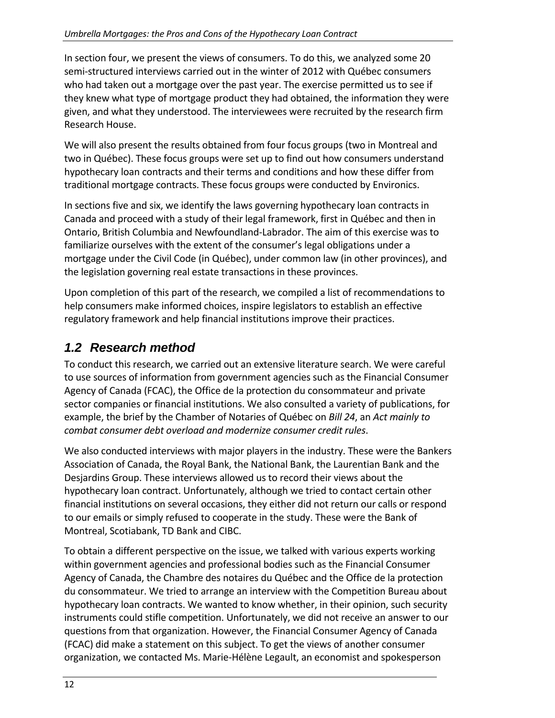In section four, we present the views of consumers. To do this, we analyzed some 20 semi-structured interviews carried out in the winter of 2012 with Québec consumers who had taken out a mortgage over the past year. The exercise permitted us to see if they knew what type of mortgage product they had obtained, the information they were given, and what they understood. The interviewees were recruited by the research firm Research House.

We will also present the results obtained from four focus groups (two in Montreal and two in Québec). These focus groups were set up to find out how consumers understand hypothecary loan contracts and their terms and conditions and how these differ from traditional mortgage contracts. These focus groups were conducted by Environics.

In sections five and six, we identify the laws governing hypothecary loan contracts in Canada and proceed with a study of their legal framework, first in Québec and then in Ontario, British Columbia and Newfoundland‐Labrador. The aim of this exercise was to familiarize ourselves with the extent of the consumer's legal obligations under a mortgage under the Civil Code (in Québec), under common law (in other provinces), and the legislation governing real estate transactions in these provinces.

Upon completion of this part of the research, we compiled a list of recommendations to help consumers make informed choices, inspire legislators to establish an effective regulatory framework and help financial institutions improve their practices.

# *1.2 Research method*

<span id="page-11-0"></span>To conduct this research, we carried out an extensive literature search. We were careful to use sources of information from government agencies such as the Financial Consumer Agency of Canada (FCAC), the Office de la protection du consommateur and private sector companies or financial institutions. We also consulted a variety of publications, for example, the brief by the Chamber of Notaries of Québec on *Bill 24*, an *Act mainly to combat consumer debt overload and modernize consumer credit rules*.

We also conducted interviews with major players in the industry. These were the Bankers Association of Canada, the Royal Bank, the National Bank, the Laurentian Bank and the Desjardins Group. These interviews allowed us to record their views about the hypothecary loan contract. Unfortunately, although we tried to contact certain other financial institutions on several occasions, they either did not return our calls or respond to our emails or simply refused to cooperate in the study. These were the Bank of Montreal, Scotiabank, TD Bank and CIBC.

To obtain a different perspective on the issue, we talked with various experts working within government agencies and professional bodies such as the Financial Consumer Agency of Canada, the Chambre des notaires du Québec and the Office de la protection du consommateur. We tried to arrange an interview with the Competition Bureau about hypothecary loan contracts. We wanted to know whether, in their opinion, such security instruments could stifle competition. Unfortunately, we did not receive an answer to our questions from that organization. However, the Financial Consumer Agency of Canada (FCAC) did make a statement on this subject. To get the views of another consumer organization, we contacted Ms. Marie‐Hélène Legault, an economist and spokesperson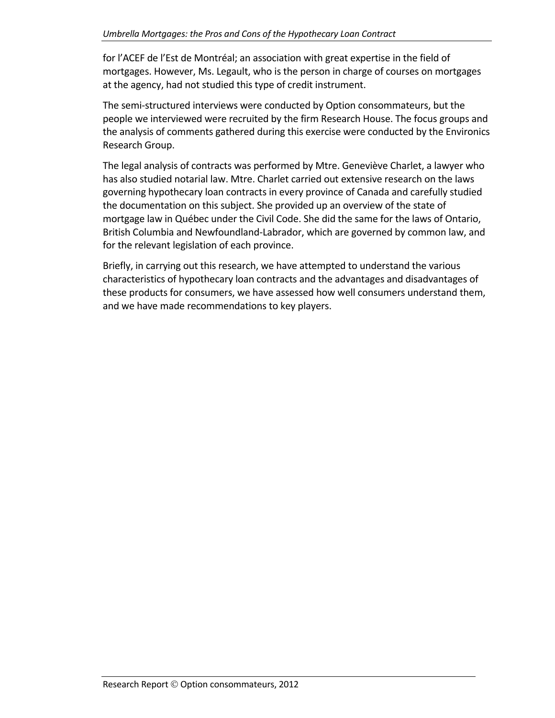for l'ACEF de l'Est de Montréal; an association with great expertise in the field of mortgages. However, Ms. Legault, who is the person in charge of courses on mortgages at the agency, had not studied this type of credit instrument.

The semi‐structured interviews were conducted by Option consommateurs, but the people we interviewed were recruited by the firm Research House. The focus groups and the analysis of comments gathered during this exercise were conducted by the Environics Research Group.

The legal analysis of contracts was performed by Mtre. Geneviève Charlet, a lawyer who has also studied notarial law. Mtre. Charlet carried out extensive research on the laws governing hypothecary loan contracts in every province of Canada and carefully studied the documentation on this subject. She provided up an overview of the state of mortgage law in Québec under the Civil Code. She did the same for the laws of Ontario, British Columbia and Newfoundland‐Labrador, which are governed by common law, and for the relevant legislation of each province.

Briefly, in carrying out this research, we have attempted to understand the various characteristics of hypothecary loan contracts and the advantages and disadvantages of these products for consumers, we have assessed how well consumers understand them, and we have made recommendations to key players.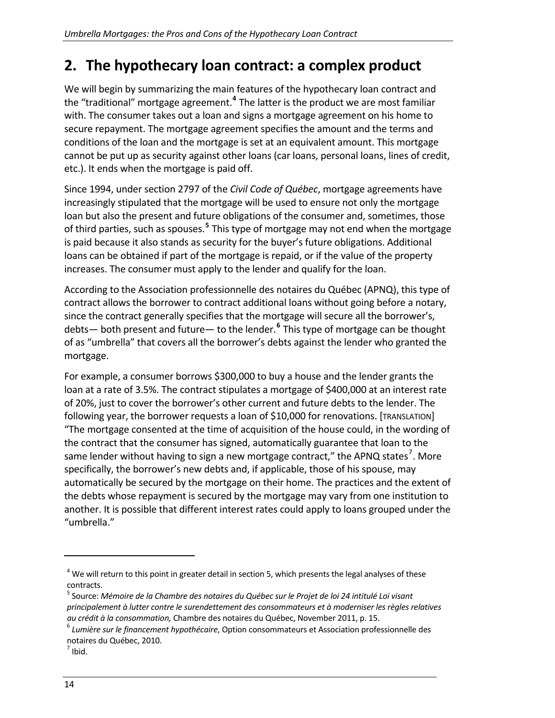# <span id="page-13-0"></span>**2. The hypothecary loan contract: a complex product**

We will begin by summarizing the main features of the hypothecary loan contract and the "traditional" mortgage agreement.**[4](#page-13-1)** The latter is the product we are most familiar with. The consumer takes out a loan and signs a mortgage agreement on his home to secure repayment. The mortgage agreement specifies the amount and the terms and conditions of the loan and the mortgage is set at an equivalent amount. This mortgage cannot be put up as security against other loans (car loans, personal loans, lines of credit, etc.). It ends when the mortgage is paid off.

Since 1994, under section 2797 of the *Civil Code of Québec*, mortgage agreements have increasingly stipulated that the mortgage will be used to ensure not only the mortgage loan but also the present and future obligations of the consumer and, sometimes, those of third parties, such as spouses.**[5](#page-13-2)** This type of mortgage may not end when the mortgage is paid because it also stands as security for the buyer's future obligations. Additional loans can be obtained if part of the mortgage is repaid, or if the value of the property increases. The consumer must apply to the lender and qualify for the loan.

According to the Association professionnelle des notaires du Québec (APNQ), this type of contract allows the borrower to contract additional loans without going before a notary, since the contract generally specifies that the mortgage will secure all the borrower's, debts— both present and future— to the lender. **[6](#page-13-3)** This type of mortgage can be thought of as "umbrella" that covers all the borrower's debts against the lender who granted the mortgage.

For example, a consumer borrows \$300,000 to buy a house and the lender grants the loan at a rate of 3.5%. The contract stipulates a mortgage of \$400,000 at an interest rate of 20%, just to cover the borrower's other current and future debts to the lender. The following year, the borrower requests a loan of \$10,000 for renovations. [TRANSLATION] "The mortgage consented at the time of acquisition of the house could, in the wording of the contract that the consumer has signed, automatically guarantee that loan to the same lender without having to sign a new mortgage contract," the APNQ states<sup>[7](#page-13-4)</sup>. More specifically, the borrower's new debts and, if applicable, those of his spouse, may automatically be secured by the mortgage on their home. The practices and the extent of the debts whose repayment is secured by the mortgage may vary from one institution to another. It is possible that different interest rates could apply to loans grouped under the "umbrella."

<span id="page-13-1"></span> $4$  We will return to this point in greater detail in section 5, which presents the legal analyses of these contracts.

<span id="page-13-2"></span><sup>5</sup> Source: *Mémoire de la Chambre des notaires du Québec sur le Projet de loi 24 intitulé Loi visant principalement à lutter contre le surendettement des consommateurs et à moderniser les règles relatives* au crédit à la consommation, Chambre des notaires du Québec, November 2011, p. 15.<br><sup>6</sup> Lumière sur le financement hypothécaire, Option consommateurs et Association professionnelle des

<span id="page-13-3"></span>notaires du Québec, 2010.<br><sup>7</sup> Ibid.

<span id="page-13-4"></span>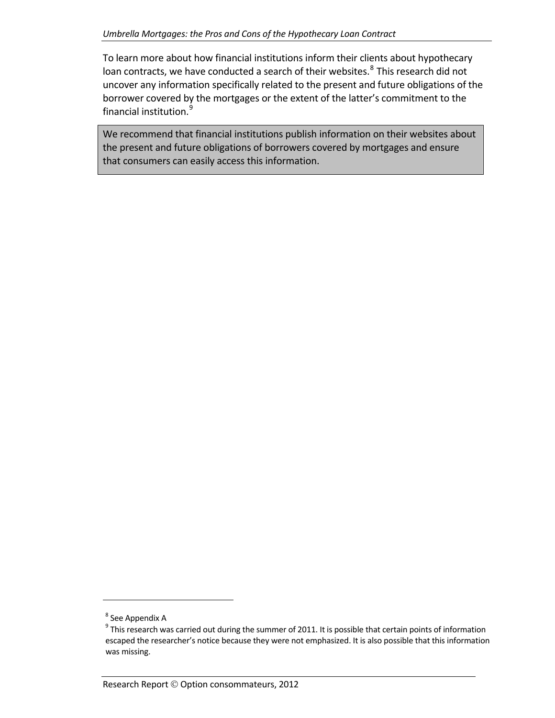To learn more about how financial institutions inform their clients about hypothecary loan contracts, we have conducted a search of their websites.<sup>[8](#page-14-0)</sup> This research did not uncover any information specifically related to the present and future obligations of the borrower covered by the mortgages or the extent of the latter's commitment to the financial institution.<sup>[9](#page-14-1)</sup>

We recommend that financial institutions publish information on their websites about the present and future obligations of borrowers covered by mortgages and ensure that consumers can easily access this information.

<span id="page-14-1"></span><span id="page-14-0"></span>

 $\degree$  See Appendix A<br> $\degree$  This research was carried out during the summer of 2011. It is possible that certain points of information escaped the researcher's notice because they were not emphasized. It is also possible that this information was missing.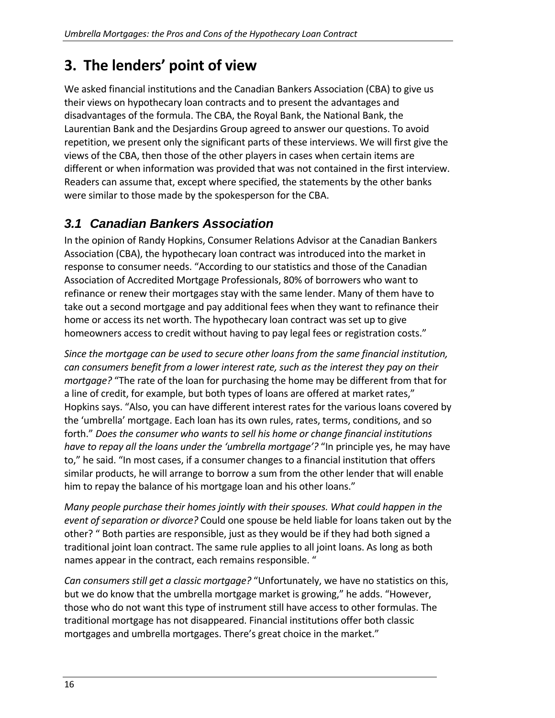# <span id="page-15-0"></span>**3. The lenders' point of view**

We asked financial institutions and the Canadian Bankers Association (CBA) to give us their views on hypothecary loan contracts and to present the advantages and disadvantages of the formula. The CBA, the Royal Bank, the National Bank, the Laurentian Bank and the Desjardins Group agreed to answer our questions. To avoid repetition, we present only the significant parts of these interviews. We will first give the views of the CBA, then those of the other players in cases when certain items are different or when information was provided that was not contained in the first interview. Readers can assume that, except where specified, the statements by the other banks were similar to those made by the spokesperson for the CBA.

# *3.1 Canadian Bankers Association*

<span id="page-15-1"></span>In the opinion of Randy Hopkins, Consumer Relations Advisor at the Canadian Bankers Association (CBA), the hypothecary loan contract was introduced into the market in response to consumer needs. "According to our statistics and those of the Canadian Association of Accredited Mortgage Professionals, 80% of borrowers who want to refinance or renew their mortgages stay with the same lender. Many of them have to take out a second mortgage and pay additional fees when they want to refinance their home or access its net worth. The hypothecary loan contract was set up to give homeowners access to credit without having to pay legal fees or registration costs."

*Since the mortgage can be used to secure other loans from the same financial institution, can consumers benefit from a lower interest rate, such as the interest they pay on their mortgage?* "The rate of the loan for purchasing the home may be different from that for a line of credit, for example, but both types of loans are offered at market rates," Hopkins says. "Also, you can have different interest rates for the various loans covered by the 'umbrella' mortgage. Each loan has its own rules, rates, terms, conditions, and so forth." *Does the consumer who wants to sell his home or change financial institutions have to repay all the loans under the 'umbrella mortgage'?* "In principle yes, he may have to," he said. "In most cases, if a consumer changes to a financial institution that offers similar products, he will arrange to borrow a sum from the other lender that will enable him to repay the balance of his mortgage loan and his other loans."

*Many people purchase their homes jointly with their spouses. What could happen in the event of separation or divorce?* Could one spouse be held liable for loans taken out by the other? " Both parties are responsible, just as they would be if they had both signed a traditional joint loan contract. The same rule applies to all joint loans. As long as both names appear in the contract, each remains responsible. "

*Can consumers still get a classic mortgage?* "Unfortunately, we have no statistics on this, but we do know that the umbrella mortgage market is growing," he adds. "However, those who do not want this type of instrument still have access to other formulas. The traditional mortgage has not disappeared. Financial institutions offer both classic mortgages and umbrella mortgages. There's great choice in the market."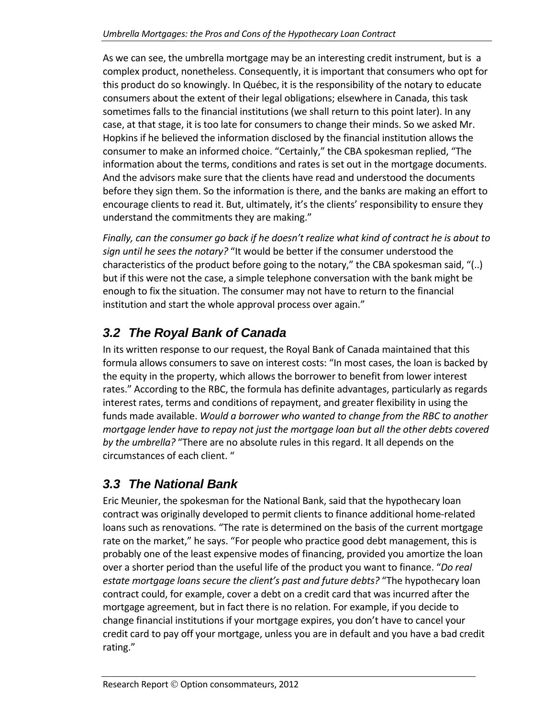As we can see, the umbrella mortgage may be an interesting credit instrument, but is a complex product, nonetheless. Consequently, it is important that consumers who opt for this product do so knowingly. In Québec, it is the responsibility of the notary to educate consumers about the extent of their legal obligations; elsewhere in Canada, this task sometimes falls to the financial institutions (we shall return to this point later). In any case, at that stage, it is too late for consumers to change their minds. So we asked Mr. Hopkins if he believed the information disclosed by the financial institution allows the consumer to make an informed choice. "Certainly," the CBA spokesman replied, "The information about the terms, conditions and rates is set out in the mortgage documents. And the advisors make sure that the clients have read and understood the documents before they sign them. So the information is there, and the banks are making an effort to encourage clients to read it. But, ultimately, it's the clients' responsibility to ensure they understand the commitments they are making."

*Finally, can the consumer go back if he doesn't realize what kind of contract he is about to sign until he sees the notary?* "It would be better if the consumer understood the characteristics of the product before going to the notary," the CBA spokesman said, "(..) but if this were not the case, a simple telephone conversation with the bank might be enough to fix the situation. The consumer may not have to return to the financial institution and start the whole approval process over again."

# *3.2 The Royal Bank of Canada*

<span id="page-16-0"></span>In its written response to our request, the Royal Bank of Canada maintained that this formula allows consumers to save on interest costs: "In most cases, the loan is backed by the equity in the property, which allows the borrower to benefit from lower interest rates." According to the RBC, the formula has definite advantages, particularly as regards interest rates, terms and conditions of repayment, and greater flexibility in using the funds made available. *Would a borrower who wanted to change from the RBC to another mortgage lender have to repay not just the mortgage loan but all the other debts covered by the umbrella?* "There are no absolute rules in this regard. It all depends on the circumstances of each client. "

# *3.3 The National Bank*

<span id="page-16-1"></span>Eric Meunier, the spokesman for the National Bank, said that the hypothecary loan contract was originally developed to permit clients to finance additional home‐related loans such as renovations. "The rate is determined on the basis of the current mortgage rate on the market," he says. "For people who practice good debt management, this is probably one of the least expensive modes of financing, provided you amortize the loan over a shorter period than the useful life of the product you want to finance. "*Do real estate mortgage loans secure the client's past and future debts?* "The hypothecary loan contract could, for example, cover a debt on a credit card that was incurred after the mortgage agreement, but in fact there is no relation. For example, if you decide to change financial institutions if your mortgage expires, you don't have to cancel your credit card to pay off your mortgage, unless you are in default and you have a bad credit rating."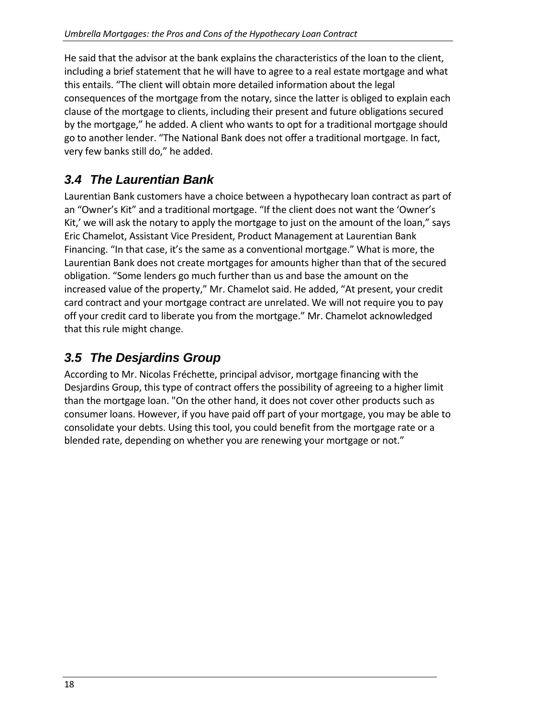He said that the advisor at the bank explains the characteristics of the loan to the client, including a brief statement that he will have to agree to a real estate mortgage and what this entails. "The client will obtain more detailed information about the legal consequences of the mortgage from the notary, since the latter is obliged to explain each clause of the mortgage to clients, including their present and future obligations secured by the mortgage," he added. A client who wants to opt for a traditional mortgage should go to another lender. "The National Bank does not offer a traditional mortgage. In fact, very few banks still do," he added.

# *3.4 The Laurentian Bank*

<span id="page-17-0"></span>Laurentian Bank customers have a choice between a hypothecary loan contract as part of an "Owner's Kit" and a traditional mortgage. "If the client does not want the 'Owner's Kit,' we will ask the notary to apply the mortgage to just on the amount of the loan," says Eric Chamelot, Assistant Vice President, Product Management at Laurentian Bank Financing. "In that case, it's the same as a conventional mortgage." What is more, the Laurentian Bank does not create mortgages for amounts higher than that of the secured obligation. "Some lenders go much further than us and base the amount on the increased value of the property," Mr. Chamelot said. He added, "At present, your credit card contract and your mortgage contract are unrelated. We will not require you to pay off your credit card to liberate you from the mortgage." Mr. Chamelot acknowledged that this rule might change.

# *3.5 The Desjardins Group*

<span id="page-17-1"></span>According to Mr. Nicolas Fréchette, principal advisor, mortgage financing with the Desjardins Group, this type of contract offers the possibility of agreeing to a higher limit than the mortgage loan. "On the other hand, it does not cover other products such as consumer loans. However, if you have paid off part of your mortgage, you may be able to consolidate your debts. Using this tool, you could benefit from the mortgage rate or a blended rate, depending on whether you are renewing your mortgage or not."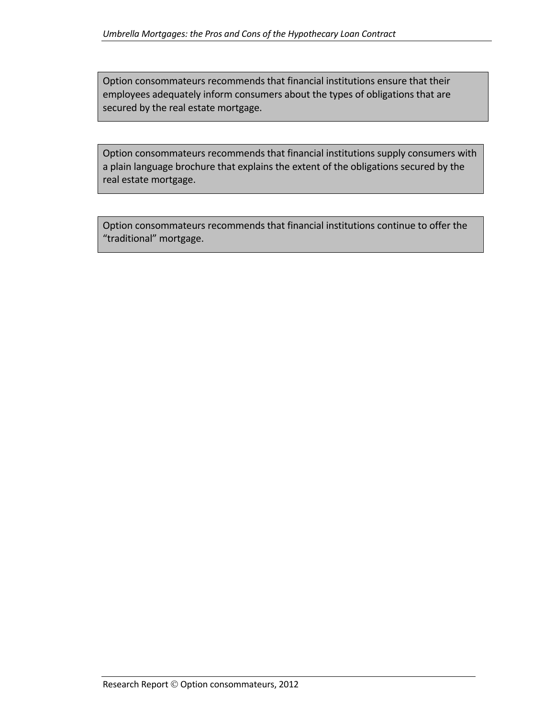Option consommateurs recommends that financial institutions ensure that their employees adequately inform consumers about the types of obligations that are secured by the real estate mortgage.

Option consommateurs recommends that financial institutions supply consumers with a plain language brochure that explains the extent of the obligations secured by the real estate mortgage.

Option consommateurs recommends that financial institutions continue to offer the "traditional" mortgage.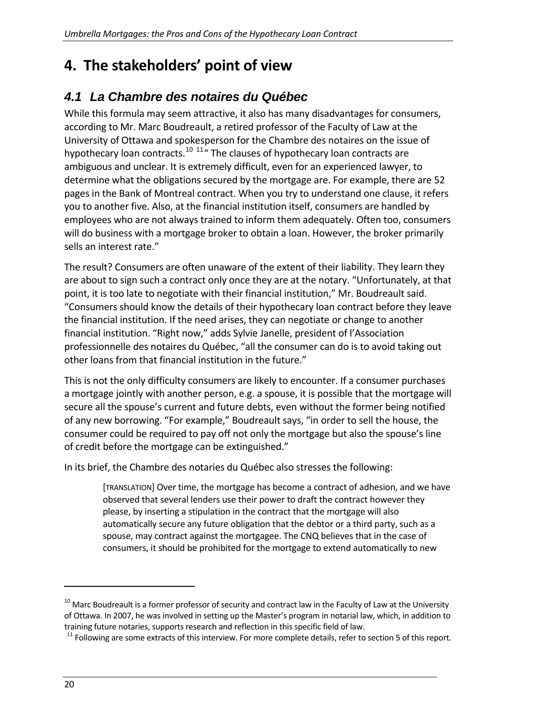# <span id="page-19-0"></span>**4. The stakeholders' point of view**

# *4.1 La Chambre des notaires du Québec*

<span id="page-19-1"></span>While this formula may seem attractive, it also has many disadvantages for consumers, according to Mr. Marc Boudreault, a retired professor of the Faculty of Law at the University of Ottawa and spokesperson for the Chambre des notaires on the issue of hypothecary loan contracts.<sup>[10](#page-19-2) [11](#page-19-3)</sup>" The clauses of hypothecary loan contracts are ambiguous and unclear. It is extremely difficult, even for an experienced lawyer, to determine what the obligations secured by the mortgage are. For example, there are 52 pages in the Bank of Montreal contract. When you try to understand one clause, it refers you to another five. Also, at the financial institution itself, consumers are handled by employees who are not always trained to inform them adequately. Often too, consumers will do business with a mortgage broker to obtain a loan. However, the broker primarily sells an interest rate."

The result? Consumers are often unaware of the extent of their liability. They learn they are about to sign such a contract only once they are at the notary. "Unfortunately, at that point, it is too late to negotiate with their financial institution," Mr. Boudreault said. "Consumers should know the details of their hypothecary loan contract before they leave the financial institution. If the need arises, they can negotiate or change to another financial institution. "Right now," adds Sylvie Janelle, president of l'Association professionnelle des notaires du Québec, "all the consumer can do is to avoid taking out other loans from that financial institution in the future."

This is not the only difficulty consumers are likely to encounter. If a consumer purchases a mortgage jointly with another person, e.g. a spouse, it is possible that the mortgage will secure all the spouse's current and future debts, even without the former being notified of any new borrowing. "For example," Boudreault says, "in order to sell the house, the consumer could be required to pay off not only the mortgage but also the spouse's line of credit before the mortgage can be extinguished."

In its brief, the Chambre des notaries du Québec also stresses the following:

[TRANSLATION] Over time, the mortgage has become a contract of adhesion, and we have observed that several lenders use their power to draft the contract however they please, by inserting a stipulation in the contract that the mortgage will also automatically secure any future obligation that the debtor or a third party, such as a spouse, may contract against the mortgagee. The CNQ believes that in the case of consumers, it should be prohibited for the mortgage to extend automatically to new

<span id="page-19-2"></span><sup>&</sup>lt;sup>10</sup> Marc Boudreault is a former professor of security and contract law in the Faculty of Law at the University of Ottawa. In 2007, he was involved in setting up the Master's program in notarial law, which, in addition to

<span id="page-19-3"></span>training future notaries, supports research and reflection in this specific field of law.<br><sup>11</sup> Following are some extracts of this interview. For more complete details, refer to section 5 of this report.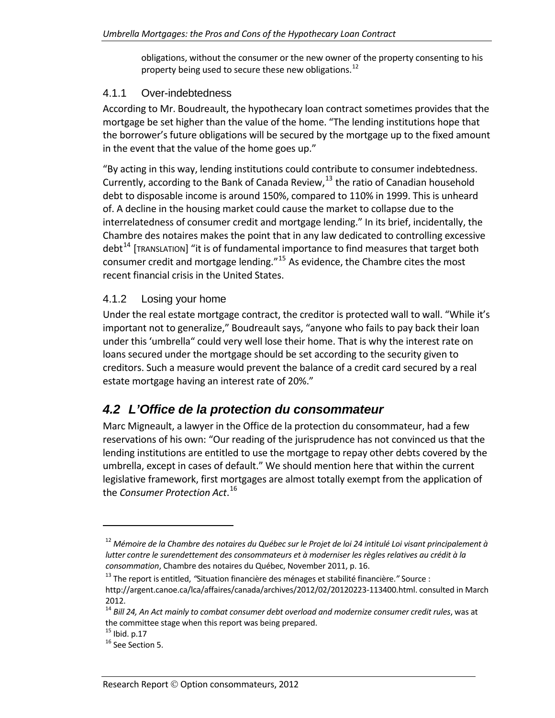obligations, without the consumer or the new owner of the property consenting to his property being used to secure these new obligations.<sup>[12](#page-20-3)</sup>

#### <span id="page-20-0"></span>4.1.1 Over-indebtedness

According to Mr. Boudreault, the hypothecary loan contract sometimes provides that the mortgage be set higher than the value of the home. "The lending institutions hope that the borrower's future obligations will be secured by the mortgage up to the fixed amount in the event that the value of the home goes up."

"By acting in this way, lending institutions could contribute to consumer indebtedness. Currently, according to the Bank of Canada Review,[13](#page-20-4) the ratio of Canadian household debt to disposable income is around 150%, compared to 110% in 1999. This is unheard of. A decline in the housing market could cause the market to collapse due to the interrelatedness of consumer credit and mortgage lending." In its brief, incidentally, the Chambre des notaires makes the point that in any law dedicated to controlling excessive debt<sup>[14](#page-20-5)</sup> [TRANSLATION] "it is of fundamental importance to find measures that target both consumer credit and mortgage lending."[15](#page-20-6) As evidence, the Chambre cites the most recent financial crisis in the United States.

### <span id="page-20-1"></span>4.1.2 Losing your home

Under the real estate mortgage contract, the creditor is protected wall to wall. "While it's important not to generalize," Boudreault says, "anyone who fails to pay back their loan under this 'umbrella" could very well lose their home. That is why the interest rate on loans secured under the mortgage should be set according to the security given to creditors. Such a measure would prevent the balance of a credit card secured by a real estate mortgage having an interest rate of 20%."

# *4.2 L'Office de la protection du consommateur*

<span id="page-20-2"></span>Marc Migneault, a lawyer in the Office de la protection du consommateur, had a few reservations of his own: "Our reading of the jurisprudence has not convinced us that the lending institutions are entitled to use the mortgage to repay other debts covered by the umbrella, except in cases of default." We should mention here that within the current legislative framework, first mortgages are almost totally exempt from the application of the *Consumer Protection Act*. [16](#page-20-7)

<span id="page-20-3"></span><sup>&</sup>lt;sup>12</sup> Mémoire de la Chambre des notaires du Québec sur le Projet de loi 24 intitulé Loi visant principalement à *lutter contre le surendettement des consommateurs et à moderniser les règles relatives au crédit à la consommation*, Chambre des notaires du Québec, November 2011, p. 16.

<span id="page-20-4"></span><sup>13</sup> The report is entitled, *"*Situation financière des ménages et stabilité financière.*"* Source : http://argent.canoe.ca/lca/affaires/canada/archives/2012/02/20120223‐113400.html. consulted in March 2012.

<span id="page-20-5"></span><sup>14</sup> *Bill 24, An Act mainly to combat consumer debt overload and modernize consumer credit rules*, was at the committee stage when this report was being prepared.<br> $^{15}$  Ibid. p.17<br> $^{16}$  See Section 5.

<span id="page-20-7"></span><span id="page-20-6"></span>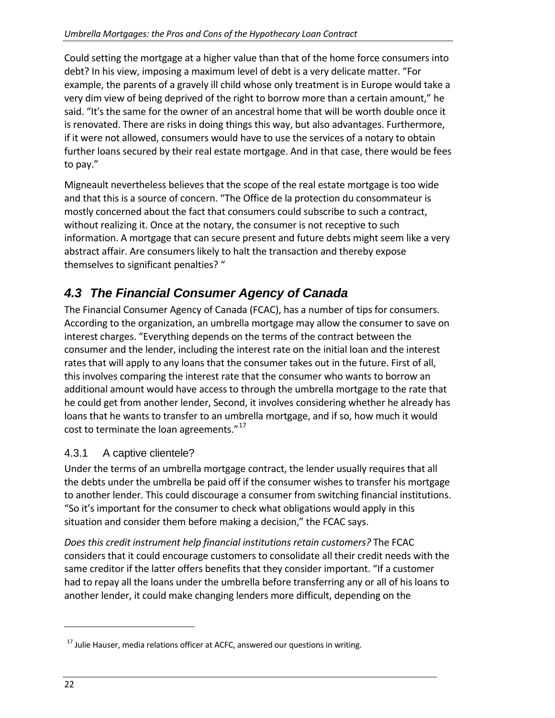Could setting the mortgage at a higher value than that of the home force consumers into debt? In his view, imposing a maximum level of debt is a very delicate matter. "For example, the parents of a gravely ill child whose only treatment is in Europe would take a very dim view of being deprived of the right to borrow more than a certain amount," he said. "It's the same for the owner of an ancestral home that will be worth double once it is renovated. There are risks in doing things this way, but also advantages. Furthermore, if it were not allowed, consumers would have to use the services of a notary to obtain further loans secured by their real estate mortgage. And in that case, there would be fees to pay."

Migneault nevertheless believes that the scope of the real estate mortgage is too wide and that this is a source of concern. "The Office de la protection du consommateur is mostly concerned about the fact that consumers could subscribe to such a contract, without realizing it. Once at the notary, the consumer is not receptive to such information. A mortgage that can secure present and future debts might seem like a very abstract affair. Are consumers likely to halt the transaction and thereby expose themselves to significant penalties? "

# *4.3 The Financial Consumer Agency of Canada*

<span id="page-21-0"></span>The Financial Consumer Agency of Canada (FCAC), has a number of tips for consumers. According to the organization, an umbrella mortgage may allow the consumer to save on interest charges. "Everything depends on the terms of the contract between the consumer and the lender, including the interest rate on the initial loan and the interest rates that will apply to any loans that the consumer takes out in the future. First of all, this involves comparing the interest rate that the consumer who wants to borrow an additional amount would have access to through the umbrella mortgage to the rate that he could get from another lender, Second, it involves considering whether he already has loans that he wants to transfer to an umbrella mortgage, and if so, how much it would cost to terminate the loan agreements."<sup>[17](#page-21-2)</sup>

## <span id="page-21-1"></span>4.3.1 A captive clientele?

Under the terms of an umbrella mortgage contract, the lender usually requires that all the debts under the umbrella be paid off if the consumer wishes to transfer his mortgage to another lender. This could discourage a consumer from switching financial institutions. "So it's important for the consumer to check what obligations would apply in this situation and consider them before making a decision," the FCAC says.

*Does this credit instrument help financial institutions retain customers?* The FCAC considers that it could encourage customers to consolidate all their credit needs with the same creditor if the latter offers benefits that they consider important. "If a customer had to repay all the loans under the umbrella before transferring any or all of his loans to another lender, it could make changing lenders more difficult, depending on the

<span id="page-21-2"></span> $17$  Julie Hauser, media relations officer at ACFC, answered our questions in writing.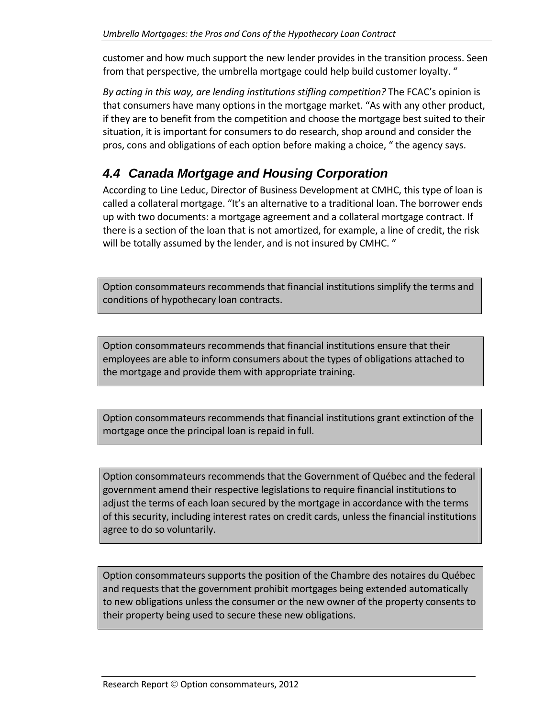customer and how much support the new lender provides in the transition process. Seen from that perspective, the umbrella mortgage could help build customer loyalty. "

*By acting in this way, are lending institutions stifling competition?* The FCAC's opinion is that consumers have many options in the mortgage market. "As with any other product, if they are to benefit from the competition and choose the mortgage best suited to their situation, it is important for consumers to do research, shop around and consider the pros, cons and obligations of each option before making a choice, " the agency says.

# *4.4 Canada Mortgage and Housing Corporation*

<span id="page-22-0"></span>According to Line Leduc, Director of Business Development at CMHC, this type of loan is called a collateral mortgage. "It's an alternative to a traditional loan. The borrower ends up with two documents: a mortgage agreement and a collateral mortgage contract. If there is a section of the loan that is not amortized, for example, a line of credit, the risk will be totally assumed by the lender, and is not insured by CMHC. "

Option consommateurs recommends that financial institutions simplify the terms and conditions of hypothecary loan contracts.

Option consommateurs recommends that financial institutions ensure that their employees are able to inform consumers about the types of obligations attached to the mortgage and provide them with appropriate training.

Option consommateurs recommends that financial institutions grant extinction of the mortgage once the principal loan is repaid in full.

Option consommateurs recommends that the Government of Québec and the federal government amend their respective legislations to require financial institutions to adjust the terms of each loan secured by the mortgage in accordance with the terms of this security, including interest rates on credit cards, unless the financial institutions agree to do so voluntarily.

Option consommateurs supports the position of the Chambre des notaires du Québec and requests that the government prohibit mortgages being extended automatically to new obligations unless the consumer or the new owner of the property consents to their property being used to secure these new obligations.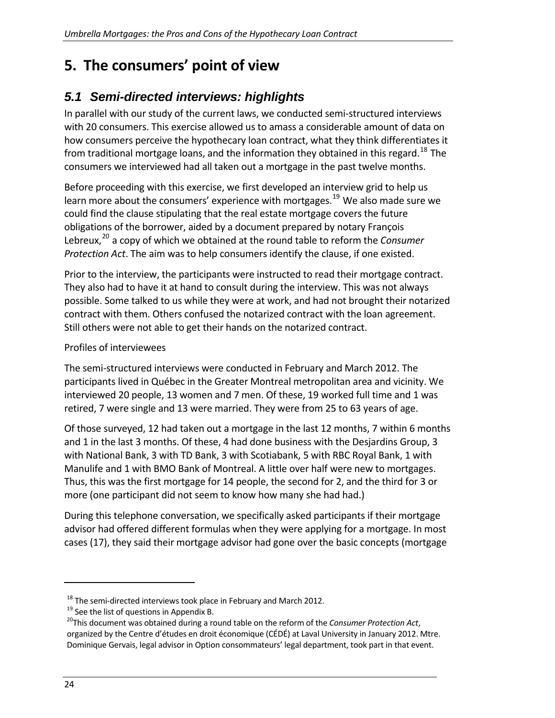# <span id="page-23-0"></span>**5. The consumers' point of view**

# *5.1 Semi-directed interviews: highlights*

<span id="page-23-1"></span>In parallel with our study of the current laws, we conducted semi‐structured interviews with 20 consumers. This exercise allowed us to amass a considerable amount of data on how consumers perceive the hypothecary loan contract, what they think differentiates it from traditional mortgage loans, and the information they obtained in this regard.<sup>[18](#page-23-2)</sup> The consumers we interviewed had all taken out a mortgage in the past twelve months.

Before proceeding with this exercise, we first developed an interview grid to help us learn more about the consumers' experience with mortgages.<sup>[19](#page-23-3)</sup> We also made sure we could find the clause stipulating that the real estate mortgage covers the future obligations of the borrower, aided by a document prepared by notary François Lebreux,[20](#page-23-4) a copy of which we obtained at the round table to reform the *Consumer Protection Act*. The aim was to help consumers identify the clause, if one existed.

Prior to the interview, the participants were instructed to read their mortgage contract. They also had to have it at hand to consult during the interview. This was not always possible. Some talked to us while they were at work, and had not brought their notarized contract with them. Others confused the notarized contract with the loan agreement. Still others were not able to get their hands on the notarized contract.

### Profiles of interviewees

The semi‐structured interviews were conducted in February and March 2012. The participants lived in Québec in the Greater Montreal metropolitan area and vicinity. We interviewed 20 people, 13 women and 7 men. Of these, 19 worked full time and 1 was retired, 7 were single and 13 were married. They were from 25 to 63 years of age.

Of those surveyed, 12 had taken out a mortgage in the last 12 months, 7 within 6 months and 1 in the last 3 months. Of these, 4 had done business with the Desjardins Group, 3 with National Bank, 3 with TD Bank, 3 with Scotiabank, 5 with RBC Royal Bank, 1 with Manulife and 1 with BMO Bank of Montreal. A little over half were new to mortgages. Thus, this was the first mortgage for 14 people, the second for 2, and the third for 3 or more (one participant did not seem to know how many she had had.)

During this telephone conversation, we specifically asked participants if their mortgage advisor had offered different formulas when they were applying for a mortgage. In most cases (17), they said their mortgage advisor had gone over the basic concepts (mortgage

<span id="page-23-2"></span>

<span id="page-23-4"></span><span id="page-23-3"></span>

<sup>&</sup>lt;sup>18</sup> The semi-directed interviews took place in February and March 2012.<br><sup>19</sup> See the list of questions in Appendix B.<br><sup>20</sup>This document was obtained during a round table on the reform of the *Consumer Protection Act*, organized by the Centre d'études en droit économique (CÉDÉ) at Laval University in January 2012. Mtre. Dominique Gervais, legal advisor in Option consommateurs' legal department, took part in that event.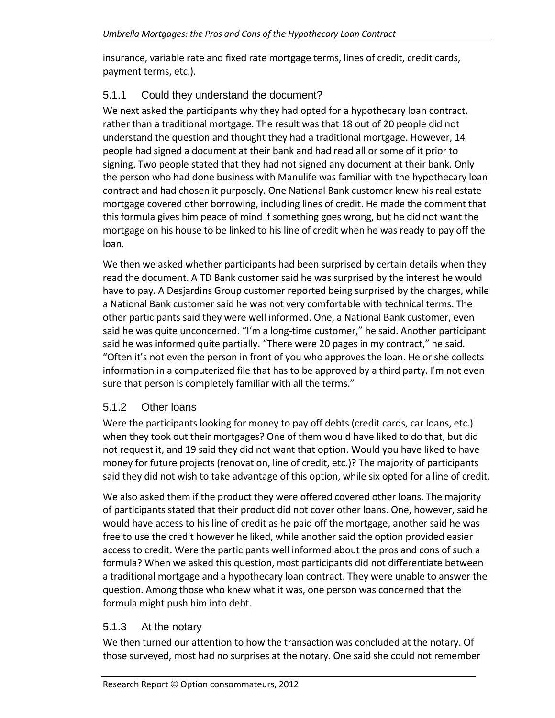insurance, variable rate and fixed rate mortgage terms, lines of credit, credit cards, payment terms, etc.).

## <span id="page-24-0"></span>5.1.1 Could they understand the document?

We next asked the participants why they had opted for a hypothecary loan contract, rather than a traditional mortgage. The result was that 18 out of 20 people did not understand the question and thought they had a traditional mortgage. However, 14 people had signed a document at their bank and had read all or some of it prior to signing. Two people stated that they had not signed any document at their bank. Only the person who had done business with Manulife was familiar with the hypothecary loan contract and had chosen it purposely. One National Bank customer knew his real estate mortgage covered other borrowing, including lines of credit. He made the comment that this formula gives him peace of mind if something goes wrong, but he did not want the mortgage on his house to be linked to his line of credit when he was ready to pay off the loan.

We then we asked whether participants had been surprised by certain details when they read the document. A TD Bank customer said he was surprised by the interest he would have to pay. A Desjardins Group customer reported being surprised by the charges, while a National Bank customer said he was not very comfortable with technical terms. The other participants said they were well informed. One, a National Bank customer, even said he was quite unconcerned. "I'm a long‐time customer," he said. Another participant said he was informed quite partially. "There were 20 pages in my contract," he said. "Often it's not even the person in front of you who approves the loan. He or she collects information in a computerized file that has to be approved by a third party. I'm not even sure that person is completely familiar with all the terms."

## <span id="page-24-1"></span>5.1.2 Other loans

Were the participants looking for money to pay off debts (credit cards, car loans, etc.) when they took out their mortgages? One of them would have liked to do that, but did not request it, and 19 said they did not want that option. Would you have liked to have money for future projects (renovation, line of credit, etc.)? The majority of participants said they did not wish to take advantage of this option, while six opted for a line of credit.

We also asked them if the product they were offered covered other loans. The majority of participants stated that their product did not cover other loans. One, however, said he would have access to his line of credit as he paid off the mortgage, another said he was free to use the credit however he liked, while another said the option provided easier access to credit. Were the participants well informed about the pros and cons of such a formula? When we asked this question, most participants did not differentiate between a traditional mortgage and a hypothecary loan contract. They were unable to answer the question. Among those who knew what it was, one person was concerned that the formula might push him into debt.

## <span id="page-24-2"></span>5.1.3 At the notary

We then turned our attention to how the transaction was concluded at the notary. Of those surveyed, most had no surprises at the notary. One said she could not remember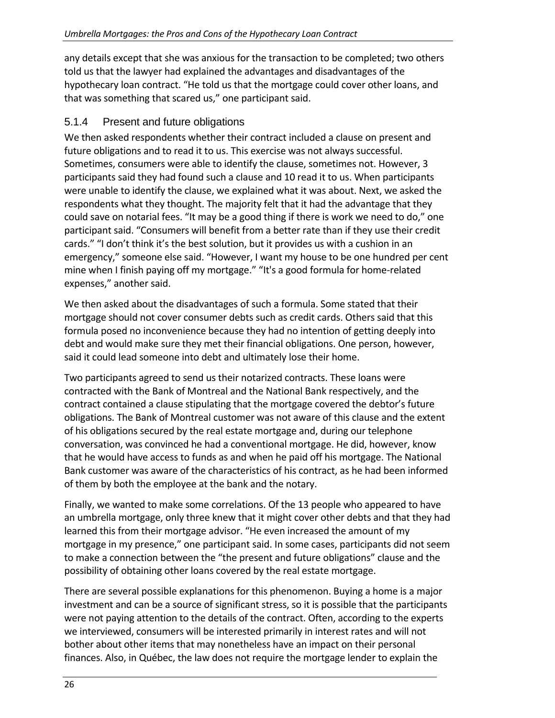any details except that she was anxious for the transaction to be completed; two others told us that the lawyer had explained the advantages and disadvantages of the hypothecary loan contract. "He told us that the mortgage could cover other loans, and that was something that scared us," one participant said.

## 5.1.4 Present and future obligations

<span id="page-25-0"></span>We then asked respondents whether their contract included a clause on present and future obligations and to read it to us. This exercise was not always successful. Sometimes, consumers were able to identify the clause, sometimes not. However, 3 participants said they had found such a clause and 10 read it to us. When participants were unable to identify the clause, we explained what it was about. Next, we asked the respondents what they thought. The majority felt that it had the advantage that they could save on notarial fees. "It may be a good thing if there is work we need to do," one participant said. "Consumers will benefit from a better rate than if they use their credit cards." "I don't think it's the best solution, but it provides us with a cushion in an emergency," someone else said. "However, I want my house to be one hundred per cent mine when I finish paying off my mortgage." "It's a good formula for home-related expenses," another said.

We then asked about the disadvantages of such a formula. Some stated that their mortgage should not cover consumer debts such as credit cards. Others said that this formula posed no inconvenience because they had no intention of getting deeply into debt and would make sure they met their financial obligations. One person, however, said it could lead someone into debt and ultimately lose their home.

Two participants agreed to send us their notarized contracts. These loans were contracted with the Bank of Montreal and the National Bank respectively, and the contract contained a clause stipulating that the mortgage covered the debtor's future obligations. The Bank of Montreal customer was not aware of this clause and the extent of his obligations secured by the real estate mortgage and, during our telephone conversation, was convinced he had a conventional mortgage. He did, however, know that he would have access to funds as and when he paid off his mortgage. The National Bank customer was aware of the characteristics of his contract, as he had been informed of them by both the employee at the bank and the notary.

Finally, we wanted to make some correlations. Of the 13 people who appeared to have an umbrella mortgage, only three knew that it might cover other debts and that they had learned this from their mortgage advisor. "He even increased the amount of my mortgage in my presence," one participant said. In some cases, participants did not seem to make a connection between the "the present and future obligations" clause and the possibility of obtaining other loans covered by the real estate mortgage.

There are several possible explanations for this phenomenon. Buying a home is a major investment and can be a source of significant stress, so it is possible that the participants were not paying attention to the details of the contract. Often, according to the experts we interviewed, consumers will be interested primarily in interest rates and will not bother about other items that may nonetheless have an impact on their personal finances. Also, in Québec, the law does not require the mortgage lender to explain the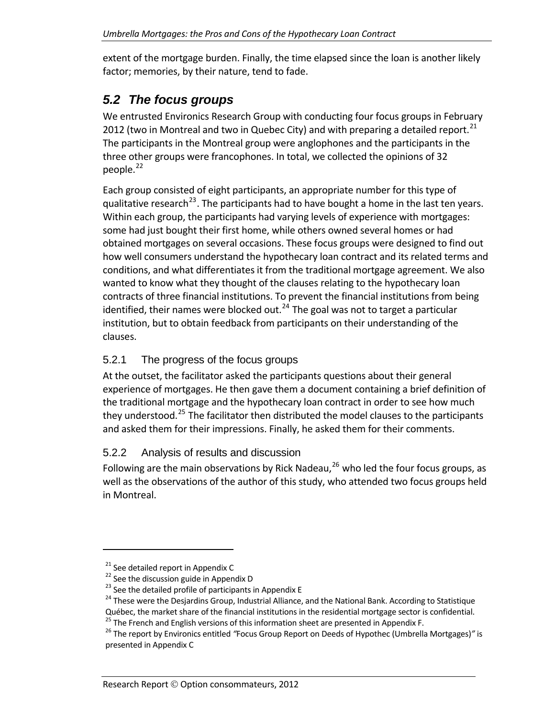extent of the mortgage burden. Finally, the time elapsed since the loan is another likely factor; memories, by their nature, tend to fade.

## *5.2 The focus groups*

<span id="page-26-0"></span>We entrusted Environics Research Group with conducting four focus groups in February 2012 (two in Montreal and two in Quebec City) and with preparing a detailed report.<sup>[21](#page-26-3)</sup> The participants in the Montreal group were anglophones and the participants in the three other groups were francophones. In total, we collected the opinions of 32 people. $^{22}$  $^{22}$  $^{22}$ 

[qualitative](#page-26-4) research<sup>23</sup>. The [participants](#page-26-5) had to have bought a home in the last ten years. Within each group, the [participants](#page-26-5) had varying levels of experience with mortgages: conditions, and what [differentiates](#page-26-5) it from the traditional mortgage agreement. We also contracts of three financial [institutions.](#page-26-5) To prevent the financial institutions from being [institutio](#page-26-5)n, but to obtain feedback from participants on their understanding of the clauses. Each group consisted of eight [participants,](#page-26-4) an appropriate number for this type of some had just [bought](#page-26-5) their first home, while others owned several homes or had obtained [mortgages](#page-26-5) on several occasions. These focus groups were designed to find out how well consumers understand the [hypothecary](#page-26-5) loan contract and its related terms and wanted to know what they thought of the clauses relating to the [hypothecary](#page-26-5) loan [identified,](#page-26-5) their names were blocked out.<sup>24</sup> The goal was not to target a particular

### <span id="page-26-1"></span>5.2.1 The progress of the focus groups

they understood.<sup>[25](#page-26-6)</sup> The facilitator then distributed the model clauses to the participants and asked them for their impressions. Finally, he asked them for their comments. At the outset, the facilitator asked the participants questions about their general experience of mortgages. He then gave them a document containing a brief definition of the traditional mortgage and the hypothecary loan contract in order to see how much

#### 5.2.2 Analysis of results and discussion

<span id="page-26-2"></span>well as the observations of the author of this study, who attended two focus groups held in Montreal. Following are the main observations by Rick Nadeau, $^{26}$  $^{26}$  $^{26}$  who led the four focus groups, as

<span id="page-26-5"></span><span id="page-26-4"></span>

<span id="page-26-3"></span><sup>&</sup>lt;sup>21</sup> See detailed report in Appendix C<br>
<sup>22</sup> See the discussion guide in Appendix D<br>
<sup>23</sup> See the detailed profile of participants in Appendix E<br>
<sup>24</sup> These were the Desjardins Group, Industrial Alliance, and the National

<span id="page-26-6"></span><sup>&</sup>lt;sup>25</sup> The French and English versions of this information sheet are presented in Appendix F.<br><sup>26</sup> The report by Environics entitled "Focus Group Report on Deeds of Hypothec (Umbrella Mortgages)" is

<span id="page-26-7"></span>presented in Appendix C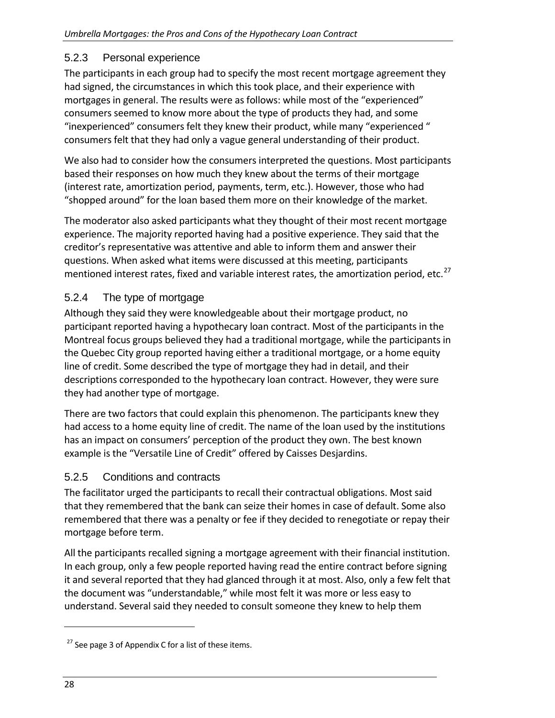### 5.2.3 Personal experience

<span id="page-27-0"></span>The participants in each group had to specify the most recent mortgage agreement they had signed, the circumstances in which this took place, and their experience with mortgages in general. The results were as follows: while most of the "experienced" consumers seemed to know more about the type of products they had, and some "inexperienced" consumers felt they knew their product, while many "experienced " consumers felt that they had only a vague general understanding of their product.

We also had to consider how the consumers interpreted the questions. Most participants based their responses on how much they knew about the terms of their mortgage (interest rate, amortization period, payments, term, etc.). However, those who had "shopped around" for the loan based them more on their knowledge of the market.

The moderator also asked participants what they thought of their most recent mortgage experience. The majority reported having had a positive experience. They said that the creditor's representative was attentive and able to inform them and answer their questions. When asked what items were discussed at this meeting, participants mentioned interest rates, fixed and variable interest rates, the amortization period, etc. $27$ 

## <span id="page-27-1"></span>5.2.4 The type of mortgage

Although they said they were knowledgeable about their mortgage product, no participant reported having a hypothecary loan contract. Most of the participants in the Montreal focus groups believed they had a traditional mortgage, while the participants in the Quebec City group reported having either a traditional mortgage, or a home equity line of credit. Some described the type of mortgage they had in detail, and their descriptions corresponded to the hypothecary loan contract. However, they were sure they had another type of mortgage.

There are two factors that could explain this phenomenon. The participants knew they had access to a home equity line of credit. The name of the loan used by the institutions has an impact on consumers' perception of the product they own. The best known example is the "Versatile Line of Credit" offered by Caisses Desjardins.

## 5.2.5 Conditions and contracts

<span id="page-27-2"></span>The facilitator urged the participants to recall their contractual obligations. Most said that they remembered that the bank can seize their homes in case of default. Some also remembered that there was a penalty or fee if they decided to renegotiate or repay their mortgage before term.

All the participants recalled signing a mortgage agreement with their financial institution. In each group, only a few people reported having read the entire contract before signing it and several reported that they had glanced through it at most. Also, only a few felt that the document was "understandable," while most felt it was more or less easy to understand. Several said they needed to consult someone they knew to help them

<span id="page-27-3"></span> $27$  See page 3 of Appendix C for a list of these items.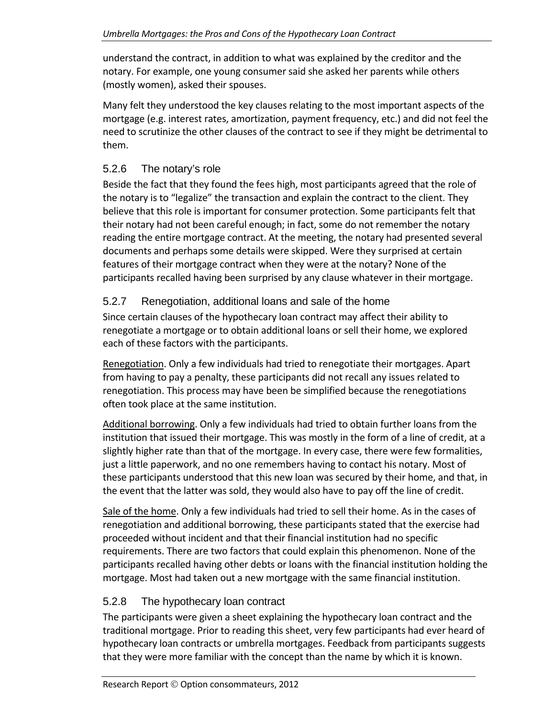understand the contract, in addition to what was explained by the creditor and the notary. For example, one young consumer said she asked her parents while others (mostly women), asked their spouses.

Many felt they understood the key clauses relating to the most important aspects of the mortgage (e.g. interest rates, amortization, payment frequency, etc.) and did not feel the need to scrutinize the other clauses of the contract to see if they might be detrimental to them.

## <span id="page-28-0"></span>5.2.6 The notary's role

Beside the fact that they found the fees high, most participants agreed that the role of the notary is to "legalize" the transaction and explain the contract to the client. They believe that this role is important for consumer protection. Some participants felt that their notary had not been careful enough; in fact, some do not remember the notary reading the entire mortgage contract. At the meeting, the notary had presented several documents and perhaps some details were skipped. Were they surprised at certain features of their mortgage contract when they were at the notary? None of the participants recalled having been surprised by any clause whatever in their mortgage.

## <span id="page-28-1"></span>5.2.7 Renegotiation, additional loans and sale of the home

Since certain clauses of the hypothecary loan contract may affect their ability to renegotiate a mortgage or to obtain additional loans or sell their home, we explored each of these factors with the participants.

Renegotiation. Only a few individuals had tried to renegotiate their mortgages. Apart from having to pay a penalty, these participants did not recall any issues related to renegotiation. This process may have been be simplified because the renegotiations often took place at the same institution.

Additional borrowing. Only a few individuals had tried to obtain further loans from the institution that issued their mortgage. This was mostly in the form of a line of credit, at a slightly higher rate than that of the mortgage. In every case, there were few formalities, just a little paperwork, and no one remembers having to contact his notary. Most of these participants understood that this new loan was secured by their home, and that, in the event that the latter was sold, they would also have to pay off the line of credit.

Sale of the home. Only a few individuals had tried to sell their home. As in the cases of renegotiation and additional borrowing, these participants stated that the exercise had proceeded without incident and that their financial institution had no specific requirements. There are two factors that could explain this phenomenon. None of the participants recalled having other debts or loans with the financial institution holding the mortgage. Most had taken out a new mortgage with the same financial institution.

## <span id="page-28-2"></span>5.2.8 The hypothecary loan contract

The participants were given a sheet explaining the hypothecary loan contract and the traditional mortgage. Prior to reading this sheet, very few participants had ever heard of hypothecary loan contracts or umbrella mortgages. Feedback from participants suggests that they were more familiar with the concept than the name by which it is known.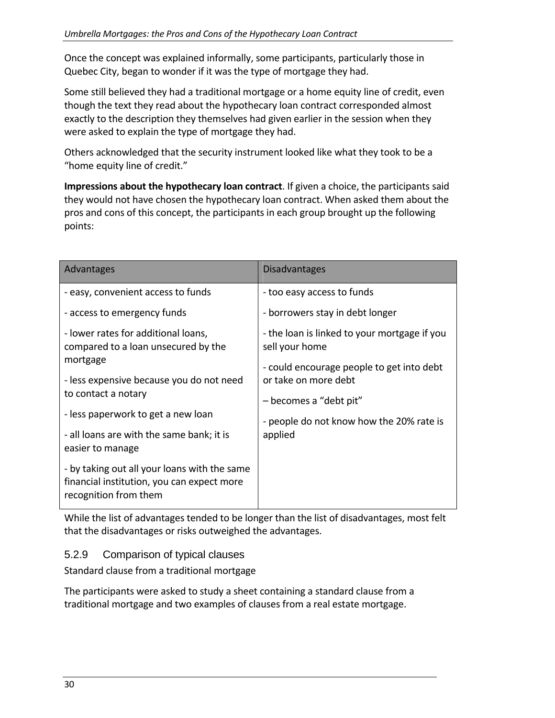Once the concept was explained informally, some participants, particularly those in Quebec City, began to wonder if it was the type of mortgage they had.

Some still believed they had a traditional mortgage or a home equity line of credit, even though the text they read about the hypothecary loan contract corresponded almost exactly to the description they themselves had given earlier in the session when they were asked to explain the type of mortgage they had.

Others acknowledged that the security instrument looked like what they took to be a "home equity line of credit."

**Impressions about the hypothecary loan contract**. If given a choice, the participants said they would not have chosen the hypothecary loan contract. When asked them about the pros and cons of this concept, the participants in each group brought up the following points:

| Advantages                                                                                                          | <b>Disadvantages</b>                                              |
|---------------------------------------------------------------------------------------------------------------------|-------------------------------------------------------------------|
| - easy, convenient access to funds                                                                                  | - too easy access to funds                                        |
| - access to emergency funds                                                                                         | - borrowers stay in debt longer                                   |
| - lower rates for additional loans,<br>compared to a loan unsecured by the                                          | - the loan is linked to your mortgage if you<br>sell your home    |
| mortgage<br>- less expensive because you do not need                                                                | - could encourage people to get into debt<br>or take on more debt |
| to contact a notary                                                                                                 | - becomes a "debt pit"                                            |
| - less paperwork to get a new loan                                                                                  | - people do not know how the 20% rate is<br>applied               |
| - all loans are with the same bank; it is<br>easier to manage                                                       |                                                                   |
| - by taking out all your loans with the same<br>financial institution, you can expect more<br>recognition from them |                                                                   |

While the list of advantages tended to be longer than the list of disadvantages, most felt that the disadvantages or risks outweighed the advantages.

## <span id="page-29-0"></span>5.2.9 Comparison of typical clauses

Standard clause from a traditional mortgage

The participants were asked to study a sheet containing a standard clause from a traditional mortgage and two examples of clauses from a real estate mortgage.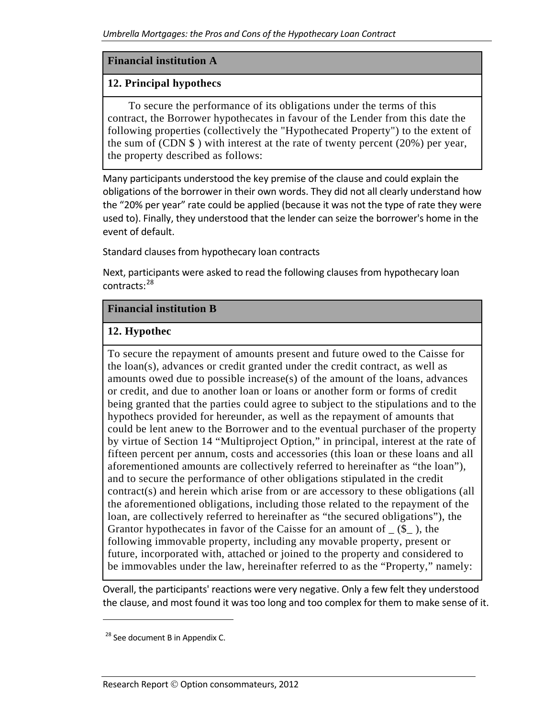#### **Financial institution A**

#### **12. Principal hypothecs**

 To secure the performance of its obligations under the terms of this contract, the Borrower hypothecates in favour of the Lender from this date the following properties (collectively the "Hypothecated Property") to the extent of the sum of  $(CDN \$ ) with interest at the rate of twenty percent  $(20\%)$  per year, the property described as follows:

Many participants understood the key premise of the clause and could explain the obligations of the borrower in their own words. They did not all clearly understand how the "20% per year" rate could be applied (because it was not the type of rate they were used to). Finally, they understood that the lender can seize the borrower's home in the event of default.

Standard clauses from hypothecary loan contracts

Next, participants were asked to read the following clauses from hypothecary loan contracts:<sup>[28](#page-30-0)</sup>

#### **Financial institution B**

#### **12. Hypothec**

To secure the repayment of amounts present and future owed to the Caisse for the loan(s), advances or credit granted under the credit contract, as well as amounts owed due to possible increase(s) of the amount of the loans, advances or credit, and due to another loan or loans or another form or forms of credit being granted that the parties could agree to subject to the stipulations and to the hypothecs provided for hereunder, as well as the repayment of amounts that could be lent anew to the Borrower and to the eventual purchaser of the property by virtue of Section 14 "Multiproject Option," in principal, interest at the rate of fifteen percent per annum, costs and accessories (this loan or these loans and all aforementioned amounts are collectively referred to hereinafter as "the loan"), and to secure the performance of other obligations stipulated in the credit contract(s) and herein which arise from or are accessory to these obligations (all the aforementioned obligations, including those related to the repayment of the loan, are collectively referred to hereinafter as "the secured obligations"), the Grantor hypothecates in favor of the Caisse for an amount of  $(S_$ ), the following immovable property, including any movable property, present or future, incorporated with, attached or joined to the property and considered to be immovables under the law, hereinafter referred to as the "Property," namely:

Overall, the participants' reactions were very negative. Only a few felt they understood the clause, and most found it was too long and too complex for them to make sense of it.

<span id="page-30-0"></span><sup>&</sup>lt;sup>28</sup> See document B in Appendix C.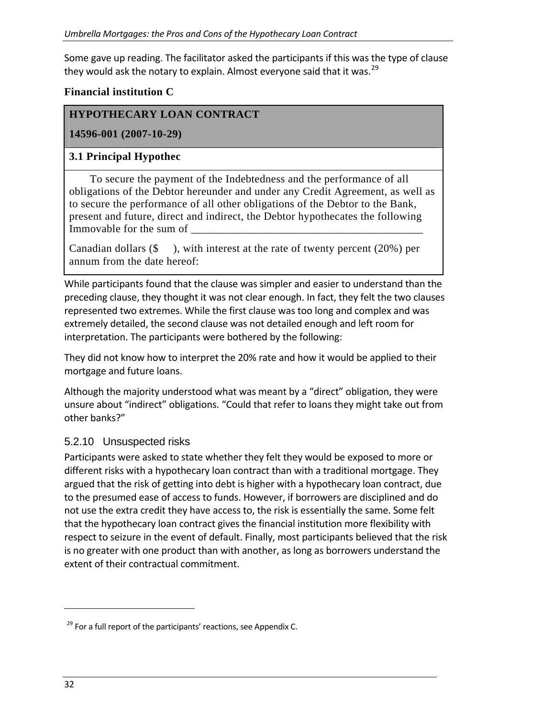Some gave up reading. The facilitator asked the participants if this was the type of clause they would ask the notary to explain. Almost everyone said that it was.  $^{29}$  $^{29}$  $^{29}$ 

#### **Financial institution C**

### **HYPOTHECARY LOAN CONTRACT**

**14596-001 (2007-10-29)** 

#### **3.1 Principal Hypothec**

 To secure the payment of the Indebtedness and the performance of all obligations of the Debtor hereunder and under any Credit Agreement, as well as to secure the performance of all other obligations of the Debtor to the Bank, present and future, direct and indirect, the Debtor hypothecates the following Immovable for the sum of

Canadian dollars  $(\$ \)$ , with interest at the rate of twenty percent (20%) per annum from the date hereof:

While participants found that the clause was simpler and easier to understand than the preceding clause, they thought it was not clear enough. In fact, they felt the two clauses represented two extremes. While the first clause was too long and complex and was extremely detailed, the second clause was not detailed enough and left room for interpretation. The participants were bothered by the following:

They did not know how to interpret the 20% rate and how it would be applied to their mortgage and future loans.

Although the majority understood what was meant by a "direct" obligation, they were unsure about "indirect" obligations. "Could that refer to loans they might take out from other banks?"

#### <span id="page-31-0"></span>5.2.10 Unsuspected risks

Participants were asked to state whether they felt they would be exposed to more or different risks with a hypothecary loan contract than with a traditional mortgage. They argued that the risk of getting into debt is higher with a hypothecary loan contract, due to the presumed ease of access to funds. However, if borrowers are disciplined and do not use the extra credit they have access to, the risk is essentially the same. Some felt that the hypothecary loan contract gives the financial institution more flexibility with respect to seizure in the event of default. Finally, most participants believed that the risk is no greater with one product than with another, as long as borrowers understand the extent of their contractual commitment.

<span id="page-31-1"></span> $29$  For a full report of the participants' reactions, see Appendix C.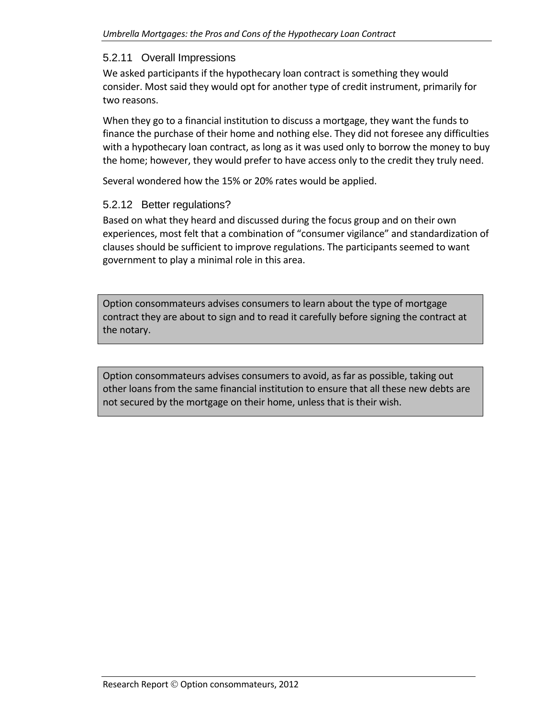#### 5.2.11 Overall Impressions

<span id="page-32-0"></span>We asked participants if the hypothecary loan contract is something they would consider. Most said they would opt for another type of credit instrument, primarily for two reasons.

When they go to a financial institution to discuss a mortgage, they want the funds to finance the purchase of their home and nothing else. They did not foresee any difficulties with a hypothecary loan contract, as long as it was used only to borrow the money to buy the home; however, they would prefer to have access only to the credit they truly need.

Several wondered how the 15% or 20% rates would be applied.

### <span id="page-32-1"></span>5.2.12 Better regulations?

Based on what they heard and discussed during the focus group and on their own experiences, most felt that a combination of "consumer vigilance" and standardization of clauses should be sufficient to improve regulations. The participants seemed to want government to play a minimal role in this area.

Option consommateurs advises consumers to learn about the type of mortgage contract they are about to sign and to read it carefully before signing the contract at the notary.

Option consommateurs advises consumers to avoid, as far as possible, taking out other loans from the same financial institution to ensure that all these new debts are not secured by the mortgage on their home, unless that is their wish.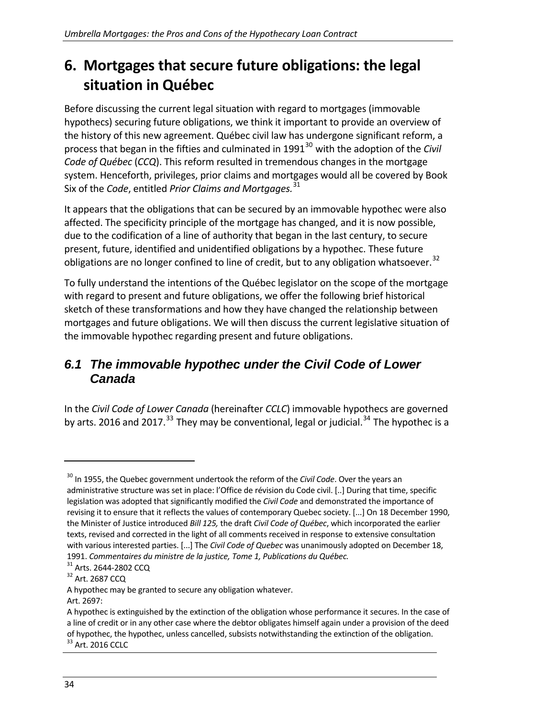# <span id="page-33-0"></span>**6. Mortgages that secure future obligations: the legal situation in Québec**

Before discussing the current legal situation with regard to mortgages (immovable hypothecs) securing future obligations, we think it important to provide an overview of the history of this new agreement. Québec civil law has undergone significant reform, a process that began in the fifties and culminated in 1991<sup>[30](#page-33-2)</sup> with the adoption of the *Civil Code of Québec* (*CCQ*). This reform resulted in tremendous changes in the mortgage system. Henceforth, privileges, prior claims and mortgages would all be covered by Book Six of the *Code*, entitled *Prior Claims and Mortgages.*[31](#page-33-3)

It appears that the obligations that can be secured by an immovable hypothec were also affected. The specificity principle of the mortgage has changed, and it is now possible, due to the codification of a line of authority that began in the last century, to secure present, future, identified and unidentified obligations by a hypothec. These future obligations are no longer confined to line of credit, but to any obligation whatsoever.<sup>[32](#page-33-4)</sup>

To fully understand the intentions of the Québec legislator on the scope of the mortgage with regard to present and future obligations, we offer the following brief historical sketch of these transformations and how they have changed the relationship between mortgages and future obligations. We will then discuss the current legislative situation of the immovable hypothec regarding present and future obligations.

## <span id="page-33-1"></span>*6.1 The immovable hypothec under the Civil Code of Lower Canada*

In the *Civil Code of Lower Canada* (hereinafter *CCLC*) immovable hypothecs are governed by arts. 2016 and 2017.<sup>[33](#page-33-5)</sup> They may be conventional, legal or judicial.<sup>[34](#page-33-6)</sup> The hypothec is a

- A hypothec may be granted to secure any obligation whatever.
- Art. 2697:

<span id="page-33-6"></span><span id="page-33-2"></span><sup>30</sup> In 1955, the Quebec government undertook the reform of the *Civil Code*. Over the years an administrative structure was set in place: l'Office de révision du Code civil. [..] During that time, specific legislation was adopted that significantly modified the *Civil Code* and demonstrated the importance of revising it to ensure that it reflects the values of contemporary Quebec society. [...] On 18 December 1990, the Minister of Justice introduced *Bill 125,* the draft *Civil Code of Québec*, which incorporated the earlier texts, revised and corrected in the light of all comments received in response to extensive consultation with various interested parties. [...] The *Civil Code of Quebec* was unanimously adopted on December 18, 1991. *Commentaires du ministre de la justice, Tome 1, Publications du Québec.* <sup>31</sup> Arts. <sup>2644</sup>‐<sup>2802</sup> CCQ <sup>32</sup> Art. <sup>2687</sup> CCQ

<span id="page-33-3"></span>

<span id="page-33-4"></span>

<span id="page-33-5"></span>A hypothec is extinguished by the extinction of the obligation whose performance it secures. In the case of a line of credit or in any other case where the debtor obligates himself again under a provision of the deed of hypothec, the hypothec, unless cancelled, subsists notwithstanding the extinction of the obligation.<br><sup>33</sup> Art. 2016 CCLC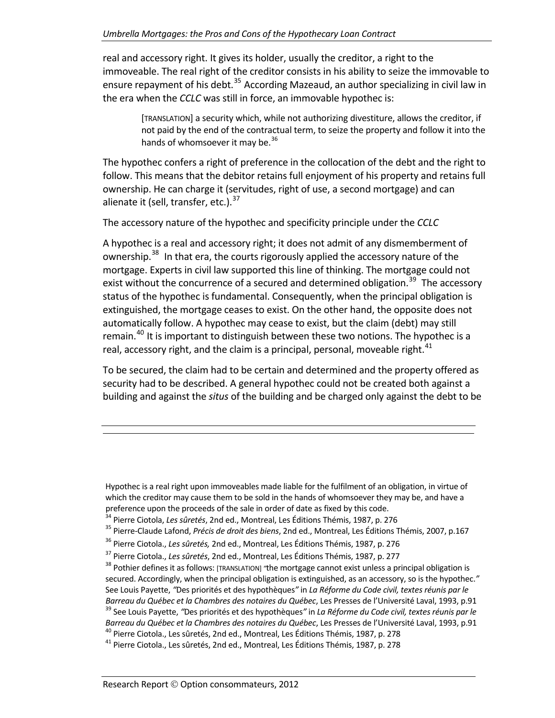real and accessory right. It gives its holder, usually the creditor, a right to the immoveable. The real right of the creditor consists in his ability to seize the immovable to ensure repayment of his debt.<sup>[35](#page-34-0)</sup> According Mazeaud, an author specializing in civil law in the era when the *CCLC* was still in force, an immovable hypothec is:

> [TRANSLATION] a security which, while not authorizing divestiture, allows the creditor, if not paid by the end of the contractual term, to seize the property and follow it into the hands of whomsoever it may be.<sup>[36](#page-34-1)</sup>

The hypothec confers a right of preference in the collocation of the debt and the right to follow. This means that the debitor retains full enjoyment of his property and retains full ownership. He can charge it (servitudes, right of use, a second mortgage) and can alienate it (sell, transfer, etc.). $37$ 

The accessory nature of the hypothec and specificity principle under the *CCLC*

A hypothec is a real and accessory right; it does not admit of any dismemberment of ownership.<sup>[38](#page-34-3)</sup> In that era, the courts rigorously applied the accessory nature of the mortgage. Experts in civil law supported this line of thinking. The mortgage could not exist without the concurrence of a secured and determined obligation.<sup>[39](#page-34-4)</sup> The accessory status of the hypothec is fundamental. Consequently, when the principal obligation is extinguished, the mortgage ceases to exist. On the other hand, the opposite does not automatically follow. A hypothec may cease to exist, but the claim (debt) may still remain.[40](#page-34-5) It is important to distinguish between these two notions. The hypothec is a real, accessory right, and the claim is a principal, personal, moveable right. $41$ 

To be secured, the claim had to be certain and determined and the property offered as security had to be described. A general hypothec could not be created both against a building and against the *situs* of the building and be charged only against the debt to be

Hypothec is a real right upon immoveables made liable for the fulfilment of an obligation, in virtue of which the creditor may cause them to be sold in the hands of whomsoever they may be, and have a preference upon the proceeds of the sale in order of date as fixed by this code.<br><sup>34</sup> Pierre Ciotola, *Les sûretés*, 2nd ed., Montreal, Les Éditions Thémis, 1987, p. 276<br><sup>35</sup> Pierre-Claude Lafond, *Précis de droit des bien* 

<span id="page-34-0"></span>

<span id="page-34-1"></span><sup>36</sup> Pierre Ciotola., *Les sûretés,* 2nd ed., Montreal, Les Éditions Thémis, 1987, p. 276

<span id="page-34-3"></span><span id="page-34-2"></span><sup>&</sup>lt;sup>37</sup> Pierre Ciotola., *Les sûretés*, 2nd ed., Montreal, Les Éditions Thémis, 1987, p. 277<br><sup>38</sup> Pothier defines it as follows: [TRANSLATION] *"*the mortgage cannot exist unless a principal obligation is secured. Accordingly, when the principal obligation is extinguished, as an accessory, so is the hypothec.*"* See Louis Payette, *"*Des priorités et des hypothèques*"* in *La Réforme du Code civil, textes réunis par le* Barreau du Québec et la Chambres des notaires du Québec, Les Presses de l'Université Laval, 1993, p.91<br><sup>39</sup> See Louis Payette, "Des priorités et des hypothèques" in *La Réforme du Code civil, textes réunis par le* Barreau du Québec et la Chambres des notaires du Québec, Les Presses de l'Université Laval, 1993, p.91<br><sup>40</sup> Pierre Ciotola., Les sûretés, 2nd ed., Montreal, Les Éditions Thémis, 1987, p. 278<br><sup>41</sup> Pierre Ciotola., Les sûret

<span id="page-34-6"></span><span id="page-34-5"></span><span id="page-34-4"></span>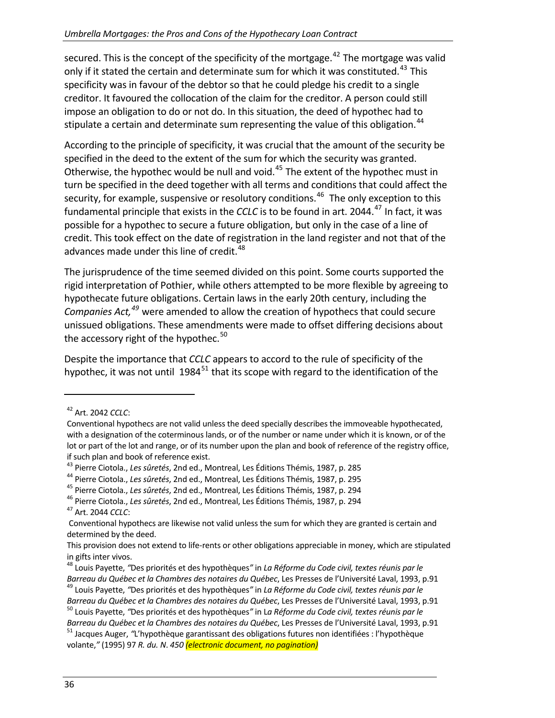secured. This is the concept of the specificity of the mortgage.<sup>[42](#page-35-0)</sup> The mortgage was valid only if it stated the certain and determinate sum for which it was constituted.<sup>[43](#page-35-1)</sup> This specificity was in favour of the debtor so that he could pledge his credit to a single creditor. It favoured the collocation of the claim for the creditor. A person could still impose an obligation to do or not do. In this situation, the deed of hypothec had to stipulate a certain and determinate sum representing the value of this obligation.<sup>[44](#page-35-2)</sup>

According to the principle of specificity, it was crucial that the amount of the security be specified in the deed to the extent of the sum for which the security was granted. Otherwise, the hypothec would be null and void.<sup>[45](#page-35-3)</sup> The extent of the hypothec must in turn be specified in the deed together with all terms and conditions that could affect the security, for example, suspensive or resolutory conditions.<sup>[46](#page-35-4)</sup> The only exception to this fundamental principle that exists in the *CCLC* is to be found in art. 2044.<sup>[47](#page-35-5)</sup> In fact, it was possible for a hypothec to secure a future obligation, but only in the case of a line of credit. This took effect on the date of registration in the land register and not that of the advances made under this line of credit.<sup>[48](#page-35-6)</sup>

The jurisprudence of the time seemed divided on this point. Some courts supported the rigid interpretation of Pothier, while others attempted to be more flexible by agreeing to hypothecate future obligations. Certain laws in the early 20th century, including the *Companies Act,[49](#page-35-7)* were amended to allow the creation of hypothecs that could secure unissued obligations. These amendments were made to offset differing decisions about the accessory right of the hypothec.<sup>[50](#page-35-8)</sup>

Despite the importance that *CCLC* appears to accord to the rule of specificity of the hypothec, it was not until  $1984^{51}$  $1984^{51}$  $1984^{51}$  that its scope with regard to the identification of the

<span id="page-35-0"></span><sup>42</sup> Art. 2042 *CCLC*:

Conventional hypothecs are not valid unless the deed specially describes the immoveable hypothecated, with a designation of the coterminous lands, or of the number or name under which it is known, or of the lot or part of the lot and range, or of its number upon the plan and book of reference of the registry office,

<span id="page-35-2"></span>

<span id="page-35-4"></span><span id="page-35-3"></span>

<span id="page-35-1"></span>if such plan and book of reference exist.<br><sup>43</sup> Pierre Ciotola., *Les sûretés*, 2nd ed., Montreal, Les Éditions Thémis, 1987, p. 285<br><sup>44</sup> Pierre Ciotola., *Les sûretés*, 2nd ed., Montreal, Les Éditions Thémis, 1987, p. 295

<span id="page-35-5"></span>Conventional hypothecs are likewise not valid unless the sum for which they are granted is certain and determined by the deed.

This provision does not extend to life‐rents or other obligations appreciable in money, which are stipulated in gifts inter vivos. <sup>48</sup> Louis Payette, *"*Des priorités et des hypothèques*"* in *La Réforme du Code civil, textes réunis par le*

<span id="page-35-6"></span>Barreau du Québec et la Chambres des notaires du Québec, Les Presses de l'Université Laval, 1993, p.91<br><sup>49</sup> Louis Payette, "Des priorités et des hypothèques" in La Réforme du Code civil, textes réunis par le

<span id="page-35-7"></span>Barreau du Québec et la Chambres des notaires du Québec, Les Presses de l'Université Laval, 1993, p.91<br><sup>50</sup> Louis Payette, "Des priorités et des hypothèques" in La Réforme du Code civil, textes réunis par le

<span id="page-35-9"></span><span id="page-35-8"></span>Barreau du Québec et la Chambres des notaires du Québec, Les Presses de l'Université Laval, 1993, p.91<br><sup>51</sup> Jacques Auger, "L'hypothèque garantissant des obligations futures non identifiées : l'hypothèque

volante,*"* (1995) 97 *R. du. N*. *450 (electronic document, no pagination)*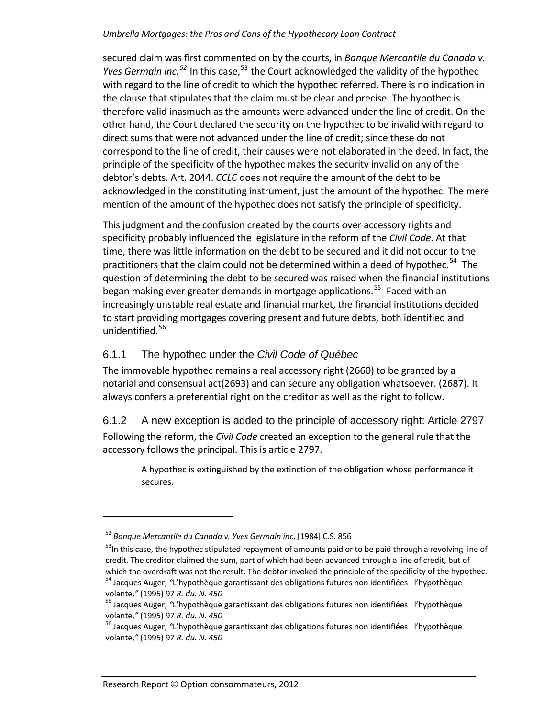secured claim was first commented on by the courts, in *Banque Mercantile du Canada v. Yves Germain inc.*<sup>[52](#page-36-2)</sup> In this case,<sup>[53](#page-36-3)</sup> the Court acknowledged the validity of the hypothec with regard to the line of credit to which the hypothec referred. There is no indication in the clause that stipulates that the claim must be clear and precise. The hypothec is therefore valid inasmuch as the amounts were advanced under the line of credit. On the other hand, the Court declared the security on the hypothec to be invalid with regard to direct sums that were not advanced under the line of credit; since these do not correspond to the line of credit, their causes were not elaborated in the deed. In fact, the principle of the specificity of the hypothec makes the security invalid on any of the debtor's debts. Art. 2044. *CCLC* does not require the amount of the debt to be acknowledged in the constituting instrument, just the amount of the hypothec. The mere mention of the amount of the hypothec does not satisfy the principle of specificity.

This judgment and the confusion created by the courts over accessory rights and specificity probably influenced the legislature in the reform of the *Civil Code*. At that time, there was little information on the debt to be secured and it did not occur to the practitioners that the claim could not be determined within a deed of hypothec.<sup>[54](#page-36-4)</sup> The question of determining the debt to be secured was raised when the financial institutions began making ever greater demands in mortgage applications.<sup>[55](#page-36-5)</sup> Faced with an increasingly unstable real estate and financial market, the financial institutions decided to start providing mortgages covering present and future debts, both identified and unidentified.<sup>[56](#page-36-6)</sup>

### <span id="page-36-0"></span>6.1.1 The hypothec under the *Civil Code of Québec*

The immovable hypothec remains a real accessory right (2660) to be granted by a notarial and consensual act(2693) and can secure any obligation whatsoever. (2687). It always confers a preferential right on the creditor as well as the right to follow.

<span id="page-36-1"></span>6.1.2 A new exception is added to the principle of accessory right: Article 2797 Following the reform, the *Civil Code* created an exception to the general rule that the accessory follows the principal. This is article 2797.

A hypothec is extinguished by the extinction of the obligation whose performance it secures.

<span id="page-36-2"></span><sup>52</sup> *Banque Mercantile du Canada v. Yves Germain inc*, [1984] C.S. 856

<span id="page-36-3"></span><sup>&</sup>lt;sup>53</sup>In this case, the hypothec stipulated repayment of amounts paid or to be paid through a revolving line of credit. The creditor claimed the sum, part of which had been advanced through a line of credit, but of

<span id="page-36-4"></span>which the overdraft was not the result. The debtor invoked the principle of the specificity of the hypothec.<br><sup>54</sup> Jacques Auger, *"L'hypothèque garantissant des obligations futures non identifiées : l'hypothèque<br>volante,"* 

<span id="page-36-5"></span><sup>&</sup>lt;sup>55</sup> Jacques Auger, "L'hypothèque garantissant des obligations futures non identifiées : l'hypothèque volante," (1995) 97 *R. du. N. 450*<br><sup>56</sup> Jacques Auger, "L'hypothèque garantissant des obligations futures non identifiées : l'hypothèque

<span id="page-36-6"></span>volante,*"* (1995) 97 *R. du. N. 450*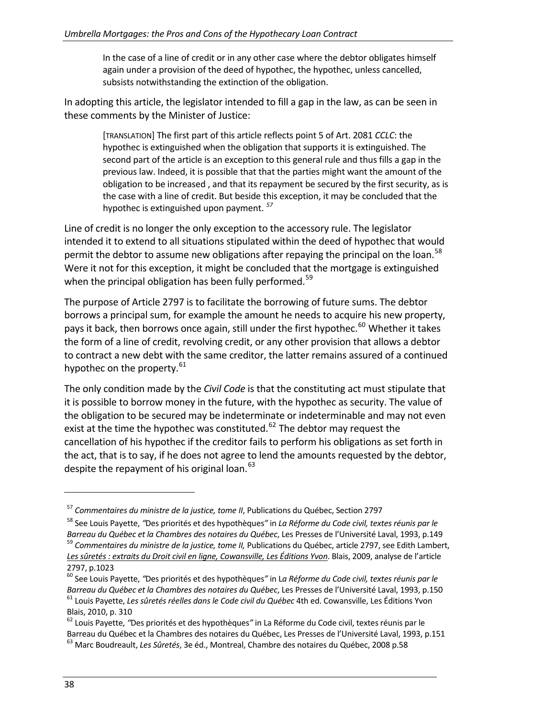In the case of a line of credit or in any other case where the debtor obligates himself again under a provision of the deed of hypothec, the hypothec, unless cancelled, subsists notwithstanding the extinction of the obligation.

In adopting this article, the legislator intended to fill a gap in the law, as can be seen in these comments by the Minister of Justice:

> [TRANSLATION] The first part of this article reflects point 5 of Art. 2081 *CCLC*: the hypothec is extinguished when the obligation that supports it is extinguished. The second part of the article is an exception to this general rule and thus fills a gap in the previous law. Indeed, it is possible that that the parties might want the amount of the obligation to be increased , and that its repayment be secured by the first security, as is the case with a line of credit. But beside this exception, it may be concluded that the hypothec is extinguished upon payment. *[57](#page-37-0)*

Line of credit is no longer the only exception to the accessory rule. The legislator intended it to extend to all situations stipulated within the deed of hypothec that would permit the debtor to assume new obligations after repaying the principal on the loan.<sup>[58](#page-37-1)</sup> Were it not for this exception, it might be concluded that the mortgage is extinguished when the principal obligation has been fully performed.<sup>[59](#page-37-2)</sup>

The purpose of Article 2797 is to facilitate the borrowing of future sums. The debtor borrows a principal sum, for example the amount he needs to acquire his new property, pays it back, then borrows once again, still under the first hypothec.<sup>[60](#page-37-3)</sup> Whether it takes the form of a line of credit, revolving credit, or any other provision that allows a debtor to contract a new debt with the same creditor, the latter remains assured of a continued hypothec on the property. $61$ 

The only condition made by the *Civil Code* is that the constituting act must stipulate that it is possible to borrow money in the future, with the hypothec as security. The value of the obligation to be secured may be indeterminate or indeterminable and may not even exist at the time the hypothec was constituted.<sup>[62](#page-37-5)</sup> The debtor may request the cancellation of his hypothec if the creditor fails to perform his obligations as set forth in the act, that is to say, if he does not agree to lend the amounts requested by the debtor, despite the repayment of his original loan.<sup>[63](#page-37-6)</sup>

<span id="page-37-0"></span><sup>57</sup> *Commentaires du ministre de la justice, tome II*, Publications du Québec, Section 2797

<span id="page-37-1"></span><sup>58</sup> See Louis Payette, *"*Des priorités et des hypothèques*"* in *La Réforme du Code civil, textes réunis par le*

<span id="page-37-2"></span><sup>59</sup> Commentaires du ministre de la justice, tome II, Publications du Québec, article 2797, see Edith Lambert, *Les sûretés : extraits du Droit civil en ligne, Cowansville, Les Éditions Yvon*. Blais, 2009, analyse de l'article 2797, p.1023 <sup>60</sup> See Louis Payette, *"*Des priorités et des hypothèques*"* in <sup>L</sup>*<sup>a</sup> Réforme du Code civil, textes réunis par le*

<span id="page-37-3"></span>Barreau du Québec et la Chambres des notaires du Québec, Les Presses de l'Université Laval, 1993, p.150<br><sup>61</sup> Louis Payette, *Les sûretés réelles dans le Code civil du Québec* 4th ed. Cowansville, Les Éditions Yvon Blais, 2010, p. 310<br><sup>62</sup> Louis Payette, *"*Des priorités et des hypothèques" in La Réforme du Code civil, textes réunis par le

<span id="page-37-6"></span><span id="page-37-5"></span><span id="page-37-4"></span>Barreau du Québec et la Chambres des notaires du Québec, Les Presses de l'Université Laval, 1993, p.151 <sup>63</sup> Marc Boudreault, *Les Sûretés*, 3e éd., Montreal, Chambre des notaires du Québec, 2008 p.58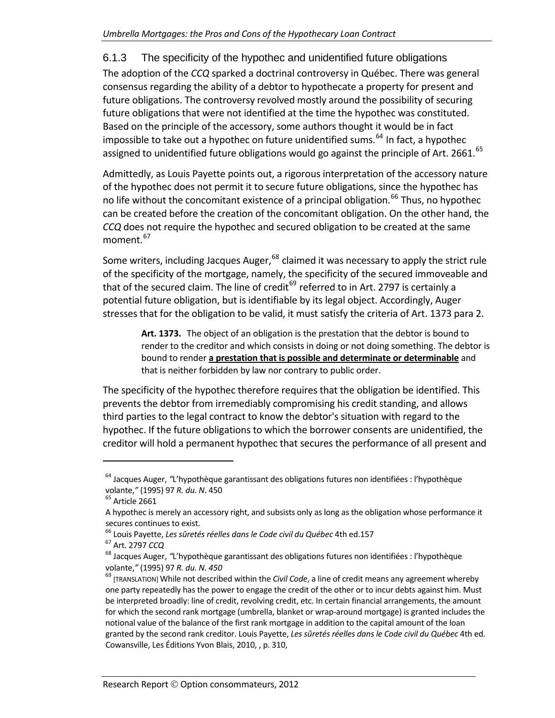#### 6.1.3 The specificity of the hypothec and unidentified future obligations

<span id="page-38-0"></span>The adoption of the *CCQ* sparked a doctrinal controversy in Québec. There was general consensus regarding the ability of a debtor to hypothecate a property for present and future obligations. The controversy revolved mostly around the possibility of securing future obligations that were not identified at the time the hypothec was constituted. Based on the principle of the accessory, some authors thought it would be in fact impossible to take out a hypothec on future unidentified sums.<sup>[64](#page-38-1)</sup> In fact, a hypothec assigned to unidentified future obligations would go against the principle of Art. 2661. $^{65}$  $^{65}$  $^{65}$ 

Admittedly, as Louis Payette points out, a rigorous interpretation of the accessory nature of the hypothec does not permit it to secure future obligations, since the hypothec has no life without the concomitant existence of a principal obligation.<sup>[66](#page-38-3)</sup> Thus, no hypothec can be created before the creation of the concomitant obligation. On the other hand, the *CCQ* does not require the hypothec and secured obligation to be created at the same moment.<sup>[67](#page-38-4)</sup>

Some writers, including Jacques Auger,  $^{68}$  $^{68}$  $^{68}$  claimed it was necessary to apply the strict rule of the specificity of the mortgage, namely, the specificity of the secured immoveable and that of the secured claim. The line of credit $^{69}$  $^{69}$  $^{69}$  referred to in Art. 2797 is certainly a potential future obligation, but is identifiable by its legal object. Accordingly, Auger stresses that for the obligation to be valid, it must satisfy the criteria of Art. 1373 para 2.

**Art. 1373.** The object of an obligation is the prestation that the debtor is bound to render to the creditor and which consists in doing or not doing something. The debtor is bound to render **a prestation that is possible and determinate or determinable** and that is neither forbidden by law nor contrary to public order.

The specificity of the hypothec therefore requires that the obligation be identified. This prevents the debtor from irremediably compromising his credit standing, and allows third parties to the legal contract to know the debtor's situation with regard to the hypothec. If the future obligations to which the borrower consents are unidentified, the creditor will hold a permanent hypothec that secures the performance of all present and

<span id="page-38-1"></span><sup>64</sup> Jacques Auger, *"*L'hypothèque garantissant des obligations futures non identifiées : l'hypothèque volante,*"* (1995) <sup>97</sup> *R. du. <sup>N</sup>*. <sup>450</sup> <sup>65</sup> Article <sup>2661</sup>

<span id="page-38-2"></span>A hypothec is merely an accessory right, and subsists only as long as the obligation whose performance it

<span id="page-38-4"></span><span id="page-38-3"></span>

<span id="page-38-5"></span>

secures continues to exist.<br><sup>66</sup> Louis Payette*, Les sûretés réelles dans le Code civil du Québec* 4th ed.157<br><sup>67</sup> Art. 2797 *CCQ*<br><sup>68</sup> Jacques Auger, "L'hypothèque garantissant des obligations futures non identifiées : l' volante,*"* (1995) <sup>97</sup> *R. du. N. <sup>450</sup>* <sup>69</sup> [TRANSLATION] While not described within the *Civil Code*, <sup>a</sup> line of credit means any agreement whereby

<span id="page-38-6"></span>one party repeatedly has the power to engage the credit of the other or to incur debts against him. Must be interpreted broadly: line of credit, revolving credit, etc. In certain financial arrangements, the amount for which the second rank mortgage (umbrella, blanket or wrap‐around mortgage) is granted includes the notional value of the balance of the first rank mortgage in addition to the capital amount of the loan granted by the second rank creditor. Louis Payette, *Les sûretés réelles dans le Code civil du Québec* 4th ed. Cowansville, Les Éditions Yvon Blais, 2010, , p. 310,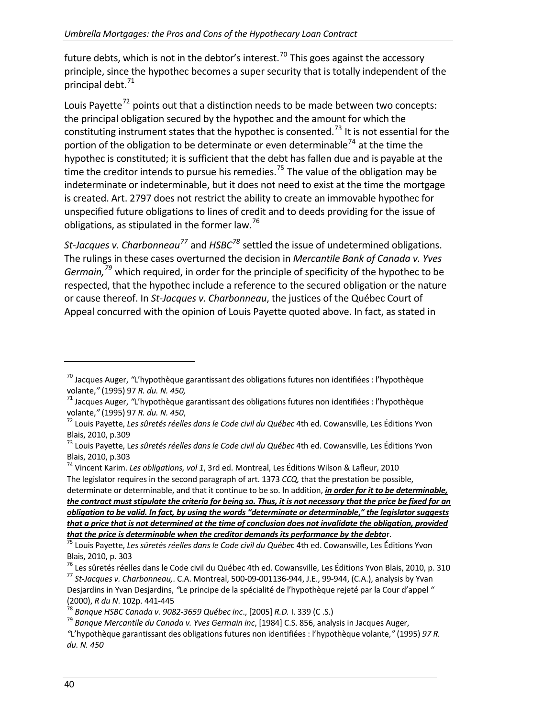future debts, which is not in the debtor's interest.<sup>[70](#page-39-0)</sup> This goes against the accessory principle, since the hypothec becomes a super security that is totally independent of the principal debt.<sup>[71](#page-39-1)</sup>

Louis Payette<sup>[72](#page-39-2)</sup> points out that a distinction needs to be made between two concepts: the principal obligation secured by the hypothec and the amount for which the constituting instrument states that the hypothec is consented.<sup>[73](#page-39-3)</sup> It is not essential for the portion of the obligation to be determinate or even determinable<sup>[74](#page-39-4)</sup> at the time the hypothec is constituted; it is sufficient that the debt has fallen due and is payable at the time the creditor intends to pursue his remedies.<sup>[75](#page-39-5)</sup> The value of the obligation may be indeterminate or indeterminable, but it does not need to exist at the time the mortgage is created. Art. 2797 does not restrict the ability to create an immovable hypothec for unspecified future obligations to lines of credit and to deeds providing for the issue of obligations, as stipulated in the former law.<sup>[76](#page-39-6)</sup>

*St‐Jacques v. Charbonneau[77](#page-39-7)* and *HSBC[78](#page-39-8)* settled the issue of undetermined obligations. The rulings in these cases overturned the decision in *Mercantile Bank of Canada v. Yves Germain,[79](#page-39-9)* which required, in order for the principle of specificity of the hypothec to be respected, that the hypothec include a reference to the secured obligation or the nature or cause thereof. In *St‐Jacques v. Charbonneau*, the justices of the Québec Court of Appeal concurred with the opinion of Louis Payette quoted above. In fact, as stated in

<span id="page-39-0"></span><sup>70</sup> Jacques Auger, *"*L'hypothèque garantissant des obligations futures non identifiées : l'hypothèque volante," (1995) 97 *R. du. N. 450,*<br><sup>71</sup> Jacques Auger, "L'hypothèque garantissant des obligations futures non identifiées : l'hypothèque

<span id="page-39-1"></span>volante," (1995) 97 R. du. N. 450,<br><sup>72</sup> Louis Payette, *Les sûretés réelles dans le Code civil du Québec* 4th ed. Cowansville, Les Éditions Yvon

<span id="page-39-2"></span>Blais, 2010, p.309 <sup>73</sup> Louis Payette, <sup>L</sup>*es sûretés réelles dans le Code civil du Québec* 4th ed. Cowansville, Les Éditions Yvon

<span id="page-39-3"></span>Blais, 2010, p.303 <sup>74</sup> Vincent Karim. *Les obligations, vol <sup>1</sup>*, 3rd ed. Montreal, Les Éditions Wilson & Lafleur, <sup>2010</sup>

<span id="page-39-4"></span>The legislator requires in the second paragraph of art. 1373 *CCQ,* that the prestation be possible,

determinate or determinable, and that it continue to be so. In addition, *in order for it to be determinable,* the contract must stipulate the criteria for being so. Thus, it is not necessary that the price be fixed for an obligation to be valid. In fact, by using the words "determinate or determinable," the legislator suggests that a price that is not determined at the time of conclusion does not invalidate the obligation, provided<br>that the price is determinable when the creditor demands its performance by the debtor.

<span id="page-39-5"></span><sup>75</sup> Louis Payette, Les sûretés réelles dans le Code civil du Québec 4th ed. Cowansville, Les Éditions Yvon

Blais, 2010, p. 303<br><sup>76</sup> Les sûretés réelles dans le Code civil du Québec 4th ed. Cowansville, Les Éditions Yvon Blais, 2010, p. 310<br><sup>77</sup> St-Jacques v. Charbonneau,. C.A. Montreal, 500-09-001136-944, J.E., 99-944, (C.A.),

<span id="page-39-7"></span><span id="page-39-6"></span>Desjardins in Yvan Desjardins, *"*Le principe de la spécialité de l'hypothèque rejeté par la Cour d'appel *"* (2000), *R du N.* 102p. 441-445<br><sup>78</sup> Banque HSBC Canada v. 9082-3659 Québec inc., [2005] *R.D.* I. 339 (C .S.)<br><sup>79</sup> Banque Mercantile du Canada v. Yves Germain inc, [1984] C.S. 856, analysis in Jacques Auger,

<span id="page-39-8"></span>

<span id="page-39-9"></span>

*<sup>&</sup>quot;*L'hypothèque garantissant des obligations futures non identifiées : l'hypothèque volante,*"* (1995) *97 R. du. N. 450*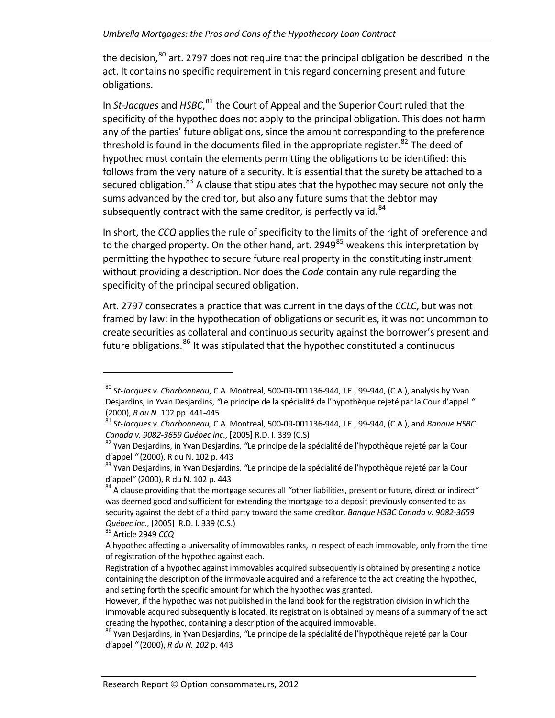the decision, $^{80}$  $^{80}$  $^{80}$  art. 2797 does not require that the principal obligation be described in the act. It contains no specific requirement in this regard concerning present and future obligations.

In *St‐Jacques* and *HSBC*, [81](#page-40-1) the Court of Appeal and the Superior Court ruled that the specificity of the hypothec does not apply to the principal obligation. This does not harm any of the parties' future obligations, since the amount corresponding to the preference threshold is found in the documents filed in the appropriate register. $82$  The deed of hypothec must contain the elements permitting the obligations to be identified: this follows from the very nature of a security. It is essential that the surety be attached to a secured obligation.<sup>[83](#page-40-3)</sup> A clause that stipulates that the hypothec may secure not only the sums advanced by the creditor, but also any future sums that the debtor may subsequently contract with the same creditor, is perfectly valid.<sup>[84](#page-40-4)</sup>

In short, the *CCQ* applies the rule of specificity to the limits of the right of preference and to the charged property. On the other hand, art. 2949 $^{85}$  $^{85}$  $^{85}$  weakens this interpretation by permitting the hypothec to secure future real property in the constituting instrument without providing a description. Nor does the *Code* contain any rule regarding the specificity of the principal secured obligation.

Art. 2797 consecrates a practice that was current in the days of the *CCLC*, but was not framed by law: in the hypothecation of obligations or securities, it was not uncommon to create securities as collateral and continuous security against the borrower's present and future obligations. $^{86}$  $^{86}$  $^{86}$  It was stipulated that the hypothec constituted a continuous

<span id="page-40-0"></span><sup>80</sup> *St‐Jacques v. Charbonneau*, C.A. Montreal, 500‐09‐001136‐944, J.E., 99‐944, (C.A.), analysis by Yvan Desjardins, in Yvan Desjardins, *"*Le principe de la spécialité de l'hypothèque rejeté par la Cour d'appel *"* (2000), *<sup>R</sup> du N.* <sup>102</sup> pp. <sup>441</sup>‐<sup>445</sup> <sup>81</sup> *St‐Jacques v. Charbonneau,* C.A. Montreal, <sup>500</sup>‐09‐001136‐944, J.E., <sup>99</sup>‐944, (C.A.), and *Banque HSBC*

<span id="page-40-1"></span>

<span id="page-40-2"></span>*Canada v. 9082-3659 Québec inc.*, [2005] R.D. I. 339 (C.S)<br><sup>82</sup> Yvan Desjardins, in Yvan Desjardins, "Le principe de la spécialité de l'hypothèque rejeté par la Cour<br>d'appel " (2000), R du N. 102 p. 443

<span id="page-40-3"></span><sup>&</sup>lt;sup>83</sup> Yvan Desjardins, in Yvan Desjardins, "Le principe de la spécialité de l'hypothèque rejeté par la Cour d'appel" (2000), R du N. 102 p. 443<br><sup>84</sup> A clause providing that the mortgage secures all "other liabilities, present or future, direct or indirect"

<span id="page-40-4"></span>was deemed good and sufficient for extending the mortgage to a deposit previously consented to as security against the debt of a third party toward the same creditor*. Banque HSBC Canada v. 9082‐3659 Québec inc.*, [2005] R.D. I. 339 (C.S.) <sup>85</sup> Article 2949 *CCQ* 

<span id="page-40-5"></span>A hypothec affecting a universality of immovables ranks, in respect of each immovable, only from the time of registration of the hypothec against each.

Registration of a hypothec against immovables acquired subsequently is obtained by presenting a notice containing the description of the immovable acquired and a reference to the act creating the hypothec, and setting forth the specific amount for which the hypothec was granted.

However, if the hypothec was not published in the land book for the registration division in which the immovable acquired subsequently is located, its registration is obtained by means of a summary of the act creating the hypothec, containing a description of the acquired immovable.<br><sup>86</sup> Yvan Desiardins, in Yvan Desjardins, "Le principe de la spécialité de l'hypothèque rejeté par la Cour

<span id="page-40-6"></span>d'appel *"* (2000), *R du N. 102* p. 443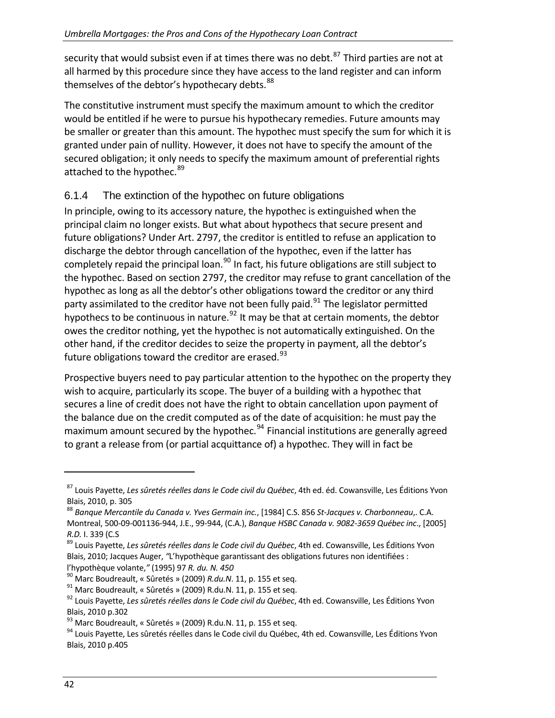security that would subsist even if at times there was no debt.<sup>[87](#page-41-1)</sup> Third parties are not at all harmed by this procedure since they have access to the land register and can inform themselves of the debtor's hypothecary debts.<sup>[88](#page-41-2)</sup>

The constitutive instrument must specify the maximum amount to which the creditor would be entitled if he were to pursue his hypothecary remedies. Future amounts may be smaller or greater than this amount. The hypothec must specify the sum for which it is granted under pain of nullity. However, it does not have to specify the amount of the secured obligation; it only needs to specify the maximum amount of preferential rights attached to the hypothec.<sup>[89](#page-41-3)</sup>

#### 6.1.4 The extinction of the hypothec on future obligations

<span id="page-41-0"></span>In principle, owing to its accessory nature, the hypothec is extinguished when the principal claim no longer exists. But what about hypothecs that secure present and future obligations? Under Art. 2797, the creditor is entitled to refuse an application to discharge the debtor through cancellation of the hypothec, even if the latter has completely repaid the principal loan.<sup>[90](#page-41-4)</sup> In fact, his future obligations are still subject to the hypothec. Based on section 2797, the creditor may refuse to grant cancellation of the hypothec as long as all the debtor's other obligations toward the creditor or any third party assimilated to the creditor have not been fully paid.<sup>[91](#page-41-5)</sup> The legislator permitted hypothecs to be continuous in nature.<sup>[92](#page-41-6)</sup> It may be that at certain moments, the debtor owes the creditor nothing, yet the hypothec is not automatically extinguished. On the other hand, if the creditor decides to seize the property in payment, all the debtor's future obligations toward the creditor are erased. $^{93}$  $^{93}$  $^{93}$ 

Prospective buyers need to pay particular attention to the hypothec on the property they wish to acquire, particularly its scope. The buyer of a building with a hypothec that secures a line of credit does not have the right to obtain cancellation upon payment of the balance due on the credit computed as of the date of acquisition: he must pay the maximum amount secured by the hypothec.<sup>[94](#page-41-8)</sup> Financial institutions are generally agreed to grant a release from (or partial acquittance of) a hypothec. They will in fact be

<span id="page-41-1"></span><sup>87</sup> Louis Payette, *Les sûretés réelles dans le Code civil du Québec*, 4th ed. éd. Cowansville, Les Éditions Yvon Blais, 2010, p. <sup>305</sup> <sup>88</sup> *Banque Mercantile du Canada v. Yves Germain inc.*, [1984] C.S. <sup>856</sup> *St‐Jacques v. Charbonneau*,. C.A.

<span id="page-41-2"></span>Montreal, 500‐09‐001136‐944, J.E., 99‐944, (C.A.), *Banque HSBC Canada v. 9082‐3659 Québec inc*., [2005] *R.D.* I. <sup>339</sup> (C.S <sup>89</sup> Louis Payette, *Les sûretés réelles dans le Code civil du Québec*, 4th ed. Cowansville, Les Éditions Yvon

<span id="page-41-3"></span>Blais, 2010; Jacques Auger, *"*L'hypothèque garantissant des obligations futures non identifiées :

<span id="page-41-6"></span><span id="page-41-5"></span>

<span id="page-41-4"></span>l'hypothèque volante," (1995) 97 R. du. N. 450<br><sup>90</sup> Marc Boudreault, « Sûretés » (2009) R.du.N. 11, p. 155 et seq.<br><sup>91</sup> Marc Boudreault, « Sûretés » (2009) R.du.N. 11, p. 155 et seq.<br><sup>92</sup> Louis Pavette, *Les sûretés réell* Blais, 2010 p.302<br><sup>93</sup> Marc Boudreault, « Sûretés » (2009) R.du.N. 11, p. 155 et seq.<br><sup>94</sup> Louis Payette, Les sûretés réelles dans le Code civil du Québec, 4th ed. Cowansville, Les Éditions Yvon

<span id="page-41-7"></span>

<span id="page-41-8"></span>Blais, 2010 p.405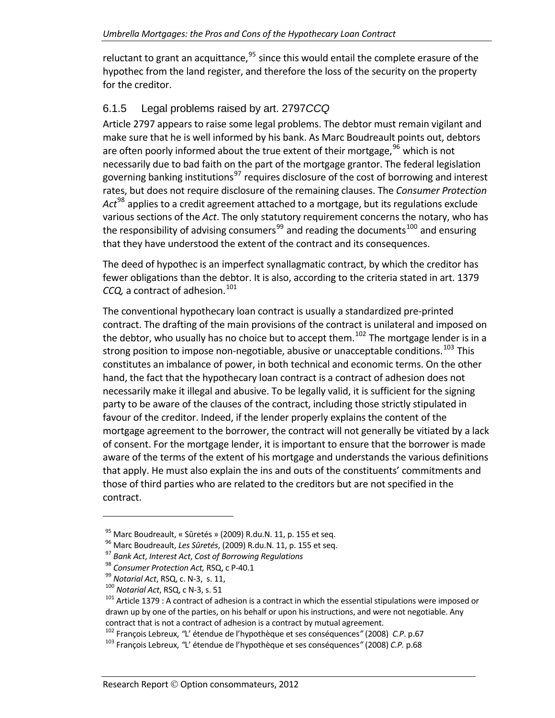reluctant to grant an acquittance, $95$  since this would entail the complete erasure of the hypothec from the land register, and therefore the loss of the security on the property for the creditor.

## 6.1.5 Legal problems raised by art. 2797*CCQ*

<span id="page-42-0"></span>Article 2797 appears to raise some legal problems. The debtor must remain vigilant and make sure that he is well informed by his bank. As Marc Boudreault points out, debtors are often poorly informed about the true extent of their mortgage,  $96$  which is not necessarily due to bad faith on the part of the mortgage grantor. The federal legislation governing banking institutions<sup>[97](#page-42-3)</sup> requires disclosure of the cost of borrowing and interest rates, but does not require disclosure of the remaining clauses. The *Consumer Protection Act*[98](#page-42-4) applies to a credit agreement attached to a mortgage, but its regulations exclude various sections of the *Act*. The only statutory requirement concerns the notary, who has the responsibility of advising consumers<sup>[99](#page-42-5)</sup> and reading the documents<sup>[100](#page-42-6)</sup> and ensuring that they have understood the extent of the contract and its consequences.

The deed of hypothec is an imperfect synallagmatic contract, by which the creditor has fewer obligations than the debtor. It is also, according to the criteria stated in art. 1379 *CCQ*, a contract of adhesion.<sup>[101](#page-42-7)</sup>

The conventional hypothecary loan contract is usually a standardized pre‐printed contract. The drafting of the main provisions of the contract is unilateral and imposed on the debtor, who usually has no choice but to accept them.<sup>[102](#page-42-8)</sup> The mortgage lender is in a strong position to impose non-negotiable, abusive or unacceptable conditions.<sup>[103](#page-42-9)</sup> This constitutes an imbalance of power, in both technical and economic terms. On the other hand, the fact that the hypothecary loan contract is a contract of adhesion does not necessarily make it illegal and abusive. To be legally valid, it is sufficient for the signing party to be aware of the clauses of the contract, including those strictly stipulated in favour of the creditor. Indeed, if the lender properly explains the content of the mortgage agreement to the borrower, the contract will not generally be vitiated by a lack of consent. For the mortgage lender, it is important to ensure that the borrower is made aware of the terms of the extent of his mortgage and understands the various definitions that apply. He must also explain the ins and outs of the constituents' commitments and those of third parties who are related to the creditors but are not specified in the contract.

<span id="page-42-3"></span>

<span id="page-42-4"></span>

<span id="page-42-5"></span>

<span id="page-42-7"></span><span id="page-42-6"></span>

<span id="page-42-2"></span><span id="page-42-1"></span><sup>&</sup>lt;sup>95</sup> Marc Boudreault, « Sûretés » (2009) R.du.N. 11, p. 155 et seq.<br><sup>96</sup> Marc Boudreault, *Les Sûretés*, (2009) R.du.N. 11, p. 155 et seq.<br><sup>97</sup> Bank Act, Interest Act, Cost of Borrowing Regulations<br><sup>98</sup> Consumer Protectio drawn up by one of the parties, on his behalf or upon his instructions, and were not negotiable. Any contract that is not a contract of adhesion is a contract by mutual agreement.<br><sup>102</sup> François Lebreux, "L' étendue de l'hypothèque et ses conséquences" (2008) C.P. p.67<br><sup>103</sup> François Lebreux, "L' étendue de l'hypothèque e

<span id="page-42-8"></span>

<span id="page-42-9"></span>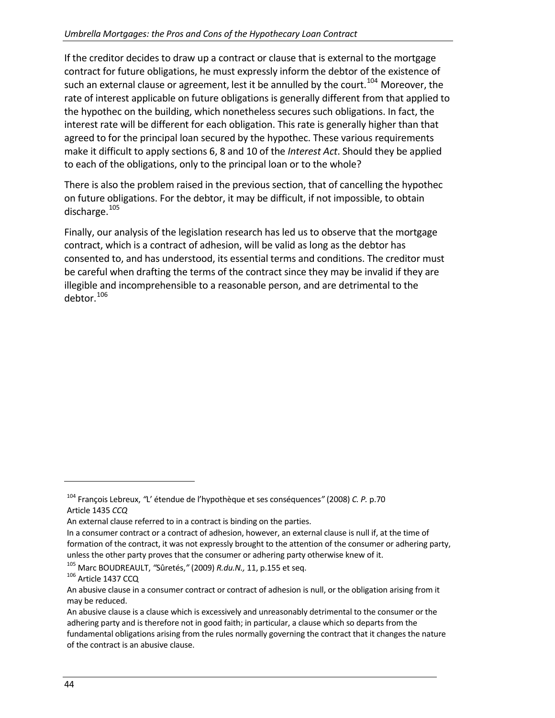If the creditor decides to draw up a contract or clause that is external to the mortgage contract for future obligations, he must expressly inform the debtor of the existence of such an external clause or agreement, lest it be annulled by the court.<sup>[104](#page-43-0)</sup> Moreover, the rate of interest applicable on future obligations is generally different from that applied to the hypothec on the building, which nonetheless secures such obligations. In fact, the interest rate will be different for each obligation. This rate is generally higher than that agreed to for the principal loan secured by the hypothec. These various requirements make it difficult to apply sections 6, 8 and 10 of the *Interest Act*. Should they be applied to each of the obligations, only to the principal loan or to the whole?

There is also the problem raised in the previous section, that of cancelling the hypothec on future obligations. For the debtor, it may be difficult, if not impossible, to obtain discharge. $^{105}$  $^{105}$  $^{105}$ 

Finally, our analysis of the legislation research has led us to observe that the mortgage contract, which is a contract of adhesion, will be valid as long as the debtor has consented to, and has understood, its essential terms and conditions. The creditor must be careful when drafting the terms of the contract since they may be invalid if they are illegible and incomprehensible to a reasonable person, and are detrimental to the debtor.[106](#page-43-2)

<span id="page-43-0"></span><sup>104</sup> François Lebreux, *"*L' étendue de l'hypothèque et ses conséquences*"* (2008) *C. P.* p.70 Article 1435 *CCQ*

An external clause referred to in a contract is binding on the parties.

In a consumer contract or a contract of adhesion, however, an external clause is null if, at the time of formation of the contract, it was not expressly brought to the attention of the consumer or adhering party, unless the other party proves that the consumer or adhering party otherwise knew of it.

<span id="page-43-1"></span><sup>&</sup>lt;sup>105</sup> Marc BOUDREAULT, "Sûretés," (2009) *R.du.N.,* 11, p.155 et seq.<br><sup>106</sup> Article 1437 CCQ

<span id="page-43-2"></span>An abusive clause in a consumer contract or contract of adhesion is null, or the obligation arising from it may be reduced.

An abusive clause is a clause which is excessively and unreasonably detrimental to the consumer or the adhering party and is therefore not in good faith; in particular, a clause which so departs from the fundamental obligations arising from the rules normally governing the contract that it changes the nature of the contract is an abusive clause.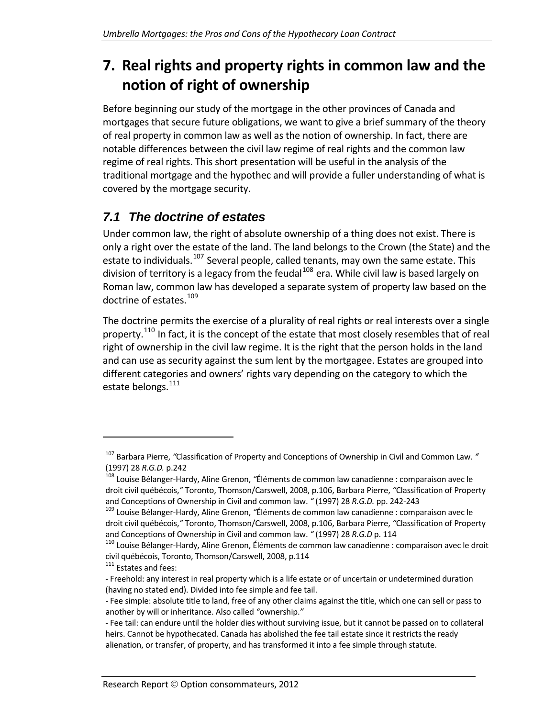# <span id="page-44-0"></span>**7. Real rights and property rights in common law and the notion of right of ownership**

Before beginning our study of the mortgage in the other provinces of Canada and mortgages that secure future obligations, we want to give a brief summary of the theory of real property in common law as well as the notion of ownership. In fact, there are notable differences between the civil law regime of real rights and the common law regime of real rights. This short presentation will be useful in the analysis of the traditional mortgage and the hypothec and will provide a fuller understanding of what is covered by the mortgage security.

# *7.1 The doctrine of estates*

<span id="page-44-1"></span>Under common law, the right of absolute ownership of a thing does not exist. There is only a right over the estate of the land. The land belongs to the Crown (the State) and the estate to individuals.<sup>[107](#page-44-2)</sup> Several people, called tenants, may own the same estate. This division of territory is a legacy from the feudal<sup>[108](#page-44-3)</sup> era. While civil law is based largely on Roman law, common law has developed a separate system of property law based on the doctrine of estates.<sup>[109](#page-44-4)</sup>

The doctrine permits the exercise of a plurality of real rights or real interests over a single property.<sup>[110](#page-44-5)</sup> In fact, it is the concept of the estate that most closely resembles that of real right of ownership in the civil law regime. It is the right that the person holds in the land and can use as security against the sum lent by the mortgagee. Estates are grouped into different categories and owners' rights vary depending on the category to which the estate belongs.<sup>[111](#page-44-6)</sup>

<span id="page-44-2"></span><sup>107</sup> Barbara Pierre, *"*Classification of Property and Conceptions of Ownership in Civil and Common Law. *"* (1997) 28 *R.G.D.* p.242<br><sup>108</sup> Louise Bélanger-Hardy, Aline Grenon, "Éléments de common law canadienne : comparaison avec le

<span id="page-44-3"></span>droit civil québécois,*"* Toronto, Thomson/Carswell, 2008, p.106, Barbara Pierre, *"*Classification of Property and Conceptions of Ownership in Civil and common law. " (1997) 28 *R.G.D.* pp. 242-243<br><sup>109</sup> Louise Bélanger-Hardy, Aline Grenon, "Éléments de common law canadienne : comparaison avec le

<span id="page-44-4"></span>droit civil québécois,*"* Toronto, Thomson/Carswell, 2008, p.106, Barbara Pierre, *"*Classification of Property and Conceptions of Ownership in Civil and common law. " (1997) 28 *R.G.D* p. 114<br><sup>110</sup> Louise Bélanger-Hardy, Aline Grenon, Éléments de common law canadienne : comparaison avec le droit

<span id="page-44-5"></span>civil québécois, Toronto, Thomson/Carswell, 2008, p.114<br><sup>111</sup> Estates and fees:

<span id="page-44-6"></span><sup>‐</sup> Freehold: any interest in real property which is a life estate or of uncertain or undetermined duration (having no stated end). Divided into fee simple and fee tail.

<sup>‐</sup> Fee simple: absolute title to land, free of any other claims against the title, which one can sell or pass to another by will or inheritance. Also called *"*ownership.*"*

<sup>‐</sup> Fee tail: can endure until the holder dies without surviving issue, but it cannot be passed on to collateral heirs. Cannot be hypothecated. Canada has abolished the fee tail estate since it restricts the ready alienation, or transfer, of property, and has transformed it into a fee simple through statute.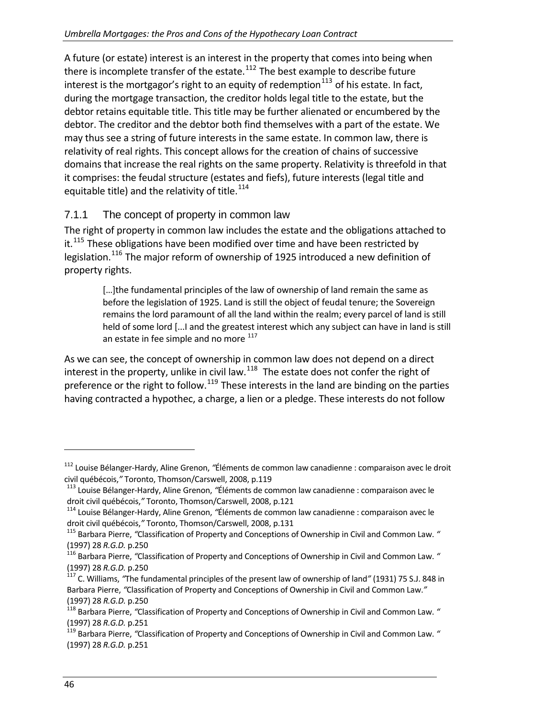A future (or estate) interest is an interest in the property that comes into being when there is incomplete transfer of the estate. $112$  The best example to describe future interest is the mortgagor's right to an equity of redemption  $113$  of his estate. In fact, during the mortgage transaction, the creditor holds legal title to the estate, but the debtor retains equitable title. This title may be further alienated or encumbered by th e debtor. The creditor and the debtor both find themselves with a part of the estate. We may thus see a string of future interests in the same estate. In common law, there is relativity of real rights. This concept allows for the creation of chains of successive domains that increase the real rights on the same property. Relativity is threefold in that it comprises: the feudal structure (estates and fiefs), future interests (legal title and equitable title) and the relativity of title. $^{114}$ 

## 7.1.1 The concept of property in common law

<span id="page-45-0"></span>The right of property in common law includes the estate and the obligations attached to it. $115$  These obligations have been modified over time and have been restricted by legislation.[116](#page-45-4) The major reform of ownership of 1925 introduced a new definition of property rights.

> [...] the fundamental principles of the law of ownership of land remain the same as before the legislation of 1925. Land is still the object of feudal tenure; the Sovereign remains the lord paramount of all the land within the realm; every parcel of land is still held of some lord [...I and the greatest interest which any subject can have in land is still an estate in fee simple and no more  $^{117}$  $^{117}$  $^{117}$

As we can see, the concept of ownership in common law does not depend on a direct interest in the property, unlike in civil law. $^{118}$  $^{118}$  $^{118}$  The estate does not confer the right of preference or the right to follow.<sup>[119](#page-45-7)</sup> These interests in the land are binding on the parties having contracted a hypothec, a charge, a lien or a pledge. These interests do not follow

<span id="page-45-1"></span><sup>&</sup>lt;sup>112</sup> Louise Bélanger-Hardy, Aline Grenon, "Éléments de common law canadienne : comparaison avec le droit<br>civil québécois," Toronto, Thomson/Carswell, 2008, p.119

<span id="page-45-2"></span><sup>&</sup>lt;sup>113</sup> Louise Bélanger-Hardy, Aline Grenon, "Éléments de common law canadienne : comparaison avec le

droit civil québécois," Toronto, Thomson/Carswell, 2008, p.121<br><sup>114</sup> Louise Bélanger-Hardy, Aline Grenon, "Éléments de common law canadienne : comparaison avec le<br>droit civil québécois," Toronto, Thomson/Carswell, 2008, p.

<span id="page-45-3"></span><sup>&</sup>lt;sup>115</sup> Barbara Pierre, "Classification of Property and Conceptions of Ownership in Civil and Common Law. "

<span id="page-45-4"></span><sup>(1997) 28</sup> *R.G.D.* p.250<br><sup>116</sup> Barbara Pierre, *"*Classification of Property and Conceptions of Ownership in Civil and Common Law. " (1997) 28 *R.G.D.* p.250<br><sup>117</sup> C. Williams, *"*The fundamental principles of the present law of ownership of land" (1931) 75 S.J. 848 in

<span id="page-45-5"></span>Barbara Pierre, *"*Classification of Property and Conceptions of Ownership in Civil and Common Law.*"* (1997) 28 *R.G.D.* p.250<br><sup>118</sup> Barbara Pierre, *"*Classification of Property and Conceptions of Ownership in Civil and Common Law. "

<span id="page-45-6"></span><sup>(1997) 28</sup> *R.G.D.* p.251<br><sup>119</sup> Barbara Pierre, *"*Classification of Property and Conceptions of Ownership in Civil and Common Law. "

<span id="page-45-7"></span><sup>(1997)</sup> 28 *R.G.D.* p.251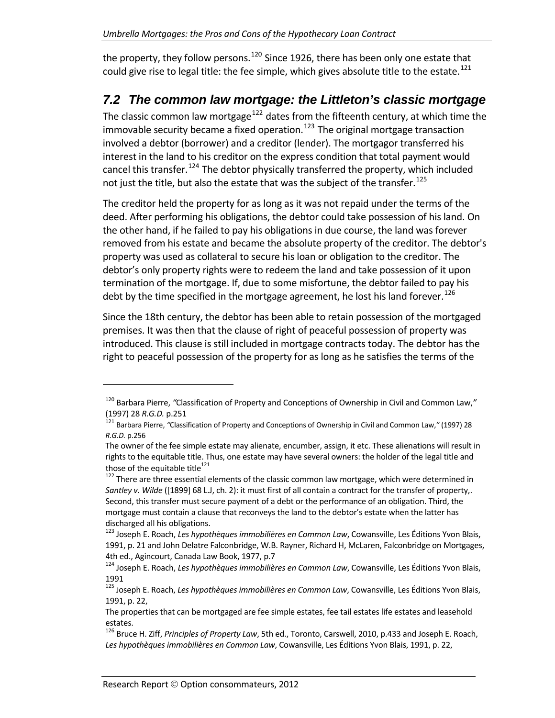the property, they follow persons.<sup>[120](#page-46-1)</sup> Since 1926, there has been only one estate that could give rise to legal title: the fee simple, which gives absolute title to the estate.<sup>[121](#page-46-2)</sup>

## *7.2 The common law mortgage: the Littleton's classic mortgage*

<span id="page-46-0"></span>The classic common law mortgage<sup>[122](#page-46-3)</sup> dates from the fifteenth century, at which time the immovable security became a fixed operation.<sup>[123](#page-46-4)</sup> The original mortgage transaction involved a debtor (borrower) and a creditor (lender). The mortgagor transferred his interest in the land to his creditor on the express condition that total payment would cancel this transfer.<sup>[124](#page-46-5)</sup> The debtor physically transferred the property, which included not just the title, but also the estate that was the subject of the transfer.<sup>125</sup>

The creditor held the property for as long as it was not repaid under the terms of the deed. After performing his obligations, the debtor could take possession of his land. On the other hand, if he failed to pay his obligations in due course, the land was forever removed from his estate and became the absolute property of the creditor. The debtor's property was used as collateral to secure his loan or obligation to the creditor. The debtor's only property rights were to redeem the land and take possession of it upon termination of the mortgage. If, due to some misfortune, the debtor failed to pay his debt by the time specified in the mortgage agreement, he lost his land forever.<sup>[126](#page-46-6)</sup>

Since the 18th century, the debtor has been able to retain possession of the mortgaged premises. It was then that the clause of right of peaceful possession of property was introduced. This clause is still included in mortgage contracts today. The debtor has the right to peaceful possession of the property for as long as he satisfies the terms of the

<span id="page-46-1"></span><sup>120</sup> Barbara Pierre, *"*Classification of Property and Conceptions of Ownership in Civil and Common Law,*"* (1997) 28 *R.G.D.* p.251<br><sup>121</sup> Barbara Pierre, "Classification of Property and Conceptions of Ownership in Civil and Common Law," (1997) 28

<span id="page-46-2"></span>*R.G.D.* p.256

The owner of the fee simple estate may alienate, encumber, assign, it etc. These alienations will result in rights to the equitable title. Thus, one estate may have several owners: the holder of the legal title and those of the equitable title<sup>121</sup>

<span id="page-46-3"></span><sup>&</sup>lt;sup>122</sup> There are three essential elements of the classic common law mortgage, which were determined in *Santley v. Wilde* ([1899] 68 L.J, ch. 2): it must first of all contain a contract for the transfer of property,. Second, this transfer must secure payment of a debt or the performance of an obligation. Third, the mortgage must contain a clause that reconveys the land to the debtor's estate when the latter has discharged all his obligations.<br><sup>123</sup> Joseph E. Roach, *Les hypothèques immobilières en Common Law*, Cowansville, Les Éditions Yvon Blais,

<span id="page-46-4"></span><sup>1991,</sup> p. 21 and John Delatre Falconbridge, W.B. Rayner, Richard H, McLaren, Falconbridge on Mortgages, 4th ed., Agincourt, Canada Law Book, 1977, p.7<br><sup>124</sup> Joseph E. Roach, *Les hypothèques immobilières en Common Law*, Cowansville, Les Éditions Yvon Blais,

<span id="page-46-5"></span><sup>1991</sup> <sup>125</sup> Joseph E. Roach, *Les hypothèques immobilières en Common Law*, Cowansville, Les Éditions Yvon Blais, 1991, p. 22,

The properties that can be mortgaged are fee simple estates, fee tail estates life estates and leasehold estates.

<span id="page-46-6"></span><sup>126</sup> Bruce H. Ziff, *Principles of Property Law*, 5th ed., Toronto, Carswell, 2010, p.433 and Joseph E. Roach, *Les hypothèques immobilières en Common Law*, Cowansville, Les Éditions Yvon Blais, 1991, p. 22,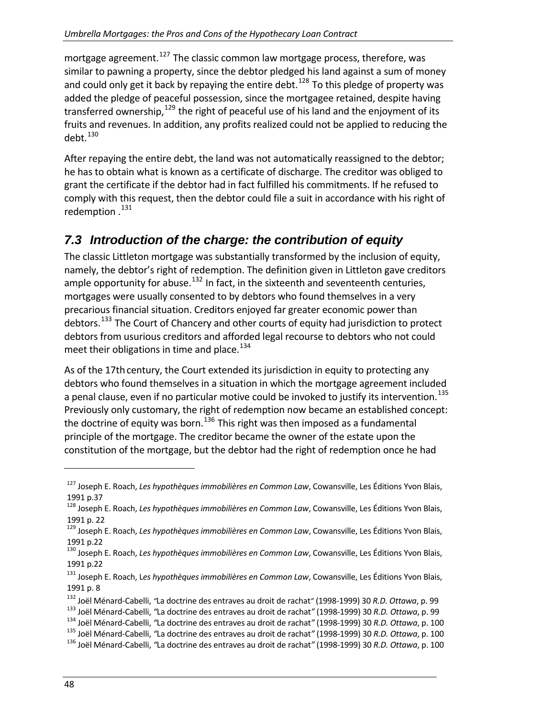mortgage agreement.<sup>[127](#page-47-1)</sup> The classic common law mortgage process, therefore, was similar to pawning a property, since the debtor pledged his land against a sum of money and could only get it back by repaying the entire debt.<sup>[128](#page-47-2)</sup> To this pledge of property was added the pledge of peaceful possession, since the mortgagee retained, despite having transferred ownership,  $129$  the right of peaceful use of his land and the enjoyment of its fruits and revenues. In addition, any profits realized could not be applied to reducing the  $debt.<sup>130</sup>$  $debt.<sup>130</sup>$  $debt.<sup>130</sup>$ 

After repaying the entire debt, the land was not automatically reassigned to the debtor; he has to obtain what is known as a certificate of discharge. The creditor was obliged to grant the certificate if the debtor had in fact fulfilled his commitments. If he refused to comply with this request, then the debtor could file a suit in accordance with his right of redemption . [131](#page-47-5)

## *7.3 Introduction of the charge: the contribution of equity*

<span id="page-47-0"></span>The classic Littleton mortgage was substantially transformed by the inclusion of equity, namely, the debtor's right of redemption. The definition given in Littleton gave creditors ample opportunity for abuse. $132$  In fact, in the sixteenth and seventeenth centuries, mortgages were usually consented to by debtors who found themselves in a very precarious financial situation. Creditors enjoyed far greater economic power than debtors.<sup>[133](#page-47-7)</sup> The Court of Chancery and other courts of equity had jurisdiction to protect debtors from usurious creditors and afforded legal recourse to debtors who not could meet their obligations in time and place. $134$ 

As of the 17th century, the Court extended its jurisdiction in equity to protecting any debtors who found themselves in a situation in which the mortgage agreement included a penal clause, even if no particular motive could be invoked to justify its intervention.<sup>[135](#page-47-9)</sup> Previously only customary, the right of redemption now became an established concept: the doctrine of equity was born.<sup>[136](#page-47-10)</sup> This right was then imposed as a fundamental principle of the mortgage. The creditor became the owner of the estate upon the constitution of the mortgage, but the debtor had the right of redemption once he had

<span id="page-47-1"></span><sup>127</sup> Joseph E. Roach, *Les hypothèques immobilières en Common Law*, Cowansville, Les Éditions Yvon Blais, <sup>1991</sup> p.37 <sup>128</sup> Joseph E. Roach, *Les hypothèques immobilières en Common Law*, Cowansville, Les Éditions Yvon Blais,

<span id="page-47-2"></span><sup>1991</sup> p. <sup>22</sup> <sup>129</sup> Joseph E. Roach, *Les hypothèques immobilières en Common Law*, Cowansville, Les Éditions Yvon Blais,

<span id="page-47-3"></span>

<span id="page-47-4"></span><sup>1991</sup> p.22 <sup>130</sup> Joseph E. Roach, *Les hypothèques immobilières en Common Law*, Cowansville, Les Éditions Yvon Blais, 1991 p.22

<span id="page-47-5"></span><sup>131</sup> Joseph E. Roach, L*es hypothèques immobilières en Common Law*, Cowansville, Les Éditions Yvon Blais, 1991 p. 8

<span id="page-47-7"></span>

<span id="page-47-9"></span><span id="page-47-8"></span>

<span id="page-47-6"></span><sup>&</sup>lt;sup>132</sup> Joël Ménard-Cabelli, "La doctrine des entraves au droit de rachat" (1998-1999) 30 R.D. Ottawa, p. 99<br><sup>133</sup> Joël Ménard-Cabelli, "La doctrine des entraves au droit de rachat" (1998-1999) 30 R.D. Ottawa, p. 99<br><sup>134</sup> J

<span id="page-47-10"></span>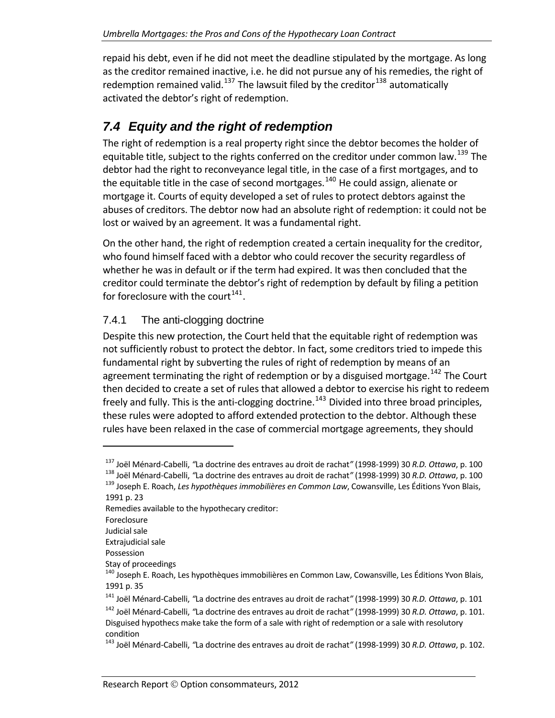repaid his debt, even if he did not meet the deadline stipulated by the mortgage. As long as the creditor remained inactive, i.e. he did not pursue any of his remedies, the right of redemption remained valid.<sup>[137](#page-48-2)</sup> The lawsuit filed by the creditor<sup>[138](#page-48-3)</sup> automatically activated the debtor's right of redemption.

# *7.4 Equity and the right of redemption*

<span id="page-48-0"></span>The right of redemption is a real property right since the debtor becomes the holder of equitable title, subject to the rights conferred on the creditor under common law.<sup>[139](#page-48-4)</sup> The debtor had the right to reconveyance legal title, in the case of a first mortgages, and to the equitable title in the case of second mortgages.<sup>[140](#page-48-5)</sup> He could assign, alienate or mortgage it. Courts of equity developed a set of rules to protect debtors against the abuses of creditors. The debtor now had an absolute right of redemption: it could not be lost or waived by an agreement. It was a fundamental right.

On the other hand, the right of redemption created a certain inequality for the creditor, who found himself faced with a debtor who could recover the security regardless of whether he was in default or if the term had expired. It was then concluded that the creditor could terminate the debtor's right of redemption by default by filing a petition for foreclosure with the court<sup>[141](#page-48-6)</sup>.

## 7.4.1 The anti-clogging doctrine

<span id="page-48-1"></span>Despite this new protection, the Court held that the equitable right of redemption was not sufficiently robust to protect the debtor. In fact, some creditors tried to impede this fundamental right by subverting the rules of right of redemption by means of an agreement terminating the right of redemption or by a disguised mortgage.<sup>[142](#page-48-7)</sup> The Court then decided to create a set of rules that allowed a debtor to exercise his right to redeem freely and fully. This is the anti-clogging doctrine.<sup>[143](#page-48-8)</sup> Divided into three broad principles, these rules were adopted to afford extended protection to the debtor. Although these rules have been relaxed in the case of commercial mortgage agreements, they should

Remedies available to the hypothecary creditor:

<span id="page-48-3"></span><span id="page-48-2"></span><sup>&</sup>lt;sup>137</sup> Joël Ménard-Cabelli, "La doctrine des entraves au droit de rachat" (1998-1999) 30 R.D. Ottawa, p. 100<br><sup>138</sup> Joël Ménard-Cabelli, "La doctrine des entraves au droit de rachat" (1998-1999) 30 R.D. Ottawa, p. 100<br><sup>139</sup>

<span id="page-48-4"></span><sup>1991</sup> p. 23

Foreclosure

Judicial sale

Extrajudicial sale

Possession

<span id="page-48-5"></span>Stay of proceedings<br><sup>140</sup> Joseph E. Roach, Les hypothèques immobilières en Common Law, Cowansville, Les Éditions Yvon Blais, 1991 p. 35

<sup>141</sup> Joël Ménard‐Cabelli, *"*La doctrine des entraves au droit de rachat*"* (1998‐1999) 30 *R.D. Ottawa*, p. 101

<span id="page-48-7"></span><span id="page-48-6"></span><sup>142</sup> Joël Ménard‐Cabelli, *"*La doctrine des entraves au droit de rachat*"* (1998‐1999) 30 *R.D. Ottawa*, p. 101. Disguised hypothecs make take the form of a sale with right of redemption or a sale with resolutory

<span id="page-48-8"></span>condition <sup>143</sup> Joël Ménard‐Cabelli, *"*La doctrine des entraves au droit de rachat*"* (1998‐1999) <sup>30</sup> *R.D. Ottawa*, p. 102.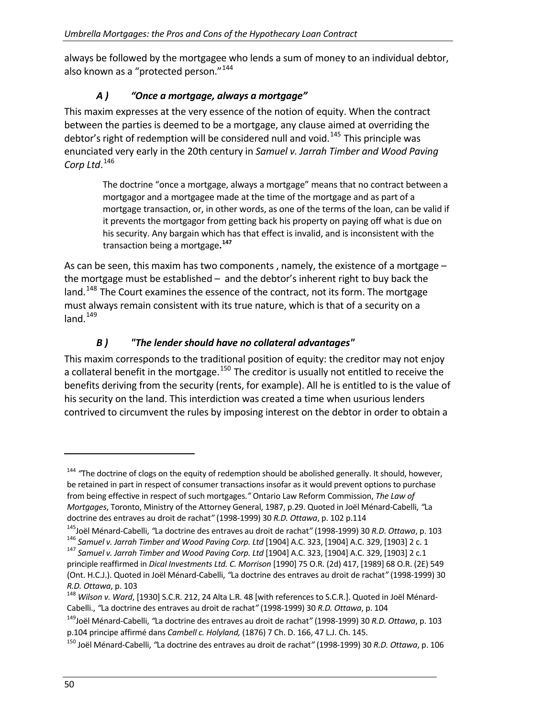always be followed by the mortgagee who lends a sum of money to an individual debtor, also known as a "protected person."<sup>[144](#page-49-0)</sup>

#### *A ) "Once a mortgage, always a mortgage"*

This maxim expresses at the very essence of the notion of equity. When the contract between the parties is deemed to be a mortgage, any clause aimed at overriding the debtor's right of redemption will be considered null and void.<sup>[145](#page-49-1)</sup> This principle was enunciated very early in the 20th century in *Samuel v. Jarrah Timber and Wood Paving Corp Ltd*. [146](#page-49-2)

> The doctrine "once a mortgage, always a mortgage" means that no contract between a mortgagor and a mortgagee made at the time of the mortgage and as part of a mortgage transaction, or, in other words, as one of the terms of the loan, can be valid if it prevents the mortgagor from getting back his property on paying off what is due on his security. Any bargain which has that effect is invalid, and is inconsistent with the transaction being a mortgage**. [147](#page-49-3)**

As can be seen, this maxim has two components , namely, the existence of a mortgage – the mortgage must be established – and the debtor's inherent right to buy back the land.<sup>[148](#page-49-4)</sup> The Court examines the essence of the contract, not its form. The mortgage must always remain consistent with its true nature, which is that of a security on a  $land.<sup>149</sup>$ 

### *B ) "The lender should have no collateral advantages"*

benefits deriving from the security (rents, for example). All he is entitled to is the value of contrived to circumvent the rules by imposing interest on the debtor in order to obtain a This maxim corresponds to the traditional position of equity: the creditor may not enjoy a collateral benefit in the mortgage.<sup>[150](#page-49-5)</sup> The creditor is usually not entitled to receive the his security on the land. This interdiction was created a time when usurious lenders

<span id="page-49-0"></span><sup>&</sup>lt;sup>144</sup> "The doctrine of clogs on the equity of redemption should be abolished generally. It should, however, be retained in part in respect of consumer transactions insofar as it would prevent options to purchase from being effective in respect of such mortgages.*"* Ontario Law Reform Commission, *The Law of Mortgages*, Toronto, Ministry of the Attorney General, 1987, p.29. Quoted in Joël Ménard‐Cabelli, *"*La doctrine des entraves au droit de rachat*"* (1998‐1999) 30 *R.D. Ottawa*, p. 102 p.114

<span id="page-49-1"></span><sup>&</sup>lt;sup>145</sup>Joël Ménard-Cabelli, "La doctrine des entraves au droit de rachat" (1998-1999) 30 R.D. Ottawa, p. 103<br><sup>146</sup> Samuel v. Jarrah Timber and Wood Paving Corp. Ltd [1904] A.C. 323, [1904] A.C. 329, [1903] 2 c. 1<br><sup>147</sup> Samue

<span id="page-49-3"></span><span id="page-49-2"></span>principle reaffirmed in *Dical Investments Ltd. C. Morrison* [1990] 75 O.R. (2d) 417, [1989] 68 O.R. (2E) 549

<sup>(</sup>Ont. H.C.J.). Quoted in Joël Ménard‐Cabelli, *"*La doctrine des entraves au droit de rachat*"* (1998‐1999) 30 *R.D. Ottawa, p. 103*<br><sup>148</sup> *Wilson v. Ward,* [1930] S.C.R. 212, 24 Alta L.R. 48 [with references to S.C.R.]. Quoted in Joël Ménard-

<span id="page-49-4"></span>Cabelli., *"*La doctrine des entraves au droit de rachat*"* (1998‐1999) 30 *R.D. Ottawa*, p. 104

<sup>149</sup>Joël Ménard‐Cabelli, *"*La doctrine des entraves au droit de rachat*"* (1998‐1999) 30 *R.D. Ottawa*, p. 103 p.104 principe affirmé dans *Cambell c. Holyland,* (1876) 7 Ch. D. 166, 47 L.J. Ch. 145.

<span id="page-49-5"></span><sup>150</sup> Joël Ménard‐Cabelli, *"*La doctrine des entraves au droit de rachat*"* (1998‐1999) 30 *R.D. Ottawa*, p. 106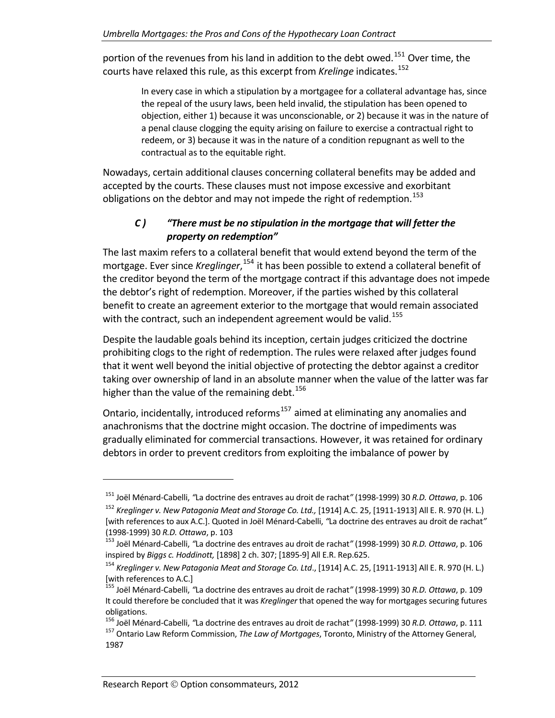portion of the revenues from his land in addition to the debt owed.<sup>[151](#page-50-0)</sup> Over time, the courts have relaxed this rule, as this excerpt from *Krelinge* indicates.<sup>[152](#page-50-1)</sup>

> In every case in which a stipulation by a mortgagee for a collateral advantage has, since the repeal of the usury laws, been held invalid, the stipulation has been opened to objection, either 1) because it was unconscionable, or 2) because it was in the nature of a penal clause clogging the equity arising on failure to exercise a contractual right to redeem, or 3) because it was in the nature of a condition repugnant as well to the contractual as to the equitable right.

Nowadays, certain additional clauses concerning collateral benefits may be added and accepted by the courts. These clauses must not impose excessive and exorbitant obligations on the debtor and may not impede the right of redemption.<sup>[153](#page-50-2)</sup>

### *C ) "There must be no stipulation in the mortgage that will fetter the property on redemption"*

The last maxim refers to a collateral benefit that would extend beyond the term of the mortgage. Ever since *Kreglinger*,<sup>[154](#page-50-3)</sup> it has been possible to extend a collateral benefit of the creditor beyond the term of the mortgage contract if this advantage does not impede the debtor's right of redemption. Moreover, if the parties wished by this collateral benefit to create an agreement exterior to the mortgage that would remain associated with the contract, such an independent agreement would be valid.<sup>[155](#page-50-4)</sup>

Despite the laudable goals behind its inception, certain judges criticized the doctrine prohibiting clogs to the right of redemption. The rules were relaxed after judges found that it went well beyond the initial objective of protecting the debtor against a creditor taking over ownership of land in an absolute manner when the value of the latter was far higher than the value of the remaining debt.  $156$ 

Ontario, incidentally, introduced reforms<sup>[157](#page-50-6)</sup> aimed at eliminating any anomalies and anachronisms that the doctrine might occasion. The doctrine of impediments was gradually eliminated for commercial transactions. However, it was retained for ordinary debtors in order to prevent creditors from exploiting the imbalance of power by

<span id="page-50-0"></span><sup>151</sup> Joël Ménard‐Cabelli, *"*La doctrine des entraves au droit de rachat*"* (1998‐1999) 30 *R.D. Ottawa*, p. 106

<span id="page-50-1"></span><sup>152</sup> *Kreglinger v. New Patagonia Meat and Storage Co. Ltd.,* [1914] A.C. 25, [1911‐1913] All E. R. 970 (H. L.) [with references to aux A.C.]. Quoted in Joël Ménard‐Cabelli, *"*La doctrine des entraves au droit de rachat*"* (1998‐1999) <sup>30</sup> *R.D. Ottawa*, p. <sup>103</sup> <sup>153</sup> Joël Ménard‐Cabelli, *"*La doctrine des entraves au droit de rachat*"* (1998‐1999) <sup>30</sup> *R.D. Ottawa*, p. <sup>106</sup>

<span id="page-50-2"></span>inspired by *Biggs c. Hoddinott,* [1898] 2 ch. 307; [1895‐9] All E.R. Rep.625.

<span id="page-50-3"></span><sup>154</sup> *Kreglinger v. New Patagonia Meat and Storage Co. Ltd*., [1914] A.C. 25, [1911‐1913] All E. R. 970 (H. L.) [with references to A.C.] <sup>155</sup> Joël Ménard‐Cabelli, *"*La doctrine des entraves au droit de rachat*"* (1998‐1999) <sup>30</sup> *R.D. Ottawa*, p. <sup>109</sup>

<span id="page-50-4"></span>It could therefore be concluded that it was *Kreglinger* that opened the way for mortgages securing futures

<span id="page-50-6"></span><span id="page-50-5"></span>obligations.<br><sup>156</sup> Joël Ménard-Cabelli, "La doctrine des entraves au droit de rachat" (1998-1999) 30 R.D. Ottawa, p. 111 <sup>157</sup> Ontario Law Reform Commission, The Law of Mortgages, Toronto, Ministry of the Attorney General, 1987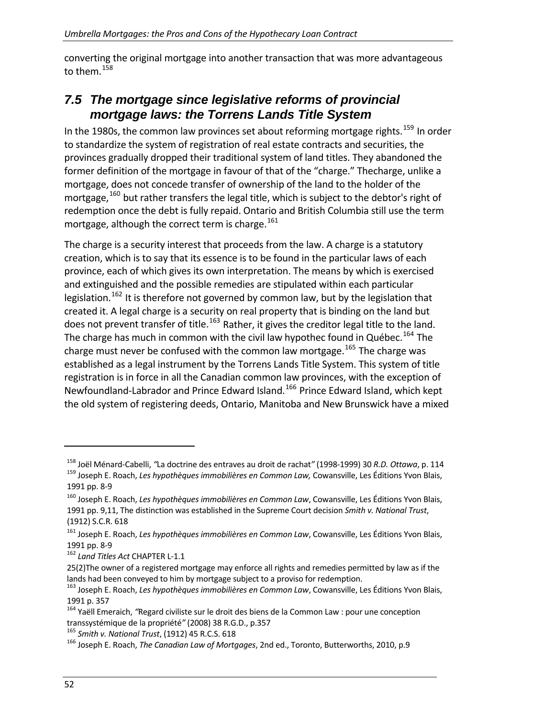converting the original mortgage into another transaction that was more advantageous to them.<sup>[158](#page-51-1)</sup>

## <span id="page-51-0"></span>*7.5 The mortgage since legislative reforms of provincial mortgage laws: the Torrens Lands Title System*

In the 1980s, the common law provinces set about reforming mortgage rights.<sup>[159](#page-51-2)</sup> In order to standardize the system of registration of real estate contracts and securities, the provinces gradually dropped their traditional system of land titles. They abandoned the former definition of the mortgage in favour of that of the "charge." Thecharge, unlike a mortgage, does not concede transfer of ownership of the land to the holder of the mortgage,  $160$  but rather transfers the legal title, which is subject to the debtor's right of redemption once the debt is fully repaid. Ontario and British Columbia still use the term mortgage, although the correct term is charge.<sup>[161](#page-51-4)</sup>

The charge is a security interest that proceeds from the law. A charge is a statutory creation, which is to say that its essence is to be found in the particular laws of each province, each of which gives its own interpretation. The means by which is exercised and extinguished and the possible remedies are stipulated within each particular legislation.<sup>[162](#page-51-5)</sup> It is therefore not governed by common law, but by the legislation that created it. A legal charge is a security on real property that is binding on the land but does not prevent transfer of title.<sup>[163](#page-51-6)</sup> Rather, it gives the creditor legal title to the land. The charge has much in common with the civil law hypothec found in Québec.<sup>[164](#page-51-7)</sup> The charge must never be confused with the common law mortgage.<sup>[165](#page-51-8)</sup> The charge was established as a legal instrument by the Torrens Lands Title System. This system of title registration is in force in all the Canadian common law provinces, with the exception of Newfoundland-Labrador and Prince Edward Island.<sup>[166](#page-51-9)</sup> Prince Edward Island, which kept the old system of registering deeds, Ontario, Manitoba and New Brunswick have a mixed

<span id="page-51-2"></span><span id="page-51-1"></span><sup>&</sup>lt;sup>158</sup> Joël Ménard-Cabelli, "La doctrine des entraves au droit de rachat" (1998-1999) 30 R.D. Ottawa, p. 114<br><sup>159</sup> Joseph E. Roach, *Les hypothèques immobilières en Common Law,* Cowansville, Les Éditions Yvon Blais, 1991 pp. 8‐9

<span id="page-51-3"></span><sup>160</sup> Joseph E. Roach, *Les hypothèques immobilières en Common Law*, Cowansville, Les Éditions Yvon Blais, 1991 pp. 9,11, The distinction was established in the Supreme Court decision *Smith v. National Trust*, (1912) S.C.R. 618

<span id="page-51-4"></span><sup>161</sup> Joseph E. Roach, *Les hypothèques immobilières en Common Law*, Cowansville, Les Éditions Yvon Blais, <sup>1991</sup> pp. <sup>8</sup>‐<sup>9</sup> <sup>162</sup> *Land Titles Act* CHAPTER <sup>L</sup>‐1.1

<span id="page-51-5"></span><sup>25(2)</sup>The owner of a registered mortgage may enforce all rights and remedies permitted by law as if the

<span id="page-51-6"></span>lands had been conveyed to him by mortgage subject to <sup>a</sup> proviso for redemption. <sup>163</sup> Joseph E. Roach, *Les hypothèques immobilières en Common Law*, Cowansville, Les Éditions Yvon Blais,

<span id="page-51-7"></span><sup>&</sup>lt;sup>164</sup> Yaëll Emeraich, "Regard civiliste sur le droit des biens de la Common Law : pour une conception transsystémique de la propriété" (2008) 38 R.G.D., p.357<br><sup>165</sup> Smith v. National Trust, (1912) 45 R.C.S. 618<br><sup>166</sup> Joseph E. Roach, *The Canadian Law of Mortgages*, 2nd ed., Toronto, Butterworths, 2010, p.9

<span id="page-51-9"></span><span id="page-51-8"></span>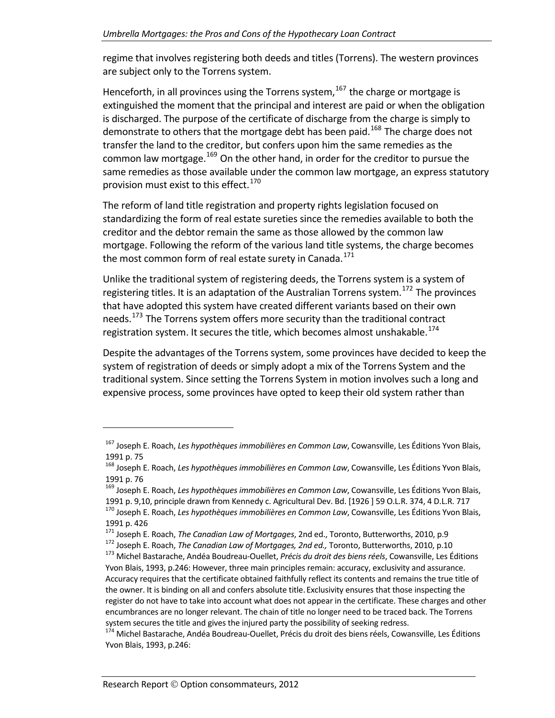regime that involves registering both deeds and titles (Torrens). The western provinces are subject only to the Torrens system.

Henceforth, in all provinces using the Torrens system, $167$  the charge or mortgage is extinguished the moment that the principal and interest are paid or when the obligation is discharged. The purpose of the certificate of discharge from the charge is simply to demonstrate to others that the mortgage debt has been paid.<sup>[168](#page-52-1)</sup> The charge does not transfer the land to the creditor, but confers upon him the same remedies as the common law mortgage.<sup>[169](#page-52-2)</sup> On the other hand, in order for the creditor to pursue the same remedies as those available under the common law mortgage, an express statutory provision must exist to this effect.<sup>[170](#page-52-3)</sup>

The reform of land title registration and property rights legislation focused on standardizing the form of real estate sureties since the remedies available to both the creditor and the debtor remain the same as those allowed by the common law mortgage. Following the reform of the various land title systems, the charge becomes the most common form of real estate surety in Canada.<sup>[171](#page-52-4)</sup>

Unlike the traditional system of registering deeds, the Torrens system is a system of registering titles. It is an adaptation of the Australian Torrens system.<sup>[172](#page-52-5)</sup> The provinces that have adopted this system have created different variants based on their own needs.<sup>[173](#page-52-6)</sup> The Torrens system offers more security than the traditional contract registration system. It secures the title, which becomes almost unshakable.<sup>[174](#page-52-7)</sup>

Despite the advantages of the Torrens system, some provinces have decided to keep the system of registration of deeds or simply adopt a mix of the Torrens System and the traditional system. Since setting the Torrens System in motion involves such a long and expensive process, some provinces have opted to keep their old system rather than

<span id="page-52-0"></span><sup>167</sup> Joseph E. Roach, *Les hypothèques immobilières en Common Law*, Cowansville, Les Éditions Yvon Blais, <sup>1991</sup> p. <sup>75</sup> <sup>168</sup> Joseph E. Roach, *Les hypothèques immobilières en Common Law*, Cowansville, Les Éditions Yvon Blais,

<span id="page-52-1"></span><sup>1991</sup> p. <sup>76</sup> <sup>169</sup> Joseph E. Roach, *Les hypothèques immobilières en Common Law*, Cowansville, Les Éditions Yvon Blais,

<span id="page-52-2"></span>

<span id="page-52-3"></span><sup>1991</sup> p. 9,10, principle drawn from Kennedy c. Agricultural Dev. Bd. [1926] 59 O.L.R. 374, 4 D.L.R. 717<br><sup>170</sup> Joseph E. Roach, Les hypothèques immobilières en Common Law, Cowansville, Les Éditions Yvon Blais,

<span id="page-52-4"></span>

<span id="page-52-6"></span><span id="page-52-5"></span>

<sup>1991</sup> p. 426<br><sup>171</sup> Joseph E. Roach, *The Canadian Law of Mortgages*, 2nd ed., Toronto, Butterworths, 2010, p.9<br><sup>172</sup> Joseph E. Roach, *The Canadian Law of Mortgages, 2nd ed.,* Toronto, Butterworths, 2010, p.10<br><sup>173</sup> Michel Yvon Blais, 1993, p.246: However, three main principles remain: accuracy, exclusivity and assurance. Accuracy requires that the certificate obtained faithfully reflect its contents and remains the true title of the owner. It is binding on all and confers absolute title. Exclusivity ensures that those inspecting the register do not have to take into account what does not appear in the certificate. These charges and other encumbrances are no longer relevant. The chain of title no longer need to be traced back. The Torrens system secures the title and gives the injured party the possibility of seeking redress.<br><sup>174</sup> Michel Bastarache, Andéa Boudreau-Ouellet, Précis du droit des biens réels, Cowansville, Les Éditions

<span id="page-52-7"></span>Yvon Blais, 1993, p.246: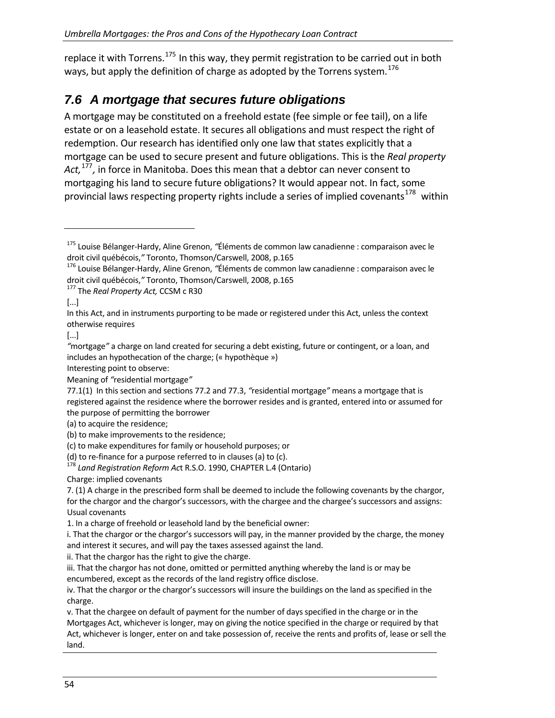replace it with Torrens.<sup>[175](#page-53-1)</sup> In this way, they permit registration to be carried out in both ways, but apply the definition of charge as adopted by the Torrens system.<sup>[176](#page-53-2)</sup>

# *7.6 A mortgage that secures future obligations*

<span id="page-53-0"></span>A mortgage may be constituted on a freehold estate (fee simple or fee tail), on a life estate or on a leasehold estate. It secures all obligations and must respect the right of redemption. Our research has identified only one law that states explicitly that a mortgage can be used to secure present and future obligations. This is the *Real property Act,*[177](#page-53-3)*,* in force in Manitoba. Does this mean that a debtor can never consent to mortgaging his land to secure future obligations? It would appear not. In fact, some provincial laws respecting property rights include a series of implied covenants<sup>[178](#page-53-4)</sup> within

<span id="page-53-3"></span>

[...]

[...]

Interesting point to observe:

Meaning of *"*residential mortgage*"*

(a) to acquire the residence;

(c) to make expenditures for family or household purposes; or (d) to re-finance for a purpose referred to in clauses (a) to (c).

<span id="page-53-4"></span>Land Registration Reform Act R.S.O. 1990, CHAPTER L.4 (Ontario)

Charge: implied covenants

7. (1) A charge in the prescribed form shall be deemed to include the following covenants by the chargor, for the chargor and the chargor's successors, with the chargee and the chargee's successors and assigns: Usual covenants

1. In a charge of freehold or leasehold land by the beneficial owner:

i. That the chargor or the chargor's successors will pay, in the manner provided by the charge, the money and interest it secures, and will pay the taxes assessed against the land.

ii. That the chargor has the right to give the charge.

iii. That the chargor has not done, omitted or permitted anything whereby the land is or may be encumbered, except as the records of the land registry office disclose.

iv. That the chargor or the chargor's successors will insure the buildings on the land as specified in the charge.

v. That the chargee on default of payment for the number of days specified in the charge or in the Mortgages Act, whichever is longer, may on giving the notice specified in the charge or required by that Act, whichever is longer, enter on and take possession of, receive the rents and profits of, lease or sell the land.

<span id="page-53-1"></span><sup>175</sup> Louise Bélanger‐Hardy, Aline Grenon, *"*Éléments de common law canadienne : comparaison avec le droit civil québécois," Toronto, Thomson/Carswell, 2008, p.165<br><sup>176</sup> Louise Bélanger-Hardy, Aline Grenon, "Éléments de common law canadienne : comparaison avec le

<span id="page-53-2"></span>droit civil québécois,*"* Toronto, Thomson/Carswell, 2008, p.165 <sup>177</sup> The *Real Property Act,* CCSM <sup>c</sup> R30

In this Act, and in instruments purporting to be made or registered under this Act, unless the context otherwise requires

*<sup>&</sup>quot;*mortgage*"* a charge on land created for securing a debt existing, future or contingent, or a loan, and includes an hypothecation of the charge; (« hypothèque »)

<sup>77.1(1)</sup> In this section and sections 77.2 and 77.3, *"*residential mortgage*"* means a mortgage that is registered against the residence where the borrower resides and is granted, entered into or assumed for the purpose of permitting the borrower

<sup>(</sup>b) to make improvements to the residence;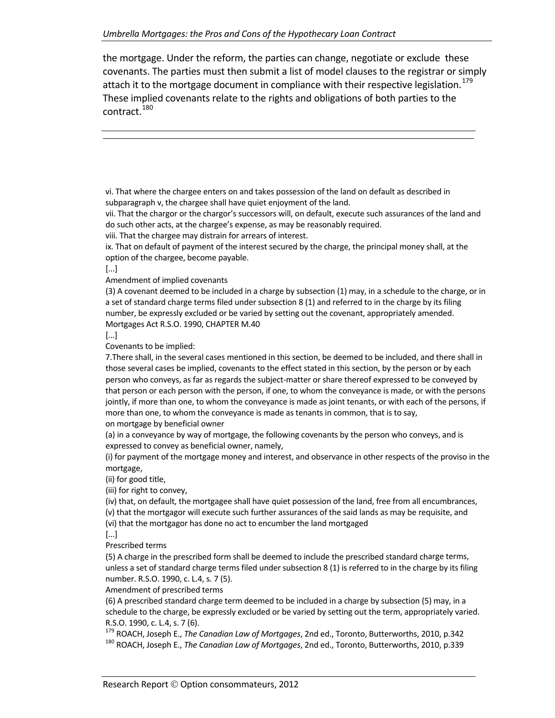the mortgage. Under the reform, the parties can change, negotiate or exclude these covenants. The parties must then submit a list of model clauses to the registrar or simply attach it to the mortgage document in compliance with their respective legislation.<sup>[179](#page-54-0)</sup> These implied covenants relate to the rights and obligations of both parties to the contract.<sup>[180](#page-54-1)</sup>

vi. That where the chargee enters on and takes possession of the land on default as described in subparagraph v, the chargee shall have quiet enjoyment of the land.

vii. That the chargor or the chargor's successors will, on default, execute such assurances of the land and do such other acts, at the chargee's expense, as may be reasonably required.

viii. That the chargee may distrain for arrears of interest.

ix. That on default of payment of the interest secured by the charge, the principal money shall, at the option of the chargee, become payable.

[...]

Amendment of implied covenants

(3) A covenant deemed to be included in a charge by subsection (1) may, in a schedule to the charge, or in a set of standard charge terms filed under subsection 8 (1) and referred to in the charge by its filing number, be expressly excluded or be varied by setting out the covenant, appropriately amended. Mortgages Act R.S.O. 1990, CHAPTER M.40

[...]

Covenants to be implied:

7.There shall, in the several cases mentioned in this section, be deemed to be included, and there shall in those several cases be implied, covenants to the effect stated in this section, by the person or by each person who conveys, as far as regards the subject‐matter or share thereof expressed to be conveyed by that person or each person with the person, if one, to whom the conveyance is made, or with the persons jointly, if more than one, to whom the conveyance is made as joint tenants, or with each of the persons, if more than one, to whom the conveyance is made as tenants in common, that is to say,

on mortgage by beneficial owner

(a) in a conveyance by way of mortgage, the following covenants by the person who conveys, and is expressed to convey as beneficial owner, namely,

(i) for payment of the mortgage money and interest, and observance in other respects of the proviso in the mortgage,

(ii) for good title,

(iii) for right to convey,

(iv) that, on default, the mortgagee shall have quiet possession of the land, free from all encumbrances, (v) that the mortgagor will execute such further assurances of the said lands as may be requisite, and (vi) that the mortgagor has done no act to encumber the land mortgaged

[...]

Prescribed terms

(5) A charge in the prescribed form shall be deemed to include the prescribed standard charge terms, unless a set of standard charge terms filed under subsection 8 (1) is referred to in the charge by its filing number. R.S.O. 1990, c. L.4, s. 7 (5).

Amendment of prescribed terms

(6) A prescribed standard charge term deemed to be included in a charge by subsection (5) may, in a schedule to the charge, be expressly excluded or be varied by setting out the term, appropriately varied.

<span id="page-54-1"></span><span id="page-54-0"></span>R.S.O. 1990, c. L.4, s. 7 (6).<br><sup>179</sup> ROACH, Joseph E., *The Canadian Law of Mortgages*, 2nd ed., Toronto, Butterworths, 2010, p.342<br><sup>180</sup> ROACH, Joseph E., *The Canadian Law of Mortgages*, 2nd ed., Toronto, Butterworths, 2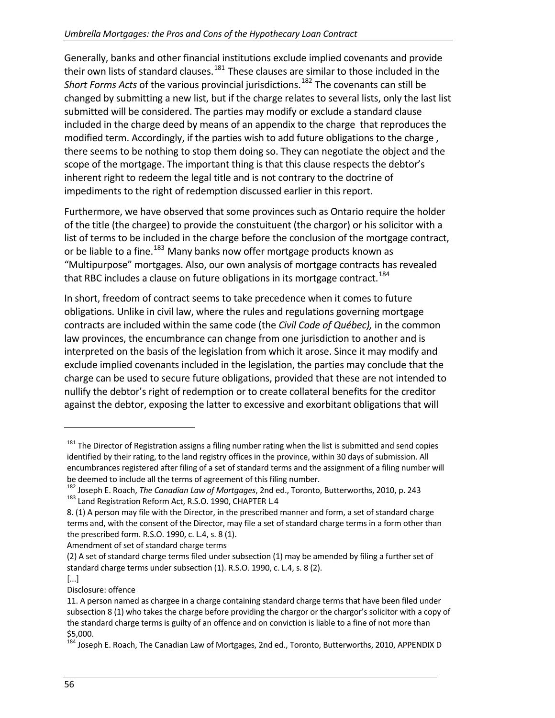Generally, banks and other financial institutions exclude implied covenants and provide their own lists of standard clauses.<sup>[181](#page-55-0)</sup> These clauses are similar to those included in the *Short Forms Acts* of the various provincial jurisdictions.[182](#page-55-1) The covenants can still be changed by submitting a new list, but if the charge relates to several lists, only the last list submitted will be considered. The parties may modify or exclude a standard clause included in the charge deed by means of an appendix to the charge that reproduces the modified term. Accordingly, if the parties wish to add future obligations to the charge , there seems to be nothing to stop them doing so. They can negotiate the object and the scope of the mortgage. The important thing is that this clause respects the debtor's inherent right to redeem the legal title and is not contrary to the doctrine of impediments to the right of redemption discussed earlier in this report.

Furthermore, we have observed that some provinces such as Ontario require the holder of the title (the chargee) to provide the constuituent (the chargor) or his solicitor with a list of terms to be included in the charge before the conclusion of the mortgage contract, or be liable to a fine.<sup>[183](#page-55-2)</sup> Many banks now offer mortgage products known as "Multipurpose" mortgages. Also, our own analysis of mortgage contracts has revealed that RBC includes a clause on future obligations in its mortgage contract.<sup>[184](#page-55-3)</sup>

In short, freedom of contract seems to take precedence when it comes to future obligations. Unlike in civil law, where the rules and regulations governing mortgage contracts are included within the same code (the *Civil Code of Québec),* in the common law provinces, the encumbrance can change from one jurisdiction to another and is interpreted on the basis of the legislation from which it arose. Since it may modify and exclude implied covenants included in the legislation, the parties may conclude that the charge can be used to secure future obligations, provided that these are not intended to nullify the debtor's right of redemption or to create collateral benefits for the creditor against the debtor, exposing the latter to excessive and exorbitant obligations that will

Amendment of set of standard charge terms

<span id="page-55-0"></span><sup>&</sup>lt;sup>181</sup> The Director of Registration assigns a filing number rating when the list is submitted and send copies identified by their rating, to the land registry offices in the province, within 30 days of submission. All encumbrances registered after filing of a set of standard terms and the assignment of a filing number will

<span id="page-55-1"></span>be deemed to include all the terms of agreement of this filing number.<br><sup>182</sup> Joseph E. Roach, *The Canadian Law of Mortgages*, 2nd ed., Toronto, Butterworths, 2010, p. 243<br><sup>183</sup> Land Registration Reform Act, R.S.O. 1990, C

<span id="page-55-2"></span><sup>8.</sup> (1) A person may file with the Director, in the prescribed manner and form, a set of standard charge terms and, with the consent of the Director, may file a set of standard charge terms in a form other than the prescribed form. R.S.O. 1990, c. L.4, s. 8 (1).

<sup>(2)</sup> A set of standard charge terms filed under subsection (1) may be amended by filing a further set of standard charge terms under subsection (1). R.S.O. 1990, c. L.4, s. 8 (2).

<sup>[...]</sup>

Disclosure: offence

<sup>11.</sup> A person named as chargee in a charge containing standard charge terms that have been filed under subsection 8 (1) who takes the charge before providing the chargor or the chargor's solicitor with a copy of the standard charge terms is guilty of an offence and on conviction is liable to a fine of not more than \$5,000.

<span id="page-55-3"></span><sup>184</sup> Joseph E. Roach, The Canadian Law of Mortgages, 2nd ed., Toronto, Butterworths, 2010, APPENDIX D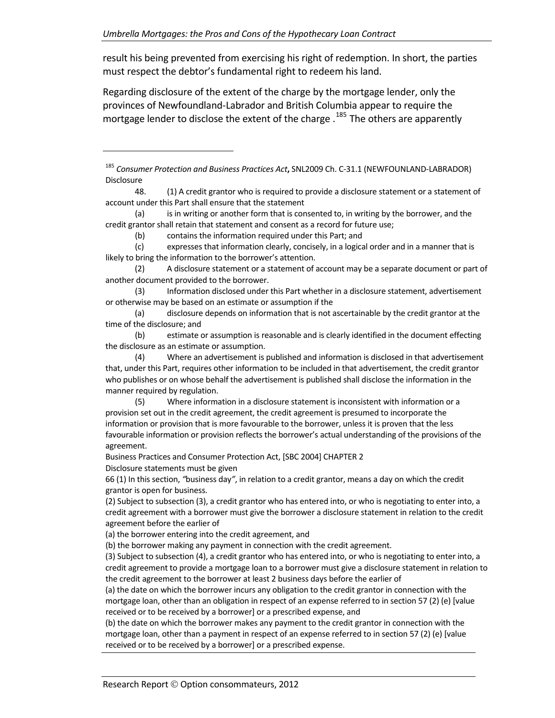result his being prevented from exercising his right of redemption. In short, the parties must respect the debtor's fundamental right to redeem his land.

Regarding disclosure of the extent of the charge by the mortgage lender, only the provinces of Newfoundland‐Labrador and British Columbia appear to require the mortgage lender to disclose the extent of the charge .<sup>[185](#page-56-0)</sup> The others are apparently

<span id="page-56-0"></span><sup>185</sup> *Consumer Protection and Business Practices Act***,** SNL2009 Ch. C‐31.1 (NEWFOUNLAND‐LABRADOR) Disclosure

(a) is in writing or another form that is consented to, in writing by the borrower, and the credit grantor shall retain that statement and consent as a record for future use;

(b) contains the information required under this Part; and

(c) expresses that information clearly, concisely, in a logical order and in a manner that is likely to bring the information to the borrower's attention.

(2) A disclosure statement or a statement of account may be a separate document or part of another document provided to the borrower.

(3) Information disclosed under this Part whether in a disclosure statement, advertisement or otherwise may be based on an estimate or assumption if the

(a) disclosure depends on information that is not ascertainable by the credit grantor at the time of the disclosure; and

(b) estimate or assumption is reasonable and is clearly identified in the document effecting the disclosure as an estimate or assumption.

(4) Where an advertisement is published and information is disclosed in that advertisement that, under this Part, requires other information to be included in that advertisement, the credit grantor who publishes or on whose behalf the advertisement is published shall disclose the information in the manner required by regulation.

(5) Where information in a disclosure statement is inconsistent with information or a provision set out in the credit agreement, the credit agreement is presumed to incorporate the information or provision that is more favourable to the borrower, unless it is proven that the less favourable information or provision reflects the borrower's actual understanding of the provisions of the agreement.

Business Practices and Consumer Protection Act, [SBC 2004] CHAPTER 2

Disclosure statements must be given

66 (1) In this section, *"*business day*"*, in relation to a credit grantor, means a day on which the credit grantor is open for business.

(2) Subject to subsection (3), a credit grantor who has entered into, or who is negotiating to enter into, a credit agreement with a borrower must give the borrower a disclosure statement in relation to the credit agreement before the earlier of

(a) the borrower entering into the credit agreement, and

(b) the borrower making any payment in connection with the credit agreement.

(3) Subject to subsection (4), a credit grantor who has entered into, or who is negotiating to enter into, a credit agreement to provide a mortgage loan to a borrower must give a disclosure statement in relation to the credit agreement to the borrower at least 2 business days before the earlier of

(a) the date on which the borrower incurs any obligation to the credit grantor in connection with the mortgage loan, other than an obligation in respect of an expense referred to in section 57 (2) (e) [value received or to be received by a borrower] or a prescribed expense, and

(b) the date on which the borrower makes any payment to the credit grantor in connection with the mortgage loan, other than a payment in respect of an expense referred to in section 57 (2) (e) [value received or to be received by a borrower] or a prescribed expense.

<sup>48.</sup> (1) A credit grantor who is required to provide a disclosure statement or a statement of account under this Part shall ensure that the statement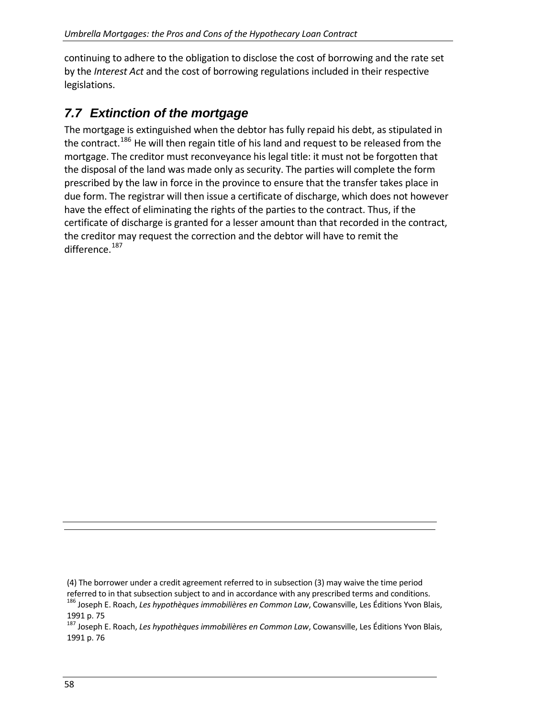continuing to adhere to the obligation to disclose the cost of borrowing and the rate set by the *Interest Act* and the cost of borrowing regulations included in their respective legislations.

# *7.7 Extinction of the mortgage*

<span id="page-57-0"></span>The mortgage is extinguished when the debtor has fully repaid his debt, as stipulated in the contract.<sup>[186](#page-57-1)</sup> He will then regain title of his land and request to be released from the mortgage. The creditor must reconveyance his legal title: it must not be forgotten that the disposal of the land was made only as security. The parties will complete the form prescribed by the law in force in the province to ensure that the transfer takes place in due form. The registrar will then issue a certificate of discharge, which does not however have the effect of eliminating the rights of the parties to the contract. Thus, if the certificate of discharge is granted for a lesser amount than that recorded in the contract, the creditor may request the correction and the debtor will have to remit the difference.<sup>[187](#page-57-2)</sup>

<sup>(4)</sup> The borrower under a credit agreement referred to in subsection (3) may waive the time period referred to in that subsection subject to and in accordance with any prescribed terms and conditions.<br><sup>186</sup> Joseph E. Roach, Les hypothèques immobilières en Common Law, Cowansville, Les Éditions Yvon Blais,

<span id="page-57-2"></span><span id="page-57-1"></span><sup>1991</sup> p. <sup>75</sup> <sup>187</sup> Joseph E. Roach, *Les hypothèques immobilières en Common Law*, Cowansville, Les Éditions Yvon Blais, 1991 p. 76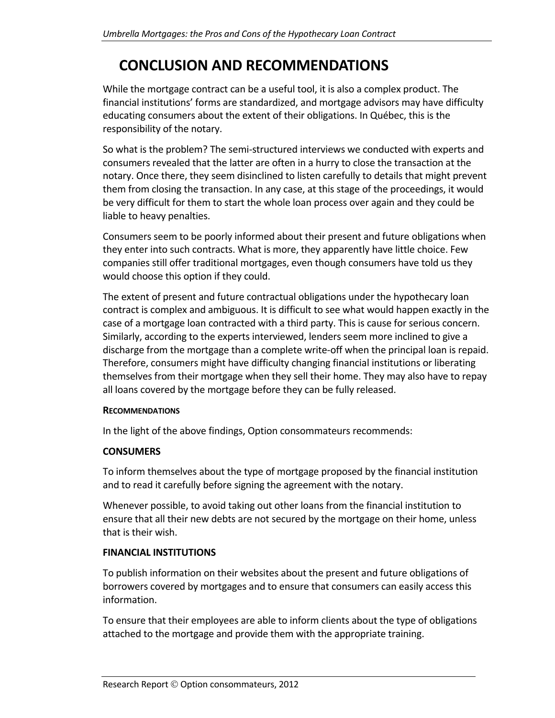# **CONCLUSION AND RECOMMENDATIONS**

<span id="page-58-0"></span>While the mortgage contract can be a useful tool, it is also a complex product. The financial institutions' forms are standardized, and mortgage advisors may have difficulty educating consumers about the extent of their obligations. In Québec, this is the responsibility of the notary.

So what is the problem? The semi‐structured interviews we conducted with experts and consumers revealed that the latter are often in a hurry to close the transaction at the notary. Once there, they seem disinclined to listen carefully to details that might prevent them from closing the transaction. In any case, at this stage of the proceedings, it would be very difficult for them to start the whole loan process over again and they could be liable to heavy penalties.

Consumers seem to be poorly informed about their present and future obligations when they enter into such contracts. What is more, they apparently have little choice. Few companies still offer traditional mortgages, even though consumers have told us they would choose this option if they could.

The extent of present and future contractual obligations under the hypothecary loan contract is complex and ambiguous. It is difficult to see what would happen exactly in the case of a mortgage loan contracted with a third party. This is cause for serious concern. Similarly, according to the experts interviewed, lenders seem more inclined to give a discharge from the mortgage than a complete write‐off when the principal loan is repaid. Therefore, consumers might have difficulty changing financial institutions or liberating themselves from their mortgage when they sell their home. They may also have to repay all loans covered by the mortgage before they can be fully released.

#### **RECOMMENDATIONS**

In the light of the above findings, Option consommateurs recommends:

#### **CONSUMERS**

To inform themselves about the type of mortgage proposed by the financial institution and to read it carefully before signing the agreement with the notary.

Whenever possible, to avoid taking out other loans from the financial institution to ensure that all their new debts are not secured by the mortgage on their home, unless that is their wish.

#### **FINANCIAL INSTITUTIONS**

To publish information on their websites about the present and future obligations of borrowers covered by mortgages and to ensure that consumers can easily access this information.

To ensure that their employees are able to inform clients about the type of obligations attached to the mortgage and provide them with the appropriate training.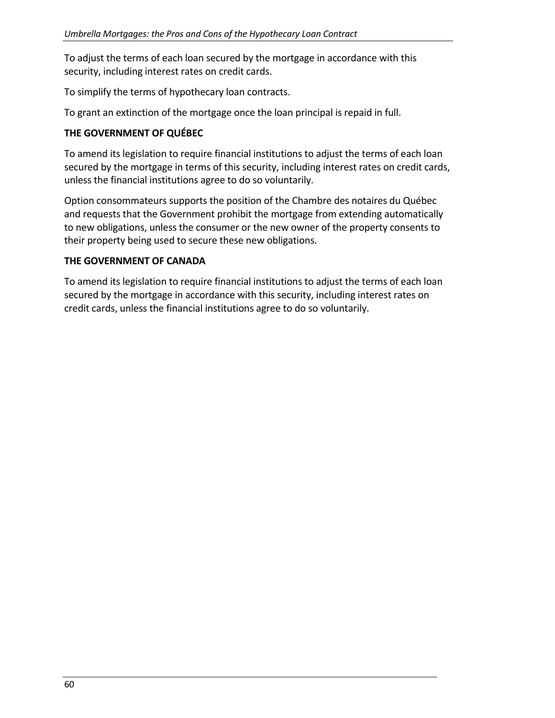To adjust the terms of each loan secured by the mortgage in accordance with this security, including interest rates on credit cards.

To simplify the terms of hypothecary loan contracts.

To grant an extinction of the mortgage once the loan principal is repaid in full.

#### **THE GOVERNMENT OF QUÉBEC**

To amend its legislation to require financial institutions to adjust the terms of each loan secured by the mortgage in terms of this security, including interest rates on credit cards, unless the financial institutions agree to do so voluntarily.

Option consommateurs supports the position of the Chambre des notaires du Québec and requests that the Government prohibit the mortgage from extending automatically to new obligations, unless the consumer or the new owner of the property consents to their property being used to secure these new obligations.

#### **THE GOVERNMENT OF CANADA**

To amend its legislation to require financial institutions to adjust the terms of each loan secured by the mortgage in accordance with this security, including interest rates on credit cards, unless the financial institutions agree to do so voluntarily.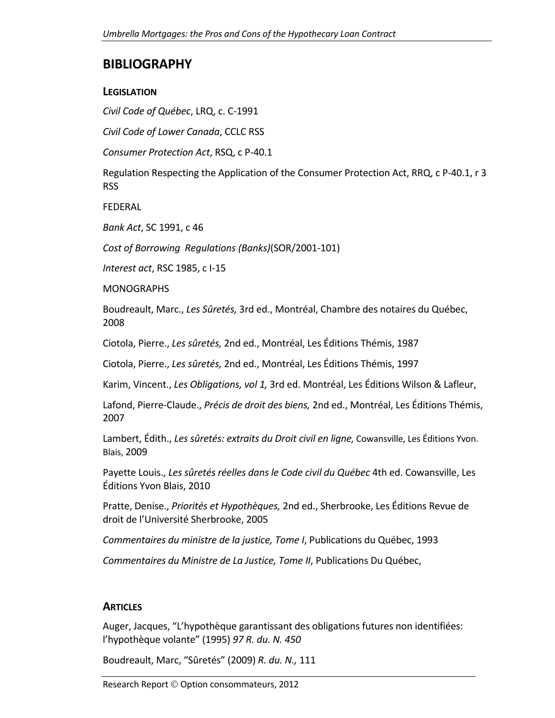## **BIBLIOGRAPHY**

#### **LEGISLATION**

*Civil Code of Québec*, LRQ, c. C‐1991

*Civil Code of Lower Canada*, CCLC RSS

*Consumer Protection Act*, RSQ, c P‐40.1

Regulation Respecting the Application of the Consumer Protection Act, RRQ, c P‐40.1, r 3 RSS

FEDERAL

*Bank Act*, SC 1991, c 46

*Cost of Borrowing Regulations (Banks)*(SOR/2001‐101)

*Interest act*, RSC 1985, c I‐15

MONOGRAPHS

Boudreault, Marc., *Les Sûretés,* 3rd ed., Montréal, Chambre des notaires du Québec, 2008

Ciotola, Pierre., *Les sûretés,* 2nd ed., Montréal, Les Éditions Thémis, 1987

Ciotola, Pierre., *Les sûretés,* 2nd ed., Montréal, Les Éditions Thémis, 1997

Karim, Vincent., *Les Obligations, vol 1,* 3rd ed. Montréal, Les Éditions Wilson & Lafleur,

Lafond, Pierre‐Claude., *Précis de droit des biens,* 2nd ed., Montréal, Les Éditions Thémis, 2007

Lambert, Édith., *Les sûretés: extraits du Droit civil en ligne,* Cowansville, Les Éditions Yvon. Blais, 2009

Payette Louis., *Les sûretés réelles dans le Code civil du Québec* 4th ed. Cowansville, Les Éditions Yvon Blais, 2010

Pratte, Denise., *Priorités et Hypothèques,* 2nd ed., Sherbrooke, Les Éditions Revue de droit de l'Université Sherbrooke, 2005

*Commentaires du ministre de la justice, Tome I*, Publications du Québec, 1993

*Commentaires du Ministre de La Justice, Tome II*, Publications Du Québec,

## **ARTICLES**

Auger, Jacques, "L'hypothèque garantissant des obligations futures non identifiées: l'hypothèque volante" (1995) *97 R. du. N. 450*

Boudreault, Marc, "Sûretés" (2009) *R. du. N.,* 111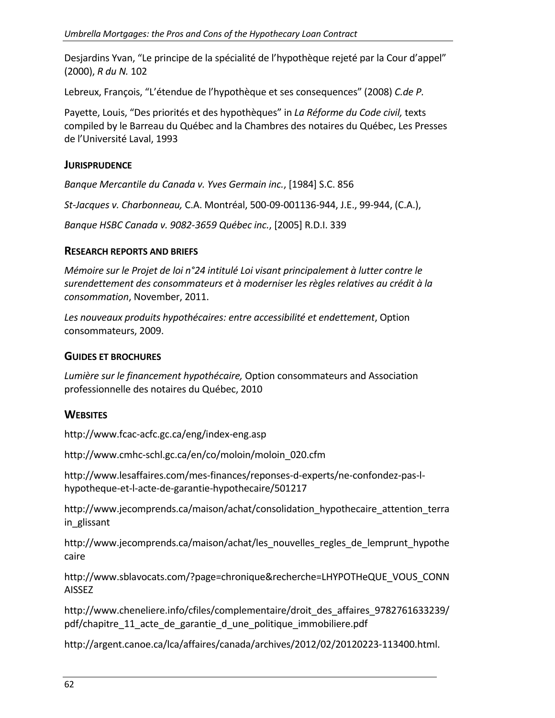Desjardins Yvan, "Le principe de la spécialité de l'hypothèque rejeté par la Cour d'appel" (2000), *R du N.* 102

Lebreux, François, "L'étendue de l'hypothèque et ses consequences" (2008) *C.de P.*

Payette, Louis, "Des priorités et des hypothèques" in *La Réforme du Code civil,* texts compiled by le Barreau du Québec and la Chambres des notaires du Québec, Les Presses de l'Université Laval, 1993

#### **JURISPRUDENCE**

*Banque Mercantile du Canada v. Yves Germain inc.*, [1984] S.C. 856

*St‐Jacques v. Charbonneau,* C.A. Montréal, 500‐09‐001136‐944, J.E., 99‐944, (C.A.),

*Banque HSBC Canada v. 9082‐3659 Québec inc.*, [2005] R.D.I. 339

#### **RESEARCH REPORTS AND BRIEFS**

*Mémoire sur le Projet de loi n°24 intitulé Loi visant principalement à lutter contre le surendettement des consommateurs et à moderniser les règles relatives au crédit à la consommation*, November, 2011.

*Les nouveaux produits hypothécaires: entre accessibilité et endettement*, Option consommateurs, 2009.

#### **GUIDES ET BROCHURES**

*Lumière sur le financement hypothécaire,* Option consommateurs and Association professionnelle des notaires du Québec, 2010

#### **WEBSITES**

http://www.fcac‐acfc.gc.ca/eng/index‐eng.asp

http://www.cmhc‐schl.gc.ca/en/co/moloin/moloin\_020.cfm

http://www.lesaffaires.com/mes‐finances/reponses‐d‐experts/ne‐confondez‐pas‐l‐ hypotheque‐et‐l‐acte‐de‐garantie‐hypothecaire/501217

http://www.jecomprends.ca/maison/achat/consolidation\_hypothecaire\_attention\_terra in glissant

http://www.jecomprends.ca/maison/achat/les\_nouvelles\_regles\_de\_lemprunt\_hypothe caire

http://www.sblavocats.com/?page=chronique&recherche=LHYPOTHeQUE\_VOUS\_CONN AISSEZ

http://www.cheneliere.info/cfiles/complementaire/droit\_des\_affaires\_9782761633239/ pdf/chapitre 11 acte de garantie d une politique immobiliere.pdf

http://argent.canoe.ca/lca/affaires/canada/archives/2012/02/20120223‐113400.html.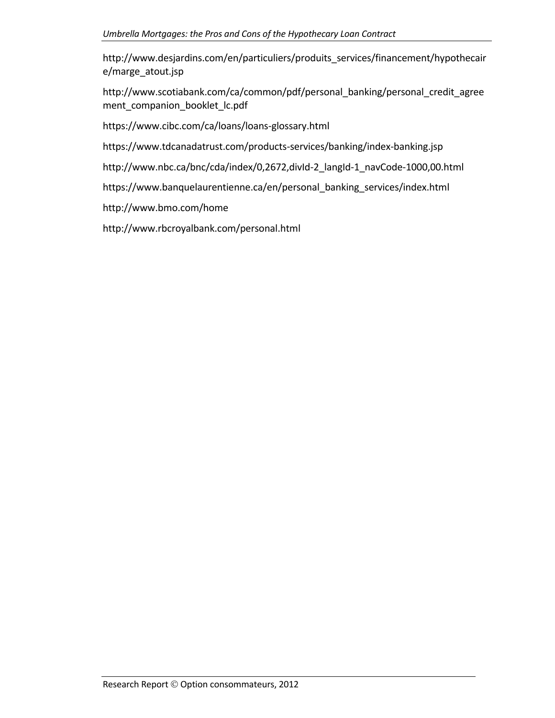http://www.desjardins.com/en/particuliers/produits\_services/financement/hypothecair e/marge\_atout.jsp

http://www.scotiabank.com/ca/common/pdf/personal\_banking/personal\_credit\_agree ment companion booklet lc.pdf

https://www.cibc.com/ca/loans/loans‐glossary.html

https://www.tdcanadatrust.com/products‐services/banking/index‐banking.jsp

http://www.nbc.ca/bnc/cda/index/0,2672,divId‐2\_langId‐1\_navCode‐1000,00.html

https://www.banquelaurentienne.ca/en/personal\_banking\_services/index.html

http://www.bmo.com/home

http://www.rbcroyalbank.com/personal.html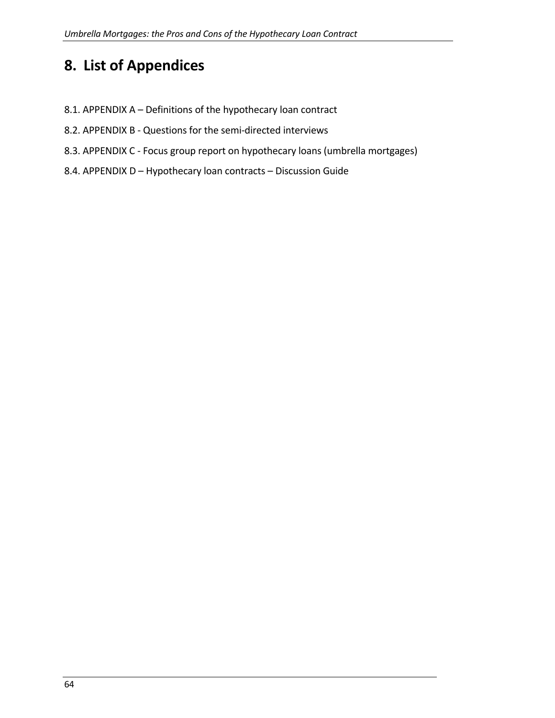# <span id="page-63-0"></span>**8. List of Appendices**

- 8.1. APPENDIX A Definitions of the hypothecary loan contract
- 8.2. APPENDIX B Questions for the semi-directed interviews
- 8.3. APPENDIX C ‐ Focus group report on hypothecary loans (umbrella mortgages)
- 8.4. APPENDIX D Hypothecary loan contracts Discussion Guide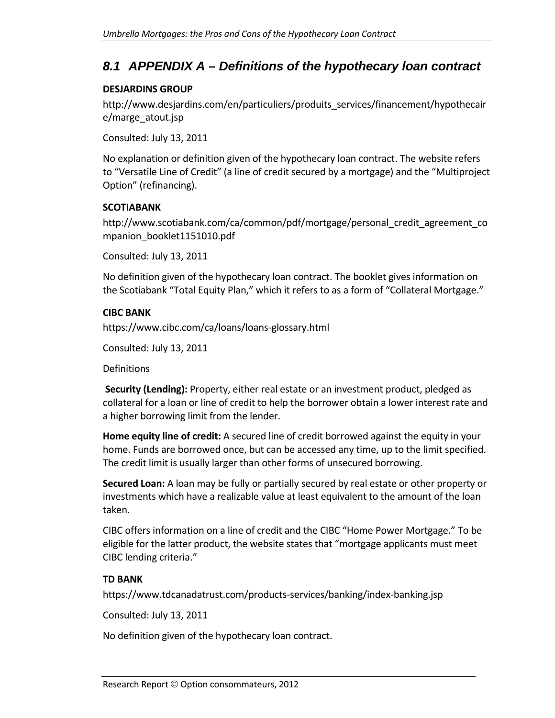# <span id="page-64-0"></span>*8.1 APPENDIX A – Definitions of the hypothecary loan contract*

#### **DESJARDINS GROUP**

http://www.desjardins.com/en/particuliers/produits\_services/financement/hypothecair e/marge\_atout.jsp

Consulted: July 13, 2011

No explanation or definition given of the hypothecary loan contract. The website refers to "Versatile Line of Credit" (a line of credit secured by a mortgage) and the "Multiproject Option" (refinancing).

#### **SCOTIABANK**

http://www.scotiabank.com/ca/common/pdf/mortgage/personal\_credit\_agreement\_co mpanion\_booklet1151010.pdf

Consulted: July 13, 2011

No definition given of the hypothecary loan contract. The booklet gives information on the Scotiabank "Total Equity Plan," which it refers to as a form of "Collateral Mortgage."

#### **CIBC BANK**

https://www.cibc.com/ca/loans/loans‐glossary.html

Consulted: July 13, 2011

**Definitions** 

**Security (Lending):** Property, either real estate or an investment product, pledged as collateral for a loan or line of credit to help the borrower obtain a lower interest rate and a higher borrowing limit from the lender.

**Home equity line of credit:** A secured line of credit borrowed against the equity in your home. Funds are borrowed once, but can be accessed any time, up to the limit specified. The credit limit is usually larger than other forms of unsecured borrowing.

**Secured Loan:** A loan may be fully or partially secured by real estate or other property or investments which have a realizable value at least equivalent to the amount of the loan taken.

CIBC offers information on a line of credit and the CIBC "Home Power Mortgage." To be eligible for the latter product, the website states that "mortgage applicants must meet CIBC lending criteria."

#### **TD BANK**

https://www.tdcanadatrust.com/products‐services/banking/index‐banking.jsp

Consulted: July 13, 2011

No definition given of the hypothecary loan contract.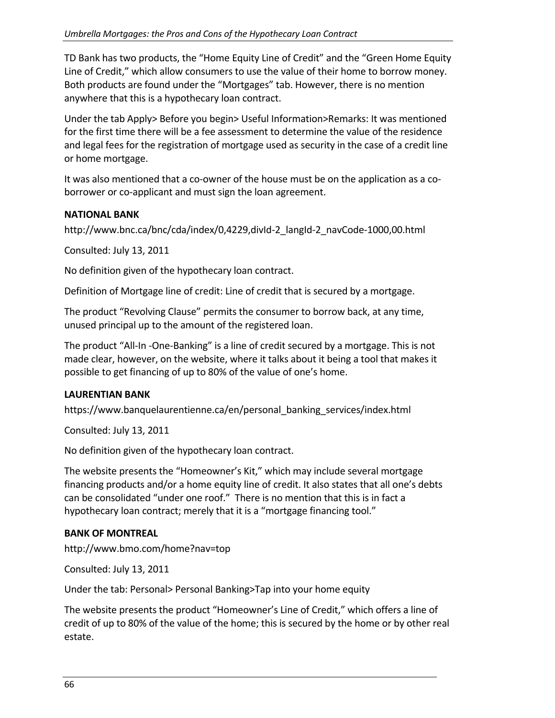TD Bank has two products, the "Home Equity Line of Credit" and the "Green Home Equity Line of Credit," which allow consumers to use the value of their home to borrow money. Both products are found under the "Mortgages" tab. However, there is no mention anywhere that this is a hypothecary loan contract.

Under the tab Apply> Before you begin> Useful Information>Remarks: It was mentioned for the first time there will be a fee assessment to determine the value of the residence and legal fees for the registration of mortgage used as security in the case of a credit line or home mortgage.

It was also mentioned that a co-owner of the house must be on the application as a coborrower or co‐applicant and must sign the loan agreement.

#### **NATIONAL BANK**

http://www.bnc.ca/bnc/cda/index/0,4229,divId‐2\_langId‐2\_navCode‐1000,00.html

Consulted: July 13, 2011

No definition given of the hypothecary loan contract.

Definition of Mortgage line of credit: Line of credit that is secured by a mortgage.

The product "Revolving Clause" permits the consumer to borrow back, at any time, unused principal up to the amount of the registered loan.

The product "All‐In ‐One‐Banking" is a line of credit secured by a mortgage. This is not made clear, however, on the website, where it talks about it being a tool that makes it possible to get financing of up to 80% of the value of one's home.

#### **LAURENTIAN BANK**

https://www.banquelaurentienne.ca/en/personal\_banking\_services/index.html

Consulted: July 13, 2011

No definition given of the hypothecary loan contract.

The website presents the "Homeowner's Kit," which may include several mortgage financing products and/or a home equity line of credit. It also states that all one's debts can be consolidated "under one roof." There is no mention that this is in fact a hypothecary loan contract; merely that it is a "mortgage financing tool."

#### **BANK OF MONTREAL**

http://www.bmo.com/home?nav=top

Consulted: July 13, 2011

Under the tab: Personal> Personal Banking>Tap into your home equity

The website presents the product "Homeowner's Line of Credit," which offers a line of credit of up to 80% of the value of the home; this is secured by the home or by other real estate.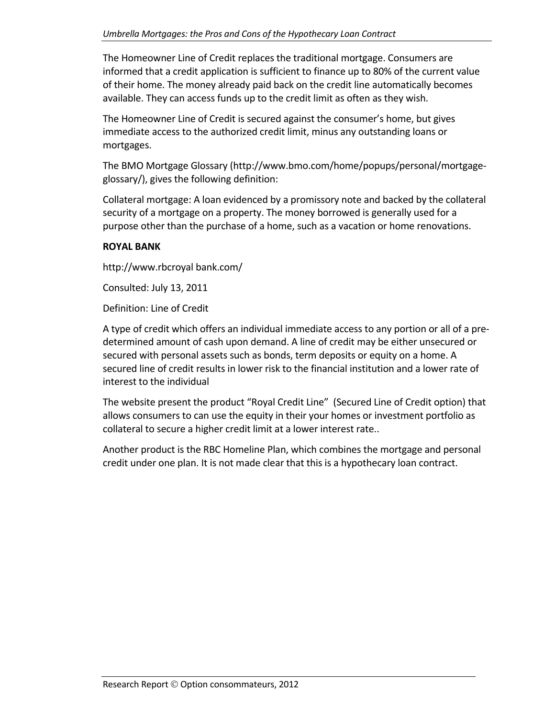The Homeowner Line of Credit replaces the traditional mortgage. Consumers are informed that a credit application is sufficient to finance up to 80% of the current value of their home. The money already paid back on the credit line automatically becomes available. They can access funds up to the credit limit as often as they wish.

The Homeowner Line of Credit is secured against the consumer's home, but gives immediate access to the authorized credit limit, minus any outstanding loans or mortgages.

The BMO Mortgage Glossary (http://www.bmo.com/home/popups/personal/mortgage‐ glossary/), gives the following definition:

Collateral mortgage: A loan evidenced by a promissory note and backed by the collateral security of a mortgage on a property. The money borrowed is generally used for a purpose other than the purchase of a home, such as a vacation or home renovations.

#### **ROYAL BANK**

http://www.rbcroyal bank.com/

Consulted: July 13, 2011

Definition: Line of Credit

A type of credit which offers an individual immediate access to any portion or all of a pre‐ determined amount of cash upon demand. A line of credit may be either unsecured or secured with personal assets such as bonds, term deposits or equity on a home. A secured line of credit results in lower risk to the financial institution and a lower rate of interest to the individual

The website present the product "Royal Credit Line" (Secured Line of Credit option) that allows consumers to can use the equity in their your homes or investment portfolio as collateral to secure a higher credit limit at a lower interest rate..

Another product is the RBC Homeline Plan, which combines the mortgage and personal credit under one plan. It is not made clear that this is a hypothecary loan contract.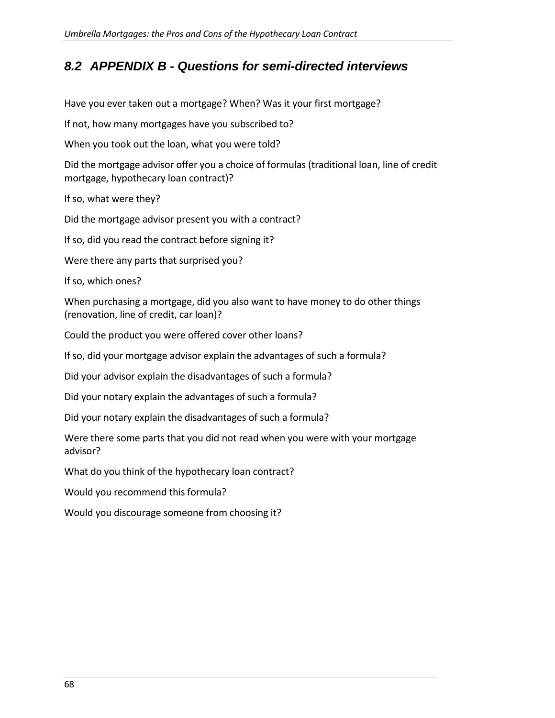# <span id="page-67-0"></span>*8.2 APPENDIX B - Questions for semi-directed interviews*

Have you ever taken out a mortgage? When? Was it your first mortgage?

If not, how many mortgages have you subscribed to?

When you took out the loan, what you were told?

Did the mortgage advisor offer you a choice of formulas (traditional loan, line of credit mortgage, hypothecary loan contract)?

If so, what were they?

Did the mortgage advisor present you with a contract?

If so, did you read the contract before signing it?

Were there any parts that surprised you?

If so, which ones?

When purchasing a mortgage, did you also want to have money to do other things (renovation, line of credit, car loan)?

Could the product you were offered cover other loans?

If so, did your mortgage advisor explain the advantages of such a formula?

Did your advisor explain the disadvantages of such a formula?

Did your notary explain the advantages of such a formula?

Did your notary explain the disadvantages of such a formula?

Were there some parts that you did not read when you were with your mortgage advisor?

What do you think of the hypothecary loan contract?

Would you recommend this formula?

Would you discourage someone from choosing it?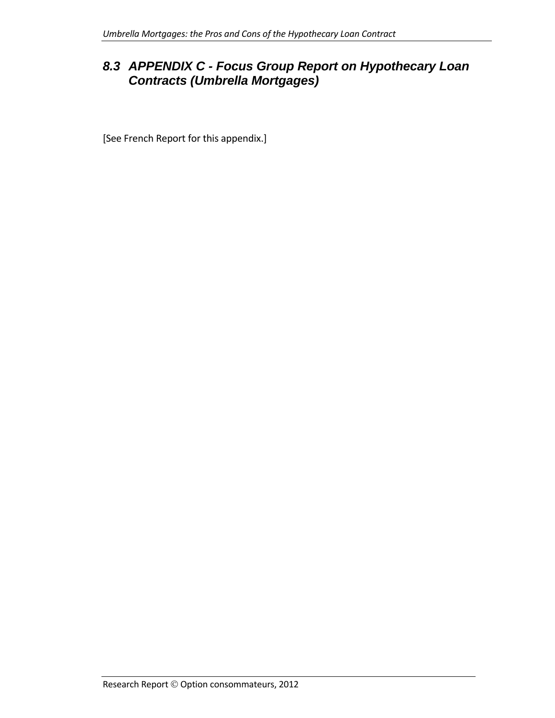# <span id="page-68-0"></span>*8.3 APPENDIX C - Focus Group Report on Hypothecary Loan Contracts (Umbrella Mortgages)*

[See French Report for this appendix.]